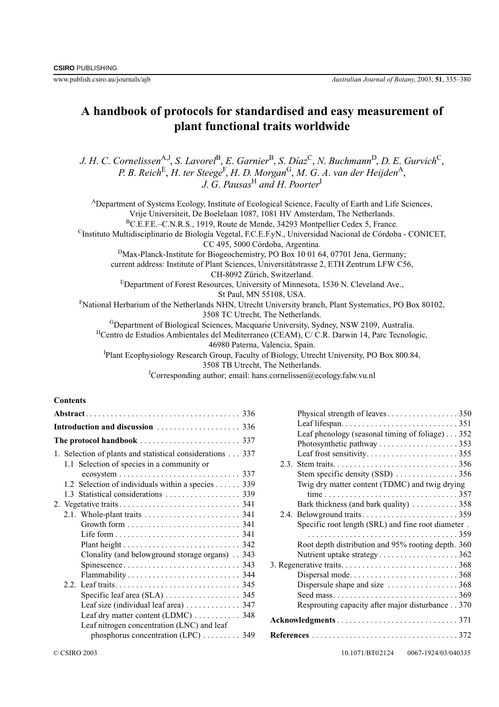# **A handbook of protocols for standardised and easy measurement of plant functional traits worldwide**

*J*. *H*. *C*. *Cornelissen*A,J, *S*. *Lavorel*B, *E*. *Garnier*B, *S*. *Díaz*C, *N*. *Buchmann*D, *D*. *E*. *Gurvich*C, *P*. *B*. *Reich*E, *H*. *ter Steege*<sup>F</sup> , *H*. *D*. *Morgan*G, *M*. *G*. *A*. *van der Heijden*A, *J*. *G*. *Pausas*<sup>H</sup> *and H*. *Poorter*<sup>I</sup>

ADepartment of Systems Ecology, Institute of Ecological Science, Faculty of Earth and Life Sciences, Vrije Universiteit, De Boelelaan 1087, 1081 HV Amsterdam, The Netherlands. BC.E.F.E.–C.N.R.S., 1919, Route de Mende, 34293 Montpellier Cedex 5, France. CInstituto Multidisciplinario de Biología Vegetal, F.C.E.F.yN., Universidad Nacional de Córdoba - CONICET, CC 495, 5000 Córdoba, Argentina. <sup>D</sup>Max-Planck-Institute for Biogeochemistry, PO Box 10 01 64, 07701 Jena, Germany; current address: Institute of Plant Sciences, Universitätstrasse 2, ETH Zentrum LFW C56, CH-8092 Zürich, Switzerland. EDepartment of Forest Resources, University of Minnesota, 1530 N. Cleveland Ave., St Paul, MN 55108, USA. F National Herbarium of the Netherlands NHN, Utrecht University branch, Plant Systematics, PO Box 80102, 3508 TC Utrecht, The Netherlands. GDepartment of Biological Sciences, Macquarie University, Sydney, NSW 2109, Australia. <sup>H</sup>Centro de Estudios Ambientales del Mediterraneo (CEAM), C/ C.R. Darwin 14, Parc Tecnologic, 46980 Paterna, Valencia, Spain. <sup>I</sup>Plant Ecophysiology Research Group, Faculty of Biology, Utrecht University, PO Box 800.84, 3508 TB Utrecht, The Netherlands. <sup>J</sup>Corresponding author; email: hans.cornelissen@ecology.falw.vu.nl

## **Contents**

|  | 1. Selection of plants and statistical considerations 337<br>1.1 Selection of species in a community or |  |
|--|---------------------------------------------------------------------------------------------------------|--|
|  | 1.2 Selection of individuals within a species 339                                                       |  |
|  |                                                                                                         |  |
|  |                                                                                                         |  |
|  |                                                                                                         |  |
|  |                                                                                                         |  |
|  | Clonality (and belowground storage organs) 343                                                          |  |
|  |                                                                                                         |  |
|  |                                                                                                         |  |
|  |                                                                                                         |  |
|  | Leaf size (individual leaf area)  347                                                                   |  |
|  | Leaf dry matter content (LDMC) 348                                                                      |  |
|  | Leaf nitrogen concentration (LNC) and leaf                                                              |  |
|  | phosphorus concentration (LPC)  349                                                                     |  |

| Leaf phenology (seasonal timing of foliage) 352               |  |
|---------------------------------------------------------------|--|
|                                                               |  |
|                                                               |  |
|                                                               |  |
| Stem specific density (SSD) 356                               |  |
| Twig dry matter content (TDMC) and twig drying                |  |
|                                                               |  |
| Bark thickness (and bark quality) 358                         |  |
|                                                               |  |
| Specific root length (SRL) and fine root diameter.            |  |
|                                                               |  |
| Root depth distribution and 95% rooting depth. 360            |  |
| Nutrient uptake strategy362                                   |  |
|                                                               |  |
|                                                               |  |
| Dispersule shape and size $\dots \dots \dots \dots \dots 368$ |  |
| Seed mass369                                                  |  |
| Resprouting capacity after major disturbance 370              |  |
| Acknowledgments371                                            |  |
|                                                               |  |
|                                                               |  |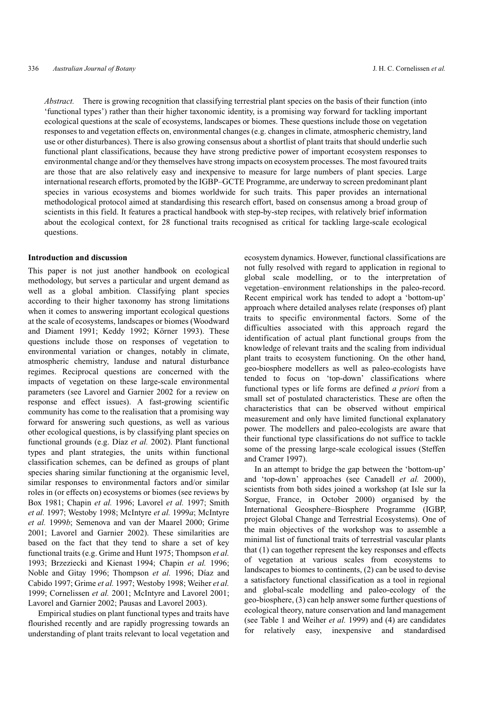*Abstract.* There is growing recognition that classifying terrestrial plant species on the basis of their function (into 'functional types') rather than their higher taxonomic identity, is a promising way forward for tackling important ecological questions at the scale of ecosystems, landscapes or biomes. These questions include those on vegetation responses to and vegetation effects on, environmental changes (e.g. changes in climate, atmospheric chemistry, land use or other disturbances). There is also growing consensus about a shortlist of plant traits that should underlie such functional plant classifications, because they have strong predictive power of important ecosystem responses to environmental change and/or they themselves have strong impacts on ecosystem processes. The most favoured traits are those that are also relatively easy and inexpensive to measure for large numbers of plant species. Large international research efforts, promoted by the IGBP–GCTE Programme, are underway to screen predominant plant species in various ecosystems and biomes worldwide for such traits. This paper provides an international methodological protocol aimed at standardising this research effort, based on consensus among a broad group of scientists in this field. It features a practical handbook with step-by-step recipes, with relatively brief information about the ecological context, for 28 functional traits recognised as critical for tackling large-scale ecological questions.

### **Introduction and discussion**

This paper is not just another handbook on ecological methodology, but serves a particular and urgent demand as well as a global ambition. Classifying plant species according to their higher taxonomy has strong limitations when it comes to answering important ecological questions at the scale of ecosystems, landscapes or biomes (Woodward and Diament 1991; Keddy 1992; Körner 1993). These questions include those on responses of vegetation to environmental variation or changes, notably in climate, atmospheric chemistry, landuse and natural disturbance regimes. Reciprocal questions are concerned with the impacts of vegetation on these large-scale environmental parameters (see Lavorel and Garnier 2002 for a review on response and effect issues). A fast-growing scientific community has come to the realisation that a promising way forward for answering such questions, as well as various other ecological questions, is by classifying plant species on functional grounds (e.g. Díaz *et al.* 2002). Plant functional types and plant strategies, the units within functional classification schemes, can be defined as groups of plant species sharing similar functioning at the organismic level, similar responses to environmental factors and/or similar roles in (or effects on) ecosystems or biomes (see reviews by Box 1981; Chapin *et al.* 1996; Lavorel *et al.* 1997; Smith *et al.* 1997; Westoby 1998; McIntyre *et al.* 1999*a*; McIntyre *et al.* 1999*b*; Semenova and van der Maarel 2000; Grime 2001; Lavorel and Garnier 2002). These similarities are based on the fact that they tend to share a set of key functional traits (e.g. Grime and Hunt 1975; Thompson *et al.* 1993; Brzeziecki and Kienast 1994; Chapin *et al.* 1996; Noble and Gitay 1996; Thompson *et al.* 1996; Díaz and Cabido 1997; Grime *et al.* 1997; Westoby 1998; Weiher *et al.* 1999; Cornelissen *et al.* 2001; McIntyre and Lavorel 2001; Lavorel and Garnier 2002; Pausas and Lavorel 2003).

Empirical studies on plant functional types and traits have flourished recently and are rapidly progressing towards an understanding of plant traits relevant to local vegetation and ecosystem dynamics. However, functional classifications are not fully resolved with regard to application in regional to global scale modelling, or to the interpretation of vegetation–environment relationships in the paleo-record. Recent empirical work has tended to adopt a 'bottom-up' approach where detailed analyses relate (responses of) plant traits to specific environmental factors. Some of the difficulties associated with this approach regard the identification of actual plant functional groups from the knowledge of relevant traits and the scaling from individual plant traits to ecosystem functioning. On the other hand, geo-biosphere modellers as well as paleo-ecologists have tended to focus on 'top-down' classifications where functional types or life forms are defined *a priori* from a small set of postulated characteristics. These are often the characteristics that can be observed without empirical measurement and only have limited functional explanatory power. The modellers and paleo-ecologists are aware that their functional type classifications do not suffice to tackle some of the pressing large-scale ecological issues (Steffen and Cramer 1997).

In an attempt to bridge the gap between the 'bottom-up' and 'top-down' approaches (see Canadell *et al.* 2000), scientists from both sides joined a workshop (at Isle sur la Sorgue, France, in October 2000) organised by the International Geosphere–Biosphere Programme (IGBP, project Global Change and Terrestrial Ecosystems). One of the main objectives of the workshop was to assemble a minimal list of functional traits of terrestrial vascular plants that (1) can together represent the key responses and effects of vegetation at various scales from ecosystems to landscapes to biomes to continents, (2) can be used to devise a satisfactory functional classification as a tool in regional and global-scale modelling and paleo-ecology of the geo-biosphere, (3) can help answer some further questions of ecological theory, nature conservation and land management (see Table 1 and Weiher *et al.* 1999) and (4) are candidates for relatively easy, inexpensive and standardised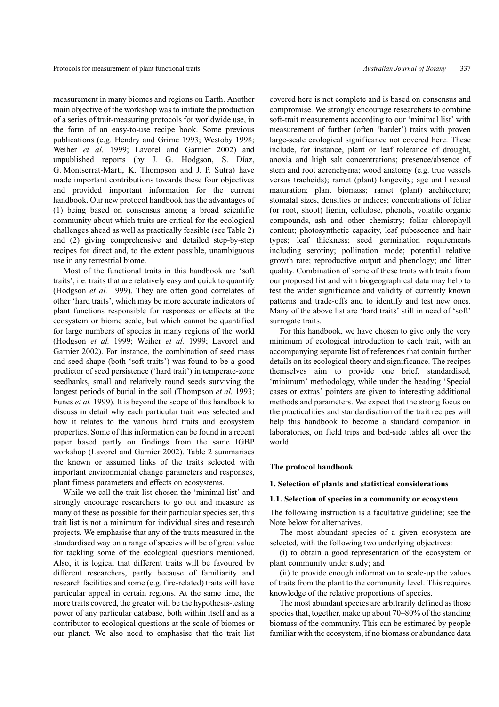measurement in many biomes and regions on Earth. Another main objective of the workshop was to initiate the production of a series of trait-measuring protocols for worldwide use, in the form of an easy-to-use recipe book. Some previous publications (e.g. Hendry and Grime 1993; Westoby 1998; Weiher *et al.* 1999; Lavorel and Garnier 2002) and unpublished reports (by J. G. Hodgson, S. Díaz, G. Montserrat-Martí, K. Thompson and J. P. Sutra) have made important contributions towards these four objectives and provided important information for the current handbook. Our new protocol handbook has the advantages of (1) being based on consensus among a broad scientific community about which traits are critical for the ecological challenges ahead as well as practically feasible (see Table 2) and (2) giving comprehensive and detailed step-by-step recipes for direct and, to the extent possible, unambiguous use in any terrestrial biome.

Most of the functional traits in this handbook are 'soft traits', i.e. traits that are relatively easy and quick to quantify (Hodgson *et al.* 1999). They are often good correlates of other 'hard traits', which may be more accurate indicators of plant functions responsible for responses or effects at the ecosystem or biome scale, but which cannot be quantified for large numbers of species in many regions of the world (Hodgson *et al.* 1999; Weiher *et al.* 1999; Lavorel and Garnier 2002). For instance, the combination of seed mass and seed shape (both 'soft traits') was found to be a good predictor of seed persistence ('hard trait') in temperate-zone seedbanks, small and relatively round seeds surviving the longest periods of burial in the soil (Thompson *et al.* 1993; Funes *et al.* 1999). It is beyond the scope of this handbook to discuss in detail why each particular trait was selected and how it relates to the various hard traits and ecosystem properties. Some of this information can be found in a recent paper based partly on findings from the same IGBP workshop (Lavorel and Garnier 2002). Table 2 summarises the known or assumed links of the traits selected with important environmental change parameters and responses, plant fitness parameters and effects on ecosystems.

While we call the trait list chosen the 'minimal list' and strongly encourage researchers to go out and measure as many of these as possible for their particular species set, this trait list is not a minimum for individual sites and research projects. We emphasise that any of the traits measured in the standardised way on a range of species will be of great value for tackling some of the ecological questions mentioned. Also, it is logical that different traits will be favoured by different researchers, partly because of familiarity and research facilities and some (e.g. fire-related) traits will have particular appeal in certain regions. At the same time, the more traits covered, the greater will be the hypothesis-testing power of any particular database, both within itself and as a contributor to ecological questions at the scale of biomes or our planet. We also need to emphasise that the trait list covered here is not complete and is based on consensus and compromise. We strongly encourage researchers to combine soft-trait measurements according to our 'minimal list' with measurement of further (often 'harder') traits with proven large-scale ecological significance not covered here. These include, for instance, plant or leaf tolerance of drought, anoxia and high salt concentrations; presence/absence of stem and root aerenchyma; wood anatomy (e.g. true vessels versus tracheids); ramet (plant) longevity; age until sexual maturation; plant biomass; ramet (plant) architecture; stomatal sizes, densities or indices; concentrations of foliar (or root, shoot) lignin, cellulose, phenols, volatile organic compounds, ash and other chemistry; foliar chlorophyll content; photosynthetic capacity, leaf pubescence and hair types; leaf thickness; seed germination requirements including serotiny; pollination mode; potential relative growth rate; reproductive output and phenology; and litter quality. Combination of some of these traits with traits from our proposed list and with biogeographical data may help to test the wider significance and validity of currently known patterns and trade-offs and to identify and test new ones. Many of the above list are 'hard traits' still in need of 'soft' surrogate traits.

For this handbook, we have chosen to give only the very minimum of ecological introduction to each trait, with an accompanying separate list of references that contain further details on its ecological theory and significance. The recipes themselves aim to provide one brief, standardised, 'minimum' methodology, while under the heading 'Special cases or extras' pointers are given to interesting additional methods and parameters. We expect that the strong focus on the practicalities and standardisation of the trait recipes will help this handbook to become a standard companion in laboratories, on field trips and bed-side tables all over the world.

#### **The protocol handbook**

## **1. Selection of plants and statistical considerations**

### **1***.***1. Selection of species in a community or ecosystem**

The following instruction is a facultative guideline; see the Note below for alternatives.

The most abundant species of a given ecosystem are selected, with the following two underlying objectives:

(i) to obtain a good representation of the ecosystem or plant community under study; and

(ii) to provide enough information to scale-up the values of traits from the plant to the community level. This requires knowledge of the relative proportions of species.

The most abundant species are arbitrarily defined as those species that, together, make up about 70–80% of the standing biomass of the community. This can be estimated by people familiar with the ecosystem, if no biomass or abundance data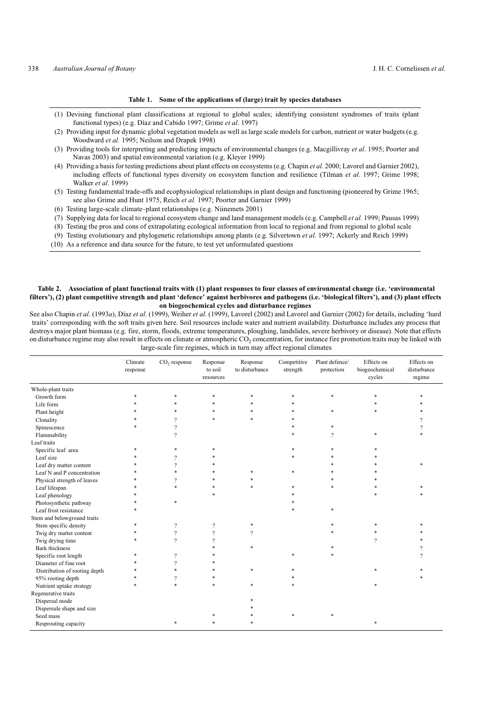### **Table 1. Some of the applications of (large) trait by species databases**

- 0(1) Devising functional plant classifications at regional to global scales; identifying consistent syndromes of traits (plant functional types) (e.g. Díaz and Cabido 1997; Grime *et al*. 1997)
- 0(2) Providing input for dynamic global vegetation models as well as large scale models for carbon, nutrient or water budgets (e.g. Woodward *et al.* 1995; Neilson and Drapek 1998)
- 0(3) Providing tools for interpreting and predicting impacts of environmental changes (e.g. Macgillivray *et al*. 1995; Poorter and Navas 2003) and spatial environmental variation (e.g. Kleyer 1999)
- 0(4) Providing a basis for testing predictions about plant effects on ecosystems (e.g. Chapin *et al*. 2000; Lavorel and Garnier 2002), including effects of functional types diversity on ecosystem function and resilience (Tilman *et al*. 1997; Grime 1998; Walker *et al*. 1999)
- 0(5) Testing fundamental trade-offs and ecophysiological relationships in plant design and functioning (pioneered by Grime 1965; see also Grime and Hunt 1975, Reich *et al.* 1997; Poorter and Garnier 1999)
- 0(6) Testing large-scale climate–plant relationships (e.g. Niinemets 2001)
- 0(7) Supplying data for local to regional ecosystem change and land management models (e.g. Campbell *et al.* 1999; Pausas 1999)
- 0(8) Testing the pros and cons of extrapolating ecological information from local to regional and from regional to global scale
- 0(9) Testing evolutionary and phylogenetic relationships among plants (e.g. Silvertown *et al*. 1997; Ackerly and Reich 1999)
- (10) As a reference and data source for the future, to test yet unformulated questions

#### **Table 2. Association of plant functional traits with (1) plant responses to four classes of environmental change (i.e. 'environmental filters'), (2) plant competitive strength and plant 'defence' against herbivores and pathogens (i.e. 'biological filters'), and (3) plant effects on biogeochemical cycles and disturbance regimes**

See also Chapin *et al*. (1993*a*), Díaz *et al*. (1999), Weiher *et al*. (1999), Lavorel (2002) and Lavorel and Garnier (2002) for details, including 'hard traits' corresponding with the soft traits given here. Soil resources include water and nutrient availability. Disturbance includes any process that destroys major plant biomass (e.g. fire, storm, floods, extreme temperatures, ploughing, landslides, severe herbivory or disease). Note that effects on disturbance regime may also result in effects on climate or atmospheric CO<sub>2</sub> concentration, for instance fire promotion traits may be linked with large-scale fire regimes, which in turn may affect regional climates

|                               | Climate<br>response | CO <sub>2</sub> response | Response<br>to soil<br>resources | Response<br>to disturbance | Competitive<br>strength | Plant defence/<br>protection | Effects on<br>biogeochemical<br>cycles | Effects on<br>disturbance<br>regime |
|-------------------------------|---------------------|--------------------------|----------------------------------|----------------------------|-------------------------|------------------------------|----------------------------------------|-------------------------------------|
| Whole-plant traits            |                     |                          |                                  |                            |                         |                              |                                        |                                     |
| Growth form                   | $\ast$              |                          | $\ast$                           |                            |                         | $\ast$                       |                                        |                                     |
| Life form                     |                     |                          | $\ast$                           |                            |                         |                              |                                        |                                     |
| Plant height                  |                     | $\ast$                   | $\ast$                           | $\ast$                     |                         | $\ast$                       |                                        |                                     |
| Clonality                     |                     | $\mathcal{L}$            | $\ast$                           | $\ast$                     |                         |                              |                                        |                                     |
| Spinescence                   |                     | $\Omega$                 |                                  |                            |                         |                              |                                        | $\gamma$                            |
| Flammability                  |                     | $\overline{?}$           |                                  |                            |                         | $\gamma$                     |                                        |                                     |
| Leaf traits                   |                     |                          |                                  |                            |                         |                              |                                        |                                     |
| Specific leaf area            | $\ast$              |                          |                                  |                            |                         |                              |                                        |                                     |
| Leaf size                     |                     | $\gamma$                 |                                  |                            |                         |                              |                                        |                                     |
| Leaf dry matter content       |                     | $\mathcal{L}$            |                                  |                            |                         |                              |                                        |                                     |
| Leaf N and P concentration    |                     |                          |                                  |                            |                         |                              |                                        |                                     |
| Physical strength of leaves   |                     | $\Omega$                 |                                  |                            |                         |                              |                                        |                                     |
| Leaf lifespan                 |                     |                          |                                  |                            |                         |                              |                                        |                                     |
| Leaf phenology                |                     |                          |                                  |                            |                         |                              |                                        |                                     |
| Photosynthetic pathway        |                     |                          |                                  |                            |                         |                              |                                        |                                     |
| Leaf frost resistance         |                     |                          |                                  |                            |                         |                              |                                        |                                     |
| Stem and belowground traits   |                     |                          |                                  |                            |                         |                              |                                        |                                     |
| Stem specific density         | $\ast$              | $\gamma$                 | $\gamma$                         | $*$                        |                         |                              |                                        |                                     |
| Twig dry matter content       |                     | 2                        | $\gamma$                         | $\overline{?}$             |                         |                              |                                        |                                     |
| Twig drying time              |                     | $\overline{?}$           | $\gamma$                         |                            |                         |                              | $\overline{?}$                         |                                     |
| <b>Bark thickness</b>         |                     |                          |                                  | $\ast$                     |                         |                              |                                        |                                     |
| Specific root length          | $\ast$              | ?                        |                                  |                            | $\ast$                  |                              |                                        | 9                                   |
| Diameter of fine root         |                     | ?                        |                                  |                            |                         |                              |                                        |                                     |
| Distribution of rooting depth |                     |                          |                                  |                            |                         |                              |                                        |                                     |
| 95% rooting depth             |                     | ?                        |                                  |                            |                         |                              |                                        |                                     |
| Nutrient uptake strategy      |                     | sk.                      |                                  |                            |                         |                              |                                        |                                     |
| Regenerative traits           |                     |                          |                                  |                            |                         |                              |                                        |                                     |
| Dispersal mode                |                     |                          |                                  |                            |                         |                              |                                        |                                     |
| Dispersule shape and size     |                     |                          |                                  |                            |                         |                              |                                        |                                     |
| Seed mass                     |                     |                          |                                  |                            |                         |                              |                                        |                                     |
| Resprouting capacity          |                     |                          |                                  |                            |                         |                              |                                        |                                     |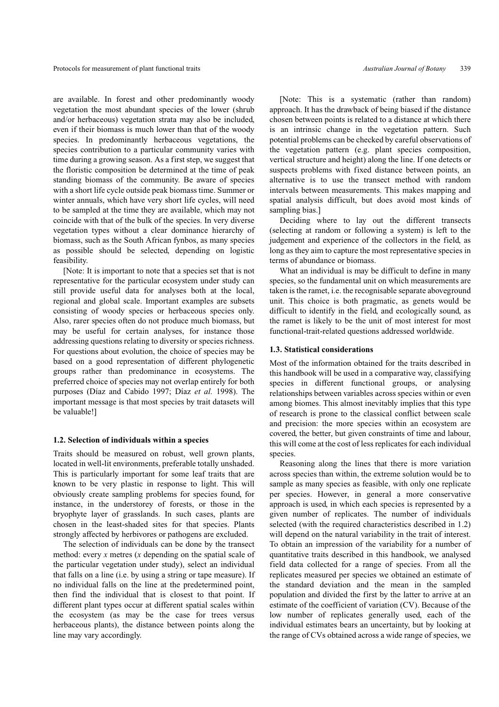are available. In forest and other predominantly woody vegetation the most abundant species of the lower (shrub and/or herbaceous) vegetation strata may also be included, even if their biomass is much lower than that of the woody species. In predominantly herbaceous vegetations, the species contribution to a particular community varies with time during a growing season. As a first step, we suggest that the floristic composition be determined at the time of peak standing biomass of the community. Be aware of species with a short life cycle outside peak biomass time. Summer or winter annuals, which have very short life cycles, will need to be sampled at the time they are available, which may not coincide with that of the bulk of the species. In very diverse vegetation types without a clear dominance hierarchy of biomass, such as the South African fynbos, as many species as possible should be selected, depending on logistic feasibility.

[Note: It is important to note that a species set that is not representative for the particular ecosystem under study can still provide useful data for analyses both at the local, regional and global scale. Important examples are subsets consisting of woody species or herbaceous species only. Also, rarer species often do not produce much biomass, but may be useful for certain analyses, for instance those addressing questions relating to diversity or species richness. For questions about evolution, the choice of species may be based on a good representation of different phylogenetic groups rather than predominance in ecosystems. The preferred choice of species may not overlap entirely for both purposes (Díaz and Cabido 1997; Díaz *et al.* 1998). The important message is that most species by trait datasets will be valuable!]

### **1.2. Selection of individuals within a species**

Traits should be measured on robust, well grown plants, located in well-lit environments, preferable totally unshaded. This is particularly important for some leaf traits that are known to be very plastic in response to light. This will obviously create sampling problems for species found, for instance, in the understorey of forests, or those in the bryophyte layer of grasslands. In such cases, plants are chosen in the least-shaded sites for that species. Plants strongly affected by herbivores or pathogens are excluded.

The selection of individuals can be done by the transect method: every *x* metres (*x* depending on the spatial scale of the particular vegetation under study), select an individual that falls on a line (i.e. by using a string or tape measure). If no individual falls on the line at the predetermined point, then find the individual that is closest to that point. If different plant types occur at different spatial scales within the ecosystem (as may be the case for trees versus herbaceous plants), the distance between points along the line may vary accordingly.

[Note: This is a systematic (rather than random) approach. It has the drawback of being biased if the distance chosen between points is related to a distance at which there is an intrinsic change in the vegetation pattern. Such potential problems can be checked by careful observations of the vegetation pattern (e.g. plant species composition, vertical structure and height) along the line. If one detects or suspects problems with fixed distance between points, an alternative is to use the transect method with random intervals between measurements. This makes mapping and spatial analysis difficult, but does avoid most kinds of sampling bias.]

Deciding where to lay out the different transects (selecting at random or following a system) is left to the judgement and experience of the collectors in the field, as long as they aim to capture the most representative species in terms of abundance or biomass.

What an individual is may be difficult to define in many species, so the fundamental unit on which measurements are taken is the ramet, i.e. the recognisable separate aboveground unit. This choice is both pragmatic, as genets would be difficult to identify in the field, and ecologically sound, as the ramet is likely to be the unit of most interest for most functional-trait-related questions addressed worldwide.

## **1***.***3. Statistical considerations**

Most of the information obtained for the traits described in this handbook will be used in a comparative way, classifying species in different functional groups, or analysing relationships between variables across species within or even among biomes. This almost inevitably implies that this type of research is prone to the classical conflict between scale and precision: the more species within an ecosystem are covered, the better, but given constraints of time and labour, this will come at the cost of less replicates for each individual species.

Reasoning along the lines that there is more variation across species than within, the extreme solution would be to sample as many species as feasible, with only one replicate per species. However, in general a more conservative approach is used, in which each species is represented by a given number of replicates. The number of individuals selected (with the required characteristics described in 1.2) will depend on the natural variability in the trait of interest. To obtain an impression of the variability for a number of quantitative traits described in this handbook, we analysed field data collected for a range of species. From all the replicates measured per species we obtained an estimate of the standard deviation and the mean in the sampled population and divided the first by the latter to arrive at an estimate of the coefficient of variation (CV). Because of the low number of replicates generally used, each of the individual estimates bears an uncertainty, but by looking at the range of CVs obtained across a wide range of species, we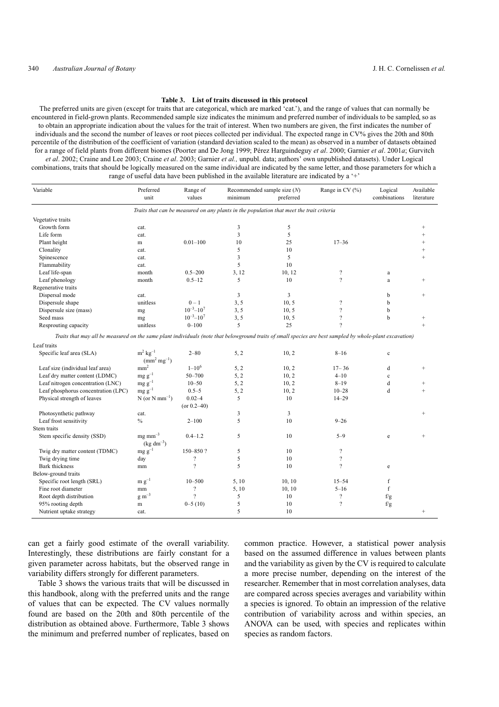#### **Table 3. List of traits discussed in this protocol**

The preferred units are given (except for traits that are categorical, which are marked 'cat.'), and the range of values that can normally be encountered in field-grown plants. Recommended sample size indicates the minimum and preferred number of individuals to be sampled, so as to obtain an appropriate indication about the values for the trait of interest. When two numbers are given, the first indicates the number of individuals and the second the number of leaves or root pieces collected per individual. The expected range in CV% gives the 20th and 80th percentile of the distribution of the coefficient of variation (standard deviation scaled to the mean) as observed in a number of datasets obtained for a range of field plants from different biomes (Poorter and De Jong 1999; Pérez Harguindeguy *et al*. 2000; Garnier *et al*. 2001*a*; Gurvitch *et al*. 2002; Craine and Lee 2003; Craine *et al*. 2003; Garnier *et al.,* unpubl. data; authors' own unpublished datasets). Under Logical combinations, traits that should be logically measured on the same individual are indicated by the same letter, and those parameters for which a range of useful data have been published in the available literature are indicated by a '+'

| Variable                                                                                                                                                 | Preferred<br>unit                              | Range of<br>values | minimum        | Recommended sample size $(N)$<br>preferred                                               | Range in CV $(%)$        | Logical<br>combinations | Available<br>literature |
|----------------------------------------------------------------------------------------------------------------------------------------------------------|------------------------------------------------|--------------------|----------------|------------------------------------------------------------------------------------------|--------------------------|-------------------------|-------------------------|
|                                                                                                                                                          |                                                |                    |                | Traits that can be measured on any plants in the population that meet the trait criteria |                          |                         |                         |
| Vegetative traits                                                                                                                                        |                                                |                    |                |                                                                                          |                          |                         |                         |
| Growth form                                                                                                                                              | cat.                                           |                    | 3              | 5                                                                                        |                          |                         | $^{+}$                  |
| Life form                                                                                                                                                | cat.                                           |                    | 3              | 5                                                                                        |                          |                         | $^{+}$                  |
| Plant height                                                                                                                                             | m                                              | $0.01 - 100$       | 10             | 25                                                                                       | $17 - 36$                |                         | $^{+}$                  |
| Clonality                                                                                                                                                | cat.                                           |                    | 5              | 10                                                                                       |                          |                         | $^{+}$                  |
| Spinescence                                                                                                                                              | cat.                                           |                    | 3              | 5                                                                                        |                          |                         | $^{+}$                  |
| Flammability                                                                                                                                             | cat.                                           |                    | 5              | 10                                                                                       |                          |                         |                         |
| Leaf life-span                                                                                                                                           | month                                          | $0.5 - 200$        | 3, 12          | 10, 12                                                                                   | $\overline{\mathcal{L}}$ | a                       |                         |
| Leaf phenology                                                                                                                                           | month                                          | $0.5 - 12$         | 5              | 10                                                                                       | $\overline{?}$           | a                       | $^{+}$                  |
| Regenerative traits                                                                                                                                      |                                                |                    |                |                                                                                          |                          |                         |                         |
| Dispersal mode                                                                                                                                           | cat.                                           |                    | $\overline{3}$ | 3                                                                                        |                          | b                       | $^{+}$                  |
| Dispersule shape                                                                                                                                         | unitless                                       | $0-1$              | 3, 5           | 10, 5                                                                                    | $\overline{\mathbf{?}}$  | b                       |                         |
| Dispersule size (mass)                                                                                                                                   | mg                                             | $10^{-3} - 10^{7}$ | 3, 5           | 10, 5                                                                                    | $\overline{\mathcal{L}}$ | b                       |                         |
| Seed mass                                                                                                                                                | mg                                             | $10^{-3} - 10^{7}$ | 3, 5           | 10, 5                                                                                    | $\overline{?}$           | b                       | $^{+}$                  |
| Resprouting capacity                                                                                                                                     | unitless                                       | $0 - 100$          | 5              | 25                                                                                       | 2                        |                         | $^{+}$                  |
| Traits that may all be measured on the same plant individuals (note that belowground traits of small species are best sampled by whole-plant excavation) |                                                |                    |                |                                                                                          |                          |                         |                         |
| Leaf traits                                                                                                                                              |                                                |                    |                |                                                                                          |                          |                         |                         |
| Specific leaf area (SLA)                                                                                                                                 | $m^2$ kg <sup>-1</sup><br>$(mm2 mg-1)$         | $2 - 80$           | 5, 2           | 10, 2                                                                                    | $8 - 16$                 | $\mathbf c$             |                         |
| Leaf size (individual leaf area)                                                                                                                         | mm <sup>2</sup>                                | $1 - 10^{6}$       | 5, 2           | 10, 2                                                                                    | $17 - 36$                | d                       | $^{+}$                  |
| Leaf dry matter content (LDMC)                                                                                                                           | $mg g^{-1}$                                    | $50 - 700$         | 5, 2           | 10, 2                                                                                    | $4 - 10$                 | $\mathbf c$             |                         |
| Leaf nitrogen concentration (LNC)                                                                                                                        | $mg g^{-1}$                                    | $10 - 50$          | 5, 2           | 10, 2                                                                                    | $8 - 19$                 | d                       | $^{+}$                  |
| Leaf phosphorus concentration (LPC)                                                                                                                      | $mg g^{-1}$                                    | $0.5 - 5$          | 5, 2           | 10, 2                                                                                    | $10 - 28$                | d                       | $\ddot{}$               |
| Physical strength of leaves                                                                                                                              | $N$ (or $N$ mm <sup>-1</sup> )                 | $0.02 - 4$         | 5              | 10                                                                                       | $14 - 29$                |                         |                         |
|                                                                                                                                                          |                                                | (or $0.2 - 40$ )   |                |                                                                                          |                          |                         |                         |
| Photosynthetic pathway                                                                                                                                   | cat.                                           |                    | 3              | 3                                                                                        |                          |                         | $^{+}$                  |
| Leaf frost sensitivity                                                                                                                                   | $\frac{0}{0}$                                  | $2 - 100$          | 5              | 10                                                                                       | $9 - 26$                 |                         |                         |
| Stem traits                                                                                                                                              |                                                |                    |                |                                                                                          |                          |                         |                         |
| Stem specific density (SSD)                                                                                                                              | $mg$ mm <sup>-3</sup><br>$(\text{kg dm}^{-3})$ | $0.4 - 1.2$        | 5              | 10                                                                                       | $5 - 9$                  | $\rm e$                 | $^{+}$                  |
| Twig dry matter content (TDMC)                                                                                                                           | $mg g^{-1}$                                    | 150-850?           | 5              | 10                                                                                       | $\overline{?}$           |                         |                         |
| Twig drying time                                                                                                                                         | day                                            | $\overline{\cdot}$ | 5              | 10                                                                                       | $\overline{?}$           |                         |                         |
| <b>Bark</b> thickness                                                                                                                                    | mm                                             | $\overline{?}$     | 5              | 10                                                                                       | $\overline{?}$           | $\rm e$                 |                         |
| Below-ground traits                                                                                                                                      |                                                |                    |                |                                                                                          |                          |                         |                         |
| Specific root length (SRL)                                                                                                                               | $m g^{-1}$                                     | $10 - 500$         | 5,10           | 10, 10                                                                                   | $15 - 54$                | $\mathbf f$             |                         |
| Fine root diameter                                                                                                                                       | mm                                             | $\overline{\cdot}$ | 5,10           | 10, 10                                                                                   | $5 - 16$                 | $\mathbf f$             |                         |
| Root depth distribution                                                                                                                                  | $\rm g~m^{-3}$                                 | $\gamma$           | 5              | 10                                                                                       | $\overline{\mathbf{?}}$  | f/g                     |                         |
| 95% rooting depth                                                                                                                                        | m                                              | $0 - 5(10)$        | 5              | 10                                                                                       | $\overline{\cdot}$       | f/g                     |                         |
| Nutrient uptake strategy                                                                                                                                 | cat.                                           |                    | 5              | 10                                                                                       |                          |                         | $^{+}$                  |

can get a fairly good estimate of the overall variability. Interestingly, these distributions are fairly constant for a given parameter across habitats, but the observed range in variability differs strongly for different parameters.

Table 3 shows the various traits that will be discussed in this handbook, along with the preferred units and the range of values that can be expected. The CV values normally found are based on the 20th and 80th percentile of the distribution as obtained above. Furthermore, Table 3 shows the minimum and preferred number of replicates, based on

common practice. However, a statistical power analysis based on the assumed difference in values between plants and the variability as given by the CV is required to calculate a more precise number, depending on the interest of the researcher. Remember that in most correlation analyses, data are compared across species averages and variability within a species is ignored. To obtain an impression of the relative contribution of variability across and within species, an ANOVA can be used, with species and replicates within species as random factors.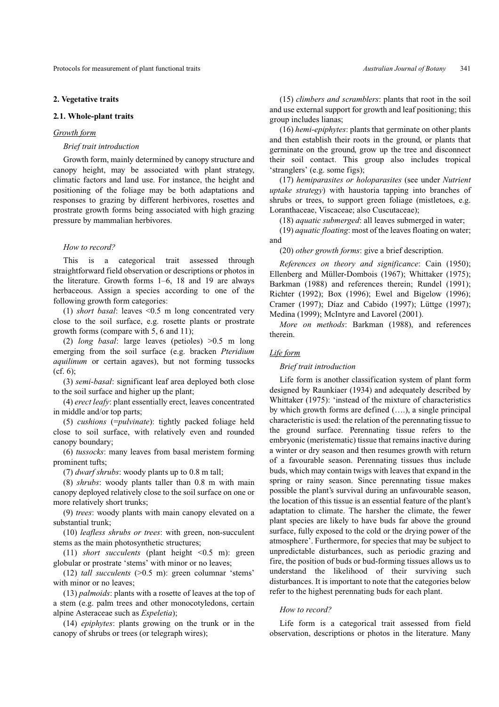Protocols for measurement of plant functional traits *Australian Journal of Botany* 341

## **2. Vegetative traits**

### **2***.***1. Whole-plant traits**

## *Growth form*

## *Brief trait introduction*

Growth form, mainly determined by canopy structure and canopy height, may be associated with plant strategy, climatic factors and land use. For instance, the height and positioning of the foliage may be both adaptations and responses to grazing by different herbivores, rosettes and prostrate growth forms being associated with high grazing pressure by mammalian herbivores.

#### *How to record?*

This is a categorical trait assessed through straightforward field observation or descriptions or photos in the literature. Growth forms 1–6, 18 and 19 are always herbaceous. Assign a species according to one of the following growth form categories:

(1) *short basal*: leaves <0.5 m long concentrated very close to the soil surface, e.g. rosette plants or prostrate growth forms (compare with 5, 6 and 11);

(2) *long basal*: large leaves (petioles) >0.5 m long emerging from the soil surface (e.g. bracken *Pteridium aquilinum* or certain agaves), but not forming tussocks (cf. 6);

(3) *semi-basal*: significant leaf area deployed both close to the soil surface and higher up the plant;

(4) *erect leafy*: plant essentially erect, leaves concentrated in middle and/or top parts;

(5) *cushions* (=*pulvinate*): tightly packed foliage held close to soil surface, with relatively even and rounded canopy boundary;

(6) *tussocks*: many leaves from basal meristem forming prominent tufts;

(7) *dwarf shrubs*: woody plants up to 0.8 m tall;

(8) *shrubs*: woody plants taller than 0.8 m with main canopy deployed relatively close to the soil surface on one or more relatively short trunks;

(9) *trees*: woody plants with main canopy elevated on a substantial trunk;

(10) *leafless shrubs or trees*: with green, non-succulent stems as the main photosynthetic structures;

(11) *short succulents* (plant height <0.5 m): green globular or prostrate 'stems' with minor or no leaves;

(12) *tall succulents* (>0.5 m): green columnar 'stems' with minor or no leaves;

(13) *palmoids*: plants with a rosette of leaves at the top of a stem (e.g. palm trees and other monocotyledons, certain alpine Asteraceae such as *Espeletia*);

(14) *epiphytes*: plants growing on the trunk or in the canopy of shrubs or trees (or telegraph wires);

(15) *climbers and scramblers*: plants that root in the soil and use external support for growth and leaf positioning; this group includes lianas;

(16) *hemi-epiphytes*: plants that germinate on other plants and then establish their roots in the ground, or plants that germinate on the ground, grow up the tree and disconnect their soil contact. This group also includes tropical 'stranglers' (e.g. some figs);

(17) *hemiparasites or holoparasites* (see under *Nutrient uptake strategy*) with haustoria tapping into branches of shrubs or trees, to support green foliage (mistletoes, e.g. Loranthaceae, Viscaceae; also Cuscutaceae);

(18) *aquatic submerged*: all leaves submerged in water;

(19) *aquatic floating*: most of the leaves floating on water; and

(20) *other growth forms*: give a brief description.

*References on theory and significance*: Cain (1950); Ellenberg and Müller-Dombois (1967); Whittaker (1975); Barkman (1988) and references therein; Rundel (1991); Richter (1992); Box (1996); Ewel and Bigelow (1996); Cramer (1997); Díaz and Cabido (1997); Lüttge (1997); Medina (1999); McIntyre and Lavorel (2001).

*More on methods*: Barkman (1988), and references therein.

## *Life form*

## *Brief trait introduction*

Life form is another classification system of plant form designed by Raunkiaer (1934) and adequately described by Whittaker (1975): 'instead of the mixture of characteristics by which growth forms are defined (….), a single principal characteristic is used: the relation of the perennating tissue to the ground surface. Perennating tissue refers to the embryonic (meristematic) tissue that remains inactive during a winter or dry season and then resumes growth with return of a favourable season. Perennating tissues thus include buds, which may contain twigs with leaves that expand in the spring or rainy season. Since perennating tissue makes possible the plant's survival during an unfavourable season, the location of this tissue is an essential feature of the plant's adaptation to climate. The harsher the climate, the fewer plant species are likely to have buds far above the ground surface, fully exposed to the cold or the drying power of the atmosphere'. Furthermore, for species that may be subject to unpredictable disturbances, such as periodic grazing and fire, the position of buds or bud-forming tissues allows us to understand the likelihood of their surviving such disturbances. It is important to note that the categories below refer to the highest perennating buds for each plant.

### *How to record?*

Life form is a categorical trait assessed from field observation, descriptions or photos in the literature. Many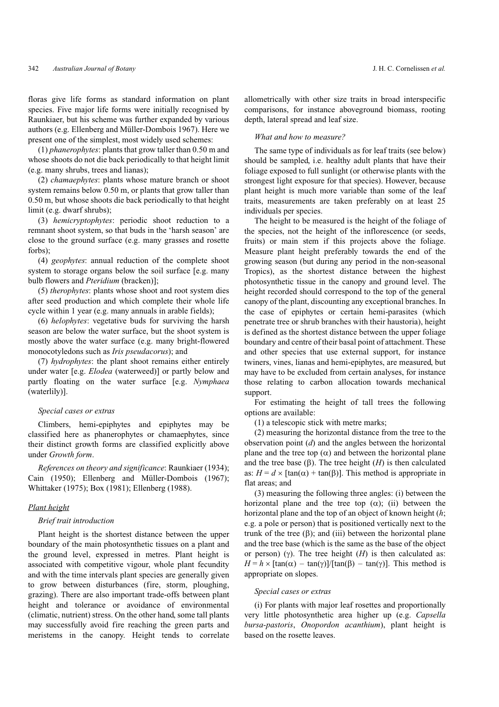floras give life forms as standard information on plant species. Five major life forms were initially recognised by Raunkiaer, but his scheme was further expanded by various authors (e.g. Ellenberg and Müller-Dombois 1967). Here we present one of the simplest, most widely used schemes:

(1) *phanerophytes*: plants that grow taller than 0.50 m and whose shoots do not die back periodically to that height limit (e.g. many shrubs, trees and lianas);

(2) *chamaephytes*: plants whose mature branch or shoot system remains below 0.50 m, or plants that grow taller than 0.50 m, but whose shoots die back periodically to that height limit (e.g. dwarf shrubs);

(3) *hemicryptophytes*: periodic shoot reduction to a remnant shoot system, so that buds in the 'harsh season' are close to the ground surface (e.g. many grasses and rosette forbs);

(4) *geophytes*: annual reduction of the complete shoot system to storage organs below the soil surface [e.g. many bulb flowers and *Pteridium* (bracken)];

(5) *therophytes*: plants whose shoot and root system dies after seed production and which complete their whole life cycle within 1 year (e.g. many annuals in arable fields);

(6) *helophytes*: vegetative buds for surviving the harsh season are below the water surface, but the shoot system is mostly above the water surface (e.g. many bright-flowered monocotyledons such as *Iris pseudacorus*); and

(7) *hydrophytes*: the plant shoot remains either entirely under water [e.g. *Elodea* (waterweed)] or partly below and partly floating on the water surface [e.g. *Nymphaea* (waterlily)].

## *Special cases or extras*

Climbers, hemi-epiphytes and epiphytes may be classified here as phanerophytes or chamaephytes, since their distinct growth forms are classified explicitly above under *Growth form*.

*References on theory and significance*: Raunkiaer (1934); Cain (1950); Ellenberg and Müller-Dombois (1967); Whittaker (1975); Box (1981); Ellenberg (1988).

## *Plant height*

## *Brief trait introduction*

Plant height is the shortest distance between the upper boundary of the main photosynthetic tissues on a plant and the ground level, expressed in metres. Plant height is associated with competitive vigour, whole plant fecundity and with the time intervals plant species are generally given to grow between disturbances (fire, storm, ploughing, grazing). There are also important trade-offs between plant height and tolerance or avoidance of environmental (climatic, nutrient) stress. On the other hand, some tall plants may successfully avoid fire reaching the green parts and meristems in the canopy. Height tends to correlate

allometrically with other size traits in broad interspecific comparisons, for instance aboveground biomass, rooting depth, lateral spread and leaf size.

#### *What and how to measure?*

The same type of individuals as for leaf traits (see below) should be sampled, i.e. healthy adult plants that have their foliage exposed to full sunlight (or otherwise plants with the strongest light exposure for that species). However, because plant height is much more variable than some of the leaf traits, measurements are taken preferably on at least 25 individuals per species.

The height to be measured is the height of the foliage of the species, not the height of the inflorescence (or seeds, fruits) or main stem if this projects above the foliage. Measure plant height preferably towards the end of the growing season (but during any period in the non-seasonal Tropics), as the shortest distance between the highest photosynthetic tissue in the canopy and ground level. The height recorded should correspond to the top of the general canopy of the plant, discounting any exceptional branches. In the case of epiphytes or certain hemi-parasites (which penetrate tree or shrub branches with their haustoria), height is defined as the shortest distance between the upper foliage boundary and centre of their basal point of attachment. These and other species that use external support, for instance twiners, vines, lianas and hemi-epiphytes, are measured, but may have to be excluded from certain analyses, for instance those relating to carbon allocation towards mechanical support.

For estimating the height of tall trees the following options are available:

(1) a telescopic stick with metre marks;

(2) measuring the horizontal distance from the tree to the observation point (*d*) and the angles between the horizontal plane and the tree top  $(\alpha)$  and between the horizontal plane and the tree base  $(\beta)$ . The tree height  $(H)$  is then calculated as:  $H = d \times [\tan(\alpha) + \tan(\beta)]$ . This method is appropriate in flat areas; and

(3) measuring the following three angles: (i) between the horizontal plane and the tree top  $(\alpha)$ ; (ii) between the horizontal plane and the top of an object of known height (*h*; e.g. a pole or person) that is positioned vertically next to the trunk of the tree (β); and (iii) between the horizontal plane and the tree base (which is the same as the base of the object or person) (γ). The tree height (*H*) is then calculated as: *H* = *h* × [tan( $\alpha$ ) – tan( $\gamma$ )]/[tan( $\beta$ ) – tan( $\gamma$ )]. This method is appropriate on slopes.

#### *Special cases or extras*

(i) For plants with major leaf rosettes and proportionally very little photosynthetic area higher up (e.g. *Capsella bursa-pastoris*, *Onopordon acanthium*), plant height is based on the rosette leaves.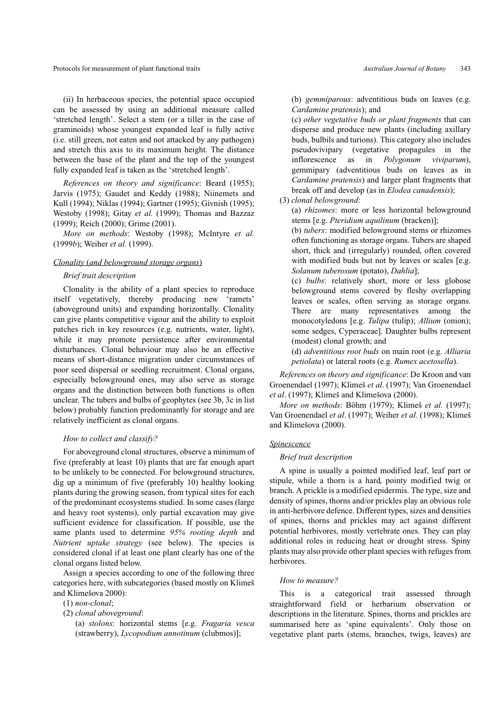Protocols for measurement of plant functional traits *Australian Journal of Botany* 343

(ii) In herbaceous species, the potential space occupied can be assessed by using an additional measure called 'stretched length'. Select a stem (or a tiller in the case of graminoids) whose youngest expanded leaf is fully active (i.e. still green, not eaten and not attacked by any pathogen) and stretch this axis to its maximum height. The distance between the base of the plant and the top of the youngest fully expanded leaf is taken as the 'stretched length'.

*References on theory and significance*: Beard (1955); Jarvis (1975); Gaudet and Keddy (1988); Niinemets and Kull (1994); Niklas (1994); Gartner (1995); Givnish (1995); Westoby (1998); Gitay *et al.* (1999); Thomas and Bazzaz (1999); Reich (2000); Grime (2001).

*More on methods*: Westoby (1998); McIntyre *et al.* (1999*b*); Weiher *et al.* (1999).

## *Clonality* (*and belowground storage organs*)

## *Brief trait description*

Clonality is the ability of a plant species to reproduce itself vegetatively, thereby producing new 'ramets' (aboveground units) and expanding horizontally. Clonality can give plants competitive vigour and the ability to exploit patches rich in key resources (e.g. nutrients, water, light), while it may promote persistence after environmental disturbances. Clonal behaviour may also be an effective means of short-distance migration under circumstances of poor seed dispersal or seedling recruitment. Clonal organs, especially belowground ones, may also serve as storage organs and the distinction between both functions is often unclear. The tubers and bulbs of geophytes (see 3b, 3c in list below) probably function predominantly for storage and are relatively inefficient as clonal organs.

## *How to collect and classify?*

For aboveground clonal structures, observe a minimum of five (preferably at least 10) plants that are far enough apart to be unlikely to be connected. For belowground structures, dig up a minimum of five (preferably 10) healthy looking plants during the growing season, from typical sites for each of the predominant ecosystems studied. In some cases (large and heavy root systems), only partial excavation may give sufficient evidence for classification. If possible, use the same plants used to determine *95% rooting depth* and *Nutrient uptake strategy* (see below). The species is considered clonal if at least one plant clearly has one of the clonal organs listed below.

Assign a species according to one of the following three categories here, with subcategories (based mostly on Klimeš and Klimešova 2000):

(1) *non-clonal*;

(2) *clonal aboveground*:

(a) *stolons*: horizontal stems [e.g. *Fragaria vesca* (strawberry), *Lycopodium annotinum* (clubmos)];

(b) *gemmiparous*: adventitious buds on leaves (e.g. *Cardamine pratensis*); and

(c) *other vegetative buds or plant fragments* that can disperse and produce new plants (including axillary buds, bulbils and turions). This category also includes pseudovivipary (vegetative propagules in the inflorescence as in *Polygonum viviparum*), gemmipary (adventitious buds on leaves as in *Cardamine pratensis*) and larger plant fragments that break off and develop (as in *Elodea canadensis*);

(3) *clonal belowground*:

(a) *rhizomes*: more or less horizontal belowground stems [e.g. *Pteridium aquilinum* (bracken)];

(b) *tubers*: modified belowground stems or rhizomes often functioning as storage organs. Tubers are shaped short, thick and (irregularly) rounded, often covered with modified buds but not by leaves or scales [e.g. *Solanum tuberosum* (potato), *Dahlia*];

(c) *bulbs*: relatively short, more or less globose belowground stems covered by fleshy overlapping leaves or scales, often serving as storage organs. There are many representatives among the monocotyledons [e.g. *Tulipa* (tulip); *Allium* (onion); some sedges, Cyperaceae]. Daughter bulbs represent (modest) clonal growth; and

(d) *adventitious root buds* on main root (e.g. *Alliaria petiolata*) or lateral roots (e.g. *Rumex acetosella*).

*References on theory and significance*: De Kroon and van Groenendael (1997); Klimeš *et al*. (1997); Van Groenendael *et al*. (1997); Klimeš and Klimešova (2000).

*More on methods*: Böhm (1979); Klimeš *et al.* (1997); Van Groenendael *et al*. (1997); Weiher *et al*. (1998); Klimeš and Klimešova (2000).

### *Spinescence*

## *Brief trait description*

A spine is usually a pointed modified leaf, leaf part or stipule, while a thorn is a hard, pointy modified twig or branch. A prickle is a modified epidermis. The type, size and density of spines, thorns and/or prickles play an obvious role in anti-herbivore defence. Different types, sizes and densities of spines, thorns and prickles may act against different potential herbivores, mostly vertebrate ones. They can play additional roles in reducing heat or drought stress. Spiny plants may also provide other plant species with refuges from herbivores.

### *How to measure?*

This is a categorical trait assessed through straightforward field or herbarium observation or descriptions in the literature. Spines, thorns and prickles are summarised here as 'spine equivalents'. Only those on vegetative plant parts (stems, branches, twigs, leaves) are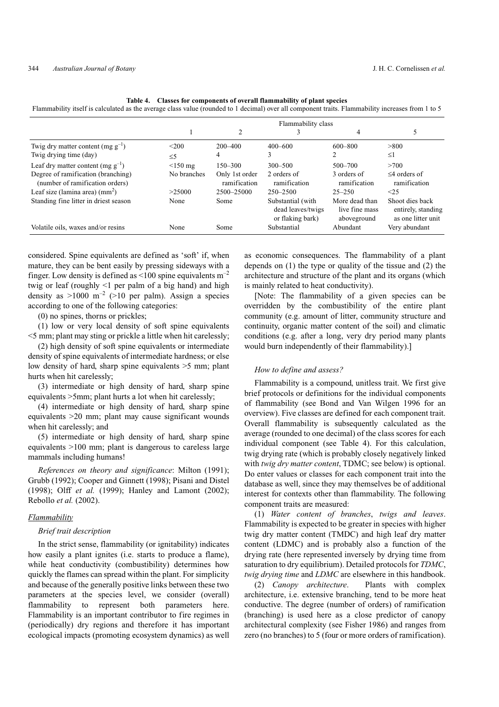|                                                                       |             |                                | Flammability class                                         |                                                 |                                                             |
|-----------------------------------------------------------------------|-------------|--------------------------------|------------------------------------------------------------|-------------------------------------------------|-------------------------------------------------------------|
|                                                                       |             |                                |                                                            | 4                                               | 5                                                           |
| Twig dry matter content (mg $g^{-1}$ )                                | < 200       | $200 - 400$                    | $400 - 600$                                                | $600 - 800$                                     | > 800                                                       |
| Twig drying time (day)                                                | $\leq 5$    | 4                              |                                                            | 2                                               | $\leq1$                                                     |
| Leaf dry matter content (mg $g^{-1}$ )                                | $<$ 150 mg  | $150 - 300$                    | $300 - 500$                                                | $500 - 700$                                     | >700                                                        |
| Degree of ramification (branching)<br>(number of ramification orders) | No branches | Only 1st order<br>ramification | 2 orders of<br>ramification                                | 3 orders of<br>ramification                     | $\leq$ 4 orders of<br>ramification                          |
| Leaf size (lamina area) $\text{(mm}^2)$                               | >25000      | 2500-25000                     | 250–2500                                                   | $25 - 250$                                      | $\leq$ 25                                                   |
| Standing fine litter in driest season                                 | None        | Some                           | Substantial (with<br>dead leaves/twigs<br>or flaking bark) | More dead than<br>live fine mass<br>aboveground | Shoot dies back<br>entirely, standing<br>as one litter unit |
| Volatile oils, waxes and/or resins                                    | None        | Some                           | Substantial                                                | Abundant                                        | Very abundant                                               |

**Table 4. Classes for components of overall flammability of plant species**

Flammability itself is calculated as the average class value (rounded to 1 decimal) over all component traits. Flammability increases from 1 to 5

considered. Spine equivalents are defined as 'soft' if, when mature, they can be bent easily by pressing sideways with a finger. Low density is defined as  $\leq 100$  spine equivalents m<sup>-2</sup> twig or leaf (roughly <1 per palm of a big hand) and high density as  $>1000$  m<sup>-2</sup> ( $>10$  per palm). Assign a species according to one of the following categories:

(0) no spines, thorns or prickles;

(1) low or very local density of soft spine equivalents <5 mm; plant may sting or prickle a little when hit carelessly;

(2) high density of soft spine equivalents or intermediate density of spine equivalents of intermediate hardness; or else low density of hard, sharp spine equivalents >5 mm; plant hurts when hit carelessly;

(3) intermediate or high density of hard, sharp spine equivalents >5mm; plant hurts a lot when hit carelessly;

(4) intermediate or high density of hard, sharp spine equivalents >20 mm; plant may cause significant wounds when hit carelessly; and

(5) intermediate or high density of hard, sharp spine equivalents >100 mm; plant is dangerous to careless large mammals including humans!

*References on theory and significance*: Milton (1991); Grubb (1992); Cooper and Ginnett (1998); Pisani and Distel (1998); Olff *et al.* (1999); Hanley and Lamont (2002); Rebollo *et al.* (2002).

## *Flammability*

#### *Brief trait description*

In the strict sense, flammability (or ignitability) indicates how easily a plant ignites (i.e. starts to produce a flame), while heat conductivity (combustibility) determines how quickly the flames can spread within the plant. For simplicity and because of the generally positive links between these two parameters at the species level, we consider (overall) flammability to represent both parameters here. Flammability is an important contributor to fire regimes in (periodically) dry regions and therefore it has important ecological impacts (promoting ecosystem dynamics) as well

as economic consequences. The flammability of a plant depends on (1) the type or quality of the tissue and (2) the architecture and structure of the plant and its organs (which is mainly related to heat conductivity).

[Note: The flammability of a given species can be overridden by the combustibility of the entire plant community (e.g. amount of litter, community structure and continuity, organic matter content of the soil) and climatic conditions (e.g. after a long, very dry period many plants would burn independently of their flammability).]

#### *How to define and assess?*

Flammability is a compound, unitless trait. We first give brief protocols or definitions for the individual components of flammability (see Bond and Van Wilgen 1996 for an overview). Five classes are defined for each component trait. Overall flammability is subsequently calculated as the average (rounded to one decimal) of the class scores for each individual component (see Table 4). For this calculation, twig drying rate (which is probably closely negatively linked with *twig dry matter content*, TDMC; see below) is optional. Do enter values or classes for each component trait into the database as well, since they may themselves be of additional interest for contexts other than flammability. The following component traits are measured:

(1) *Water content of branches*, *twigs and leaves*. Flammability is expected to be greater in species with higher twig dry matter content (TMDC) and high leaf dry matter content (LDMC) and is probably also a function of the drying rate (here represented inversely by drying time from saturation to dry equilibrium). Detailed protocols for *TDMC*, *twig drying time* and *LDMC* are elsewhere in this handbook.

(2) *Canopy architecture*. Plants with complex architecture, i.e. extensive branching, tend to be more heat conductive. The degree (number of orders) of ramification (branching) is used here as a close predictor of canopy architectural complexity (see Fisher 1986) and ranges from zero (no branches) to 5 (four or more orders of ramification).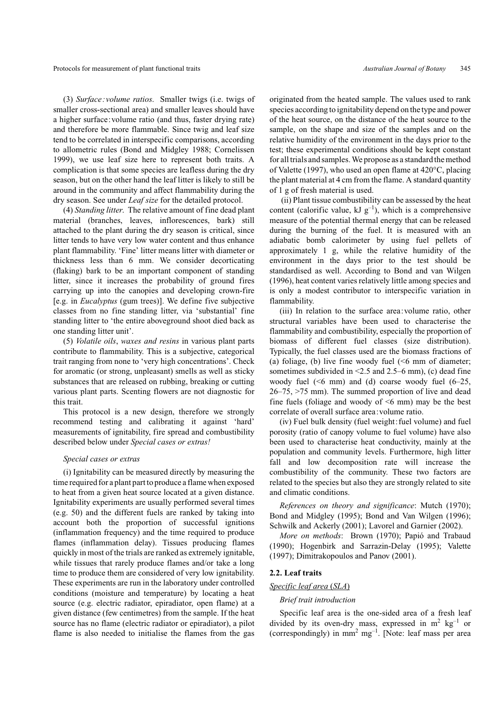(3) *Surface:volume ratios*. Smaller twigs (i.e. twigs of smaller cross-sectional area) and smaller leaves should have a higher surface:volume ratio (and thus, faster drying rate) and therefore be more flammable. Since twig and leaf size tend to be correlated in interspecific comparisons, according to allometric rules (Bond and Midgley 1988; Cornelissen 1999), we use leaf size here to represent both traits. A complication is that some species are leafless during the dry season, but on the other hand the leaf litter is likely to still be around in the community and affect flammability during the dry season. See under *Leaf size* for the detailed protocol.

(4) *Standing litter*. The relative amount of fine dead plant material (branches, leaves, inflorescences, bark) still attached to the plant during the dry season is critical, since litter tends to have very low water content and thus enhance plant flammability. 'Fine' litter means litter with diameter or thickness less than 6 mm. We consider decorticating (flaking) bark to be an important component of standing litter, since it increases the probability of ground fires carrying up into the canopies and developing crown-fire [e.g. in *Eucalyptus* (gum trees)]. We define five subjective classes from no fine standing litter, via 'substantial' fine standing litter to 'the entire aboveground shoot died back as one standing litter unit'.

(5) *Volatile oils*, *waxes and resins* in various plant parts contribute to flammability. This is a subjective, categorical trait ranging from none to 'very high concentrations'. Check for aromatic (or strong, unpleasant) smells as well as sticky substances that are released on rubbing, breaking or cutting various plant parts. Scenting flowers are not diagnostic for this trait.

This protocol is a new design, therefore we strongly recommend testing and calibrating it against 'hard' measurements of ignitability, fire spread and combustibility described below under *Special cases or extras!*

#### *Special cases or extras*

(i) Ignitability can be measured directly by measuring the time required for a plant part to produce a flame when exposed to heat from a given heat source located at a given distance. Ignitability experiments are usually performed several times (e.g. 50) and the different fuels are ranked by taking into account both the proportion of successful ignitions (inflammation frequency) and the time required to produce flames (inflammation delay). Tissues producing flames quickly in most of the trials are ranked as extremely ignitable, while tissues that rarely produce flames and/or take a long time to produce them are considered of very low ignitability. These experiments are run in the laboratory under controlled conditions (moisture and temperature) by locating a heat source (e.g. electric radiator, epiradiator, open flame) at a given distance (few centimetres) from the sample. If the heat source has no flame (electric radiator or epiradiator), a pilot flame is also needed to initialise the flames from the gas

originated from the heated sample. The values used to rank species according to ignitability depend on the type and power of the heat source, on the distance of the heat source to the sample, on the shape and size of the samples and on the relative humidity of the environment in the days prior to the test; these experimental conditions should be kept constant for all trials and samples. We propose as a standard the method of Valette (1997), who used an open flame at 420°C, placing the plant material at 4 cm from the flame. A standard quantity of 1 g of fresh material is used.

 (ii) Plant tissue combustibility can be assessed by the heat content (calorific value, kJ  $g^{-1}$ ), which is a comprehensive measure of the potential thermal energy that can be released during the burning of the fuel. It is measured with an adiabatic bomb calorimeter by using fuel pellets of approximately 1 g, while the relative humidity of the environment in the days prior to the test should be standardised as well. According to Bond and van Wilgen (1996), heat content varies relatively little among species and is only a modest contributor to interspecific variation in flammability.

(iii) In relation to the surface area:volume ratio, other structural variables have been used to characterise the flammability and combustibility, especially the proportion of biomass of different fuel classes (size distribution). Typically, the fuel classes used are the biomass fractions of (a) foliage, (b) live fine woody fuel  $(56 \text{ mm of diameter})$ ; sometimes subdivided in <2.5 and 2.5–6 mm), (c) dead fine woody fuel  $(5 \text{ mm})$  and  $(d)$  coarse woody fuel  $(6-25,$ 26–75, >75 mm). The summed proportion of live and dead fine fuels (foliage and woody of  $\leq 6$  mm) may be the best correlate of overall surface area:volume ratio.

(iv) Fuel bulk density (fuel weight:fuel volume) and fuel porosity (ratio of canopy volume to fuel volume) have also been used to characterise heat conductivity, mainly at the population and community levels. Furthermore, high litter fall and low decomposition rate will increase the combustibility of the community. These two factors are related to the species but also they are strongly related to site and climatic conditions.

*References on theory and significance*: Mutch (1970); Bond and Midgley (1995); Bond and Van Wilgen (1996); Schwilk and Ackerly (2001); Lavorel and Garnier (2002).

*More on methods*: Brown (1970); Papió and Trabaud (1990); Hogenbirk and Sarrazin-Delay (1995); Valette (1997); Dimitrakopoulos and Panov (2001).

### **2***.***2. Leaf traits**

#### *Specific leaf area* (*SLA*)

## *Brief trait introduction*

Specific leaf area is the one-sided area of a fresh leaf divided by its oven-dry mass, expressed in  $m^2$  kg<sup>-1</sup> or (correspondingly) in mm<sup>2</sup> mg<sup>-1</sup>. [Note: leaf mass per area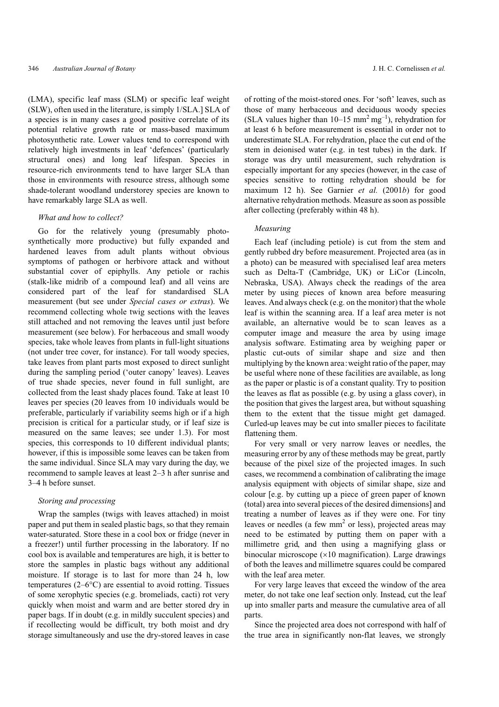(LMA), specific leaf mass (SLM) or specific leaf weight (SLW), often used in the literature, is simply 1/SLA.] SLA of a species is in many cases a good positive correlate of its potential relative growth rate or mass-based maximum photosynthetic rate. Lower values tend to correspond with relatively high investments in leaf 'defences' (particularly structural ones) and long leaf lifespan. Species in resource-rich environments tend to have larger SLA than those in environments with resource stress, although some shade-tolerant woodland understorey species are known to have remarkably large SLA as well.

## *What and how to collect?*

Go for the relatively young (presumably photosynthetically more productive) but fully expanded and hardened leaves from adult plants without obvious symptoms of pathogen or herbivore attack and without substantial cover of epiphylls. Any petiole or rachis (stalk-like midrib of a compound leaf) and all veins are considered part of the leaf for standardised SLA measurement (but see under *Special cases or extras*). We recommend collecting whole twig sections with the leaves still attached and not removing the leaves until just before measurement (see below). For herbaceous and small woody species, take whole leaves from plants in full-light situations (not under tree cover, for instance). For tall woody species, take leaves from plant parts most exposed to direct sunlight during the sampling period ('outer canopy' leaves). Leaves of true shade species, never found in full sunlight, are collected from the least shady places found. Take at least 10 leaves per species (20 leaves from 10 individuals would be preferable, particularly if variability seems high or if a high precision is critical for a particular study, or if leaf size is measured on the same leaves; see under 1.3). For most species, this corresponds to 10 different individual plants; however, if this is impossible some leaves can be taken from the same individual. Since SLA may vary during the day, we recommend to sample leaves at least 2–3 h after sunrise and 3–4 h before sunset.

### *Storing and processing*

Wrap the samples (twigs with leaves attached) in moist paper and put them in sealed plastic bags, so that they remain water-saturated. Store these in a cool box or fridge (never in a freezer!) until further processing in the laboratory. If no cool box is available and temperatures are high, it is better to store the samples in plastic bags without any additional moisture. If storage is to last for more than 24 h, low temperatures (2–6°C) are essential to avoid rotting. Tissues of some xerophytic species (e.g. bromeliads, cacti) rot very quickly when moist and warm and are better stored dry in paper bags. If in doubt (e.g. in mildly succulent species) and if recollecting would be difficult, try both moist and dry storage simultaneously and use the dry-stored leaves in case

of rotting of the moist-stored ones. For 'soft' leaves, such as those of many herbaceous and deciduous woody species (SLA values higher than  $10-15$  mm<sup>2</sup> mg<sup>-1</sup>), rehydration for at least 6 h before measurement is essential in order not to underestimate SLA. For rehydration, place the cut end of the stem in deionised water (e.g. in test tubes) in the dark. If storage was dry until measurement, such rehydration is especially important for any species (however, in the case of species sensitive to rotting rehydration should be for maximum 12 h). See Garnier *et al.* (2001*b*) for good alternative rehydration methods. Measure as soon as possible after collecting (preferably within 48 h).

## *Measuring*

Each leaf (including petiole) is cut from the stem and gently rubbed dry before measurement. Projected area (as in a photo) can be measured with specialised leaf area meters such as Delta-T (Cambridge, UK) or LiCor (Lincoln, Nebraska, USA). Always check the readings of the area meter by using pieces of known area before measuring leaves. And always check (e.g. on the monitor) that the whole leaf is within the scanning area. If a leaf area meter is not available, an alternative would be to scan leaves as a computer image and measure the area by using image analysis software. Estimating area by weighing paper or plastic cut-outs of similar shape and size and then multiplying by the known area:weight ratio of the paper, may be useful where none of these facilities are available, as long as the paper or plastic is of a constant quality. Try to position the leaves as flat as possible (e.g. by using a glass cover), in the position that gives the largest area, but without squashing them to the extent that the tissue might get damaged. Curled-up leaves may be cut into smaller pieces to facilitate flattening them.

For very small or very narrow leaves or needles, the measuring error by any of these methods may be great, partly because of the pixel size of the projected images. In such cases, we recommend a combination of calibrating the image analysis equipment with objects of similar shape, size and colour [e.g. by cutting up a piece of green paper of known (total) area into several pieces of the desired dimensions] and treating a number of leaves as if they were one. For tiny leaves or needles (a few mm<sup>2</sup> or less), projected areas may need to be estimated by putting them on paper with a millimetre grid, and then using a magnifying glass or binocular microscope (×10 magnification). Large drawings of both the leaves and millimetre squares could be compared with the leaf area meter.

For very large leaves that exceed the window of the area meter, do not take one leaf section only. Instead, cut the leaf up into smaller parts and measure the cumulative area of all parts.

Since the projected area does not correspond with half of the true area in significantly non-flat leaves, we strongly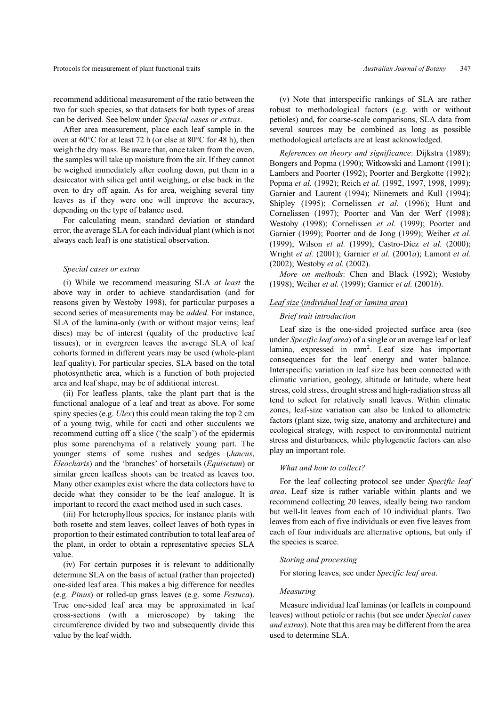recommend additional measurement of the ratio between the two for such species, so that datasets for both types of areas can be derived. See below under *Special cases or extras*.

After area measurement, place each leaf sample in the oven at 60°C for at least 72 h (or else at 80°C for 48 h), then weigh the dry mass. Be aware that, once taken from the oven, the samples will take up moisture from the air. If they cannot be weighed immediately after cooling down, put them in a desiccator with silica gel until weighing, or else back in the oven to dry off again. As for area, weighing several tiny leaves as if they were one will improve the accuracy, depending on the type of balance used.

For calculating mean, standard deviation or standard error, the average SLA for each individual plant (which is not always each leaf) is one statistical observation.

## *Special cases or extras*

(i) While we recommend measuring SLA *at least* the above way in order to achieve standardisation (and for reasons given by Westoby 1998), for particular purposes a second series of measurements may be *added*. For instance, SLA of the lamina-only (with or without major veins; leaf discs) may be of interest (quality of the productive leaf tissues), or in evergreen leaves the average SLA of leaf cohorts formed in different years may be used (whole-plant leaf quality). For particular species, SLA based on the total photosynthetic area, which is a function of both projected area and leaf shape, may be of additional interest.

(ii) For leafless plants, take the plant part that is the functional analogue of a leaf and treat as above. For some spiny species (e.g. *Ulex*) this could mean taking the top 2 cm of a young twig, while for cacti and other succulents we recommend cutting off a slice ('the scalp') of the epidermis plus some parenchyma of a relatively young part. The younger stems of some rushes and sedges (*Juncus*, *Eleocharis*) and the 'branches' of horsetails (*Equisetum*) or similar green leafless shoots can be treated as leaves too. Many other examples exist where the data collectors have to decide what they consider to be the leaf analogue. It is important to record the exact method used in such cases.

(iii) For heterophyllous species, for instance plants with both rosette and stem leaves, collect leaves of both types in proportion to their estimated contribution to total leaf area of the plant, in order to obtain a representative species SLA value.

(iv) For certain purposes it is relevant to additionally determine SLA on the basis of actual (rather than projected) one-sided leaf area. This makes a big difference for needles (e.g. *Pinus*) or rolled-up grass leaves (e.g. some *Festuca*). True one-sided leaf area may be approximated in leaf cross-sections (with a microscope) by taking the circumference divided by two and subsequently divide this value by the leaf width.

methodological artefacts are at least acknowledged. *References on theory and significance*: Dijkstra (1989); Bongers and Popma (1990); Witkowski and Lamont (1991); Lambers and Poorter (1992); Poorter and Bergkotte (1992); Popma *et al.* (1992); Reich *et al.* (1992, 1997, 1998, 1999); Garnier and Laurent (1994); Niinemets and Kull (1994); Shipley (1995); Cornelissen *et al.* (1996); Hunt and Cornelissen (1997); Poorter and Van der Werf (1998); Westoby (1998); Cornelissen *et al.* (1999); Poorter and Garnier (1999); Poorter and de Jong (1999); Weiher *et al.* (1999); Wilson *et al.* (1999); Castro-Díez *et al.* (2000); Wright *et al.* (2001); Garnier *et al.* (2001*a*); Lamont *et al.* (2002); Westoby *et al.* (2002).

several sources may be combined as long as possible

*More on methods*: Chen and Black (1992); Westoby (1998); Weiher *et al.* (1999); Garnier *et al.* (2001*b*).

#### *Leaf size* (*individual leaf or lamina area*)

#### *Brief trait introduction*

Leaf size is the one-sided projected surface area (see under *Specific leaf area*) of a single or an average leaf or leaf lamina, expressed in mm<sup>2</sup>. Leaf size has important consequences for the leaf energy and water balance. Interspecific variation in leaf size has been connected with climatic variation, geology, altitude or latitude, where heat stress, cold stress, drought stress and high-radiation stress all tend to select for relatively small leaves. Within climatic zones, leaf-size variation can also be linked to allometric factors (plant size, twig size, anatomy and architecture) and ecological strategy, with respect to environmental nutrient stress and disturbances, while phylogenetic factors can also play an important role.

## *What and how to collect?*

For the leaf collecting protocol see under *Specific leaf area*. Leaf size is rather variable within plants and we recommend collecting 20 leaves, ideally being two random but well-lit leaves from each of 10 individual plants. Two leaves from each of five individuals or even five leaves from each of four individuals are alternative options, but only if the species is scarce.

#### *Storing and processing*

For storing leaves, see under *Specific leaf area*.

## *Measuring*

Measure individual leaf laminas (or leaflets in compound leaves) without petiole or rachis (but see under *Special cases and extras*). Note that this area may be different from the area used to determine SLA.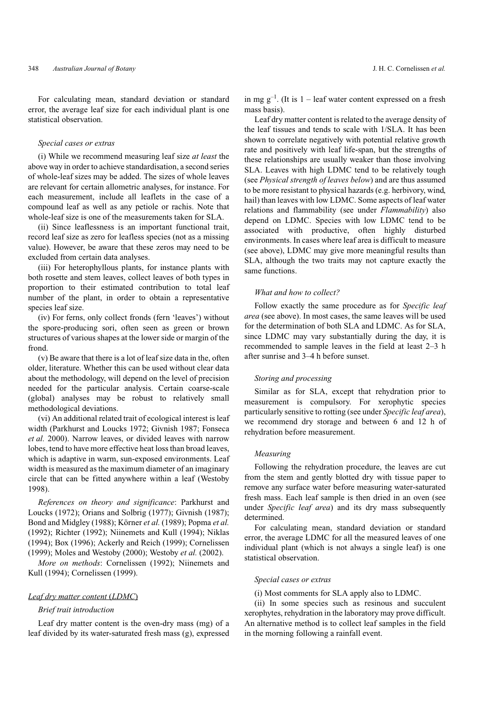For calculating mean, standard deviation or standard error, the average leaf size for each individual plant is one statistical observation.

### *Special cases or extras*

(i) While we recommend measuring leaf size *at least* the above way in order to achieve standardisation, a second series of whole-leaf sizes may be added. The sizes of whole leaves are relevant for certain allometric analyses, for instance. For each measurement, include all leaflets in the case of a compound leaf as well as any petiole or rachis. Note that whole-leaf size is one of the measurements taken for SLA.

(ii) Since leaflessness is an important functional trait, record leaf size as zero for leafless species (not as a missing value). However, be aware that these zeros may need to be excluded from certain data analyses.

(iii) For heterophyllous plants, for instance plants with both rosette and stem leaves, collect leaves of both types in proportion to their estimated contribution to total leaf number of the plant, in order to obtain a representative species leaf size.

(iv) For ferns, only collect fronds (fern 'leaves') without the spore-producing sori, often seen as green or brown structures of various shapes at the lower side or margin of the frond.

(v) Be aware that there is a lot of leaf size data in the, often older, literature. Whether this can be used without clear data about the methodology, will depend on the level of precision needed for the particular analysis. Certain coarse-scale (global) analyses may be robust to relatively small methodological deviations.

(vi) An additional related trait of ecological interest is leaf width (Parkhurst and Loucks 1972; Givnish 1987; Fonseca *et al.* 2000). Narrow leaves, or divided leaves with narrow lobes, tend to have more effective heat loss than broad leaves, which is adaptive in warm, sun-exposed environments. Leaf width is measured as the maximum diameter of an imaginary circle that can be fitted anywhere within a leaf (Westoby 1998).

*References on theory and significance*: Parkhurst and Loucks (1972); Orians and Solbrig (1977); Givnish (1987); Bond and Midgley (1988); Körner *et al.* (1989); Popma *et al.* (1992); Richter (1992); Niinemets and Kull (1994); Niklas (1994); Box (1996); Ackerly and Reich (1999); Cornelissen (1999); Moles and Westoby (2000); Westoby *et al.* (2002).

*More on methods*: Cornelissen (1992); Niinemets and Kull (1994); Cornelissen (1999).

#### *Leaf dry matter content* (*LDMC*)

### *Brief trait introduction*

Leaf dry matter content is the oven-dry mass (mg) of a leaf divided by its water-saturated fresh mass (g), expressed

in mg  $g^{-1}$ . (It is 1 – leaf water content expressed on a fresh mass basis).

Leaf dry matter content is related to the average density of the leaf tissues and tends to scale with 1/SLA. It has been shown to correlate negatively with potential relative growth rate and positively with leaf life-span, but the strengths of these relationships are usually weaker than those involving SLA. Leaves with high LDMC tend to be relatively tough (see *Physical strength of leaves below*) and are thus assumed to be more resistant to physical hazards (e.g. herbivory, wind, hail) than leaves with low LDMC. Some aspects of leaf water relations and flammability (see under *Flammability*) also depend on LDMC. Species with low LDMC tend to be associated with productive, often highly disturbed environments. In cases where leaf area is difficult to measure (see above), LDMC may give more meaningful results than SLA, although the two traits may not capture exactly the same functions.

## *What and how to collect?*

Follow exactly the same procedure as for *Specific leaf area* (see above). In most cases, the same leaves will be used for the determination of both SLA and LDMC. As for SLA, since LDMC may vary substantially during the day, it is recommended to sample leaves in the field at least 2–3 h after sunrise and 3–4 h before sunset.

#### *Storing and processing*

Similar as for SLA, except that rehydration prior to measurement is compulsory. For xerophytic species particularly sensitive to rotting (see under *Specific leaf area*), we recommend dry storage and between 6 and 12 h of rehydration before measurement.

#### *Measuring*

Following the rehydration procedure, the leaves are cut from the stem and gently blotted dry with tissue paper to remove any surface water before measuring water-saturated fresh mass. Each leaf sample is then dried in an oven (see under *Specific leaf area*) and its dry mass subsequently determined.

For calculating mean, standard deviation or standard error, the average LDMC for all the measured leaves of one individual plant (which is not always a single leaf) is one statistical observation.

## *Special cases or extras*

(i) Most comments for SLA apply also to LDMC.

(ii) In some species such as resinous and succulent xerophytes, rehydration in the laboratory may prove difficult. An alternative method is to collect leaf samples in the field in the morning following a rainfall event.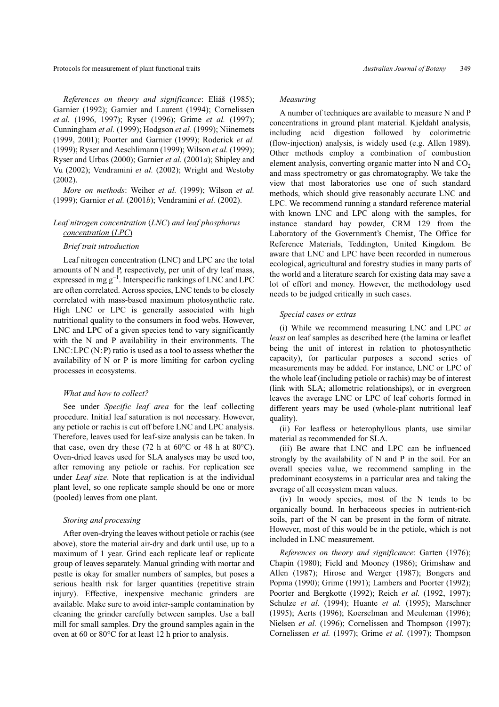Protocols for measurement of plant functional traits *Australian Journal of Botany* 349

*References on theory and significance*: Eliáš (1985); Garnier (1992); Garnier and Laurent (1994); Cornelissen *et al.* (1996, 1997); Ryser (1996); Grime *et al.* (1997); Cunningham *et al.* (1999); Hodgson *et al.* (1999); Niinemets (1999, 2001); Poorter and Garnier (1999); Roderick *et al.* (1999); Ryser and Aeschlimann (1999); Wilson *et al.* (1999); Ryser and Urbas (2000); Garnier *et al.* (2001*a*); Shipley and Vu (2002); Vendramini *et al.* (2002); Wright and Westoby (2002).

*More on methods*: Weiher *et al.* (1999); Wilson *et al.* (1999); Garnier *et al.* (2001*b*); Vendramini *et al.* (2002).

## *Leaf nitrogen concentration* (*LNC*) *and leaf phosphorus concentration* (*LPC*)

#### *Brief trait introduction*

Leaf nitrogen concentration (LNC) and LPC are the total amounts of N and P, respectively, per unit of dry leaf mass, expressed in mg  $g^{-1}$ . Interspecific rankings of LNC and LPC are often correlated. Across species, LNC tends to be closely correlated with mass-based maximum photosynthetic rate. High LNC or LPC is generally associated with high nutritional quality to the consumers in food webs. However, LNC and LPC of a given species tend to vary significantly with the N and P availability in their environments. The LNC:LPC (N:P) ratio is used as a tool to assess whether the availability of N or P is more limiting for carbon cycling processes in ecosystems.

## *What and how to collect?*

See under *Specific leaf area* for the leaf collecting procedure. Initial leaf saturation is not necessary. However, any petiole or rachis is cut off before LNC and LPC analysis. Therefore, leaves used for leaf-size analysis can be taken. In that case, oven dry these (72 h at  $60^{\circ}$ C or 48 h at  $80^{\circ}$ C). Oven-dried leaves used for SLA analyses may be used too, after removing any petiole or rachis. For replication see under *Leaf size*. Note that replication is at the individual plant level, so one replicate sample should be one or more (pooled) leaves from one plant.

#### *Storing and processing*

After oven-drying the leaves without petiole or rachis (see above), store the material air-dry and dark until use, up to a maximum of 1 year. Grind each replicate leaf or replicate group of leaves separately. Manual grinding with mortar and pestle is okay for smaller numbers of samples, but poses a serious health risk for larger quantities (repetitive strain injury). Effective, inexpensive mechanic grinders are available. Make sure to avoid inter-sample contamination by cleaning the grinder carefully between samples. Use a ball mill for small samples. Dry the ground samples again in the oven at 60 or 80°C for at least 12 h prior to analysis.

## *Measuring*

A number of techniques are available to measure N and P concentrations in ground plant material. Kjeldahl analysis, including acid digestion followed by colorimetric (flow-injection) analysis, is widely used (e.g. Allen 1989). Other methods employ a combination of combustion element analysis, converting organic matter into  $N$  and  $CO<sub>2</sub>$ and mass spectrometry or gas chromatography. We take the view that most laboratories use one of such standard methods, which should give reasonably accurate LNC and LPC. We recommend running a standard reference material with known LNC and LPC along with the samples, for instance standard hay powder, CRM 129 from the Laboratory of the Government's Chemist, The Office for Reference Materials, Teddington, United Kingdom. Be aware that LNC and LPC have been recorded in numerous ecological, agricultural and forestry studies in many parts of the world and a literature search for existing data may save a lot of effort and money. However, the methodology used needs to be judged critically in such cases.

#### *Special cases or extras*

(i) While we recommend measuring LNC and LPC *at least* on leaf samples as described here (the lamina or leaflet being the unit of interest in relation to photosynthetic capacity), for particular purposes a second series of measurements may be added. For instance, LNC or LPC of the whole leaf (including petiole or rachis) may be of interest (link with SLA; allometric relationships), or in evergreen leaves the average LNC or LPC of leaf cohorts formed in different years may be used (whole-plant nutritional leaf quality).

(ii) For leafless or heterophyllous plants, use similar material as recommended for SLA.

(iii) Be aware that LNC and LPC can be influenced strongly by the availability of N and P in the soil. For an overall species value, we recommend sampling in the predominant ecosystems in a particular area and taking the average of all ecosystem mean values.

(iv) In woody species, most of the N tends to be organically bound. In herbaceous species in nutrient-rich soils, part of the N can be present in the form of nitrate. However, most of this would be in the petiole, which is not included in LNC measurement.

*References on theory and significance*: Garten (1976); Chapin (1980); Field and Mooney (1986); Grimshaw and Allen (1987); Hirose and Werger (1987); Bongers and Popma (1990); Grime (1991); Lambers and Poorter (1992); Poorter and Bergkotte (1992); Reich *et al.* (1992, 1997); Schulze *et al.* (1994); Huante *et al.* (1995); Marschner (1995); Aerts (1996); Koerselman and Meuleman (1996); Nielsen *et al.* (1996); Cornelissen and Thompson (1997); Cornelissen *et al.* (1997); Grime *et al.* (1997); Thompson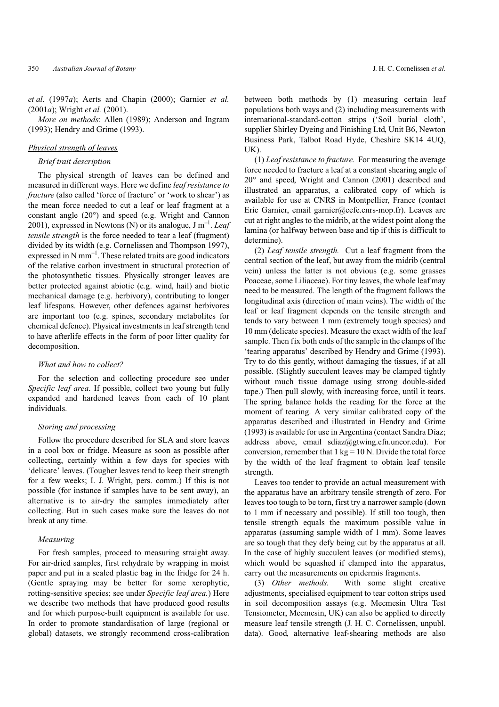*et al.* (1997*a*); Aerts and Chapin (2000); Garnier *et al.* (2001*a*); Wright *et al.* (2001).

*More on methods*: Allen (1989); Anderson and Ingram (1993); Hendry and Grime (1993).

## *Physical strength of leaves*

*Brief trait description*

The physical strength of leaves can be defined and measured in different ways. Here we define *leaf resistance to fracture* (also called 'force of fracture' or 'work to shear') as the mean force needed to cut a leaf or leaf fragment at a constant angle (20°) and speed (e.g. Wright and Cannon 2001), expressed in Newtons (N) or its analogue, J m–1. *Leaf tensile strength* is the force needed to tear a leaf (fragment) divided by its width (e.g. Cornelissen and Thompson 1997), expressed in  $N$  mm<sup>-1</sup>. These related traits are good indicators of the relative carbon investment in structural protection of the photosynthetic tissues. Physically stronger leaves are better protected against abiotic (e.g. wind, hail) and biotic mechanical damage (e.g. herbivory), contributing to longer leaf lifespans. However, other defences against herbivores are important too (e.g. spines, secondary metabolites for chemical defence). Physical investments in leaf strength tend to have afterlife effects in the form of poor litter quality for decomposition.

#### *What and how to collect?*

For the selection and collecting procedure see under *Specific leaf area*. If possible, collect two young but fully expanded and hardened leaves from each of 10 plant individuals.

## *Storing and processing*

Follow the procedure described for SLA and store leaves in a cool box or fridge. Measure as soon as possible after collecting, certainly within a few days for species with 'delicate' leaves. (Tougher leaves tend to keep their strength for a few weeks; I. J. Wright, pers. comm.) If this is not possible (for instance if samples have to be sent away), an alternative is to air-dry the samples immediately after collecting. But in such cases make sure the leaves do not break at any time.

#### *Measuring*

For fresh samples, proceed to measuring straight away. For air-dried samples, first rehydrate by wrapping in moist paper and put in a sealed plastic bag in the fridge for 24 h. (Gentle spraying may be better for some xerophytic, rotting-sensitive species; see under *Specific leaf area.*) Here we describe two methods that have produced good results and for which purpose-built equipment is available for use. In order to promote standardisation of large (regional or global) datasets, we strongly recommend cross-calibration between both methods by (1) measuring certain leaf populations both ways and (2) including measurements with international-standard-cotton strips ('Soil burial cloth', supplier Shirley Dyeing and Finishing Ltd, Unit B6, Newton Business Park, Talbot Road Hyde, Cheshire SK14 4UQ, UK).

(1) *Leaf resistance to fracture.* For measuring the average force needed to fracture a leaf at a constant shearing angle of 20° and speed, Wright and Cannon (2001) described and illustrated an apparatus, a calibrated copy of which is available for use at CNRS in Montpellier, France (contact Eric Garnier, email garnier@cefe.cnrs-mop.fr). Leaves are cut at right angles to the midrib, at the widest point along the lamina (or halfway between base and tip if this is difficult to determine).

(2) *Leaf tensile strength.* Cut a leaf fragment from the central section of the leaf, but away from the midrib (central vein) unless the latter is not obvious (e.g. some grasses Poaceae, some Liliaceae). For tiny leaves, the whole leaf may need to be measured. The length of the fragment follows the longitudinal axis (direction of main veins). The width of the leaf or leaf fragment depends on the tensile strength and tends to vary between 1 mm (extremely tough species) and 10 mm (delicate species). Measure the exact width of the leaf sample. Then fix both ends of the sample in the clamps of the 'tearing apparatus' described by Hendry and Grime (1993). Try to do this gently, without damaging the tissues, if at all possible. (Slightly succulent leaves may be clamped tightly without much tissue damage using strong double-sided tape.) Then pull slowly, with increasing force, until it tears. The spring balance holds the reading for the force at the moment of tearing. A very similar calibrated copy of the apparatus described and illustrated in Hendry and Grime (1993) is available for use in Argentina (contact Sandra Díaz; address above, email sdiaz@gtwing.efn.uncor.edu). For conversion, remember that  $1 \text{ kg} = 10 \text{ N}$ . Divide the total force by the width of the leaf fragment to obtain leaf tensile strength.

Leaves too tender to provide an actual measurement with the apparatus have an arbitrary tensile strength of zero. For leaves too tough to be torn, first try a narrower sample (down to 1 mm if necessary and possible). If still too tough, then tensile strength equals the maximum possible value in apparatus (assuming sample width of 1 mm). Some leaves are so tough that they defy being cut by the apparatus at all. In the case of highly succulent leaves (or modified stems), which would be squashed if clamped into the apparatus, carry out the measurements on epidermis fragments.

(3) *Other methods.* With some slight creative adjustments, specialised equipment to tear cotton strips used in soil decomposition assays (e.g. Mecmesin Ultra Test Tensiometer, Mecmesin, UK) can also be applied to directly measure leaf tensile strength (J. H. C. Cornelissen, unpubl. data). Good, alternative leaf-shearing methods are also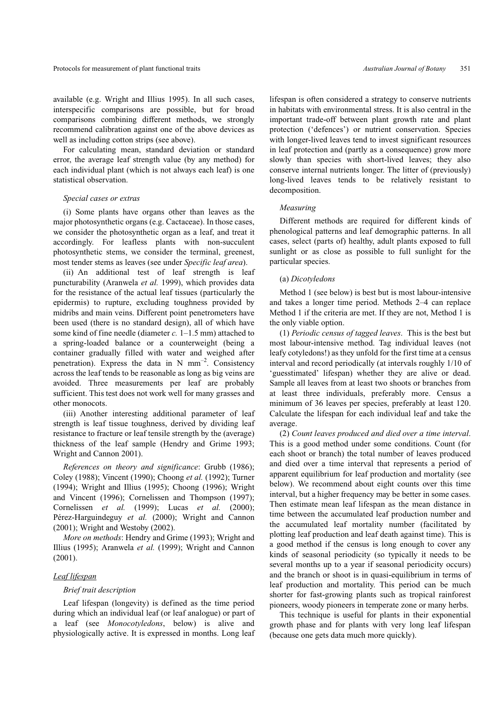available (e.g. Wright and Illius 1995). In all such cases, interspecific comparisons are possible, but for broad comparisons combining different methods, we strongly recommend calibration against one of the above devices as well as including cotton strips (see above).

For calculating mean, standard deviation or standard error, the average leaf strength value (by any method) for each individual plant (which is not always each leaf) is one statistical observation.

## *Special cases or extras*

(i) Some plants have organs other than leaves as the major photosynthetic organs (e.g. Cactaceae). In those cases, we consider the photosynthetic organ as a leaf, and treat it accordingly. For leafless plants with non-succulent photosynthetic stems, we consider the terminal, greenest, most tender stems as leaves (see under *Specific leaf area*).

(ii) An additional test of leaf strength is leaf puncturability (Aranwela *et al.* 1999), which provides data for the resistance of the actual leaf tissues (particularly the epidermis) to rupture, excluding toughness provided by midribs and main veins. Different point penetrometers have been used (there is no standard design), all of which have some kind of fine needle (diameter *c.* 1–1.5 mm) attached to a spring-loaded balance or a counterweight (being a container gradually filled with water and weighed after penetration). Express the data in N mm<sup>-2</sup>. Consistency across the leaf tends to be reasonable as long as big veins are avoided. Three measurements per leaf are probably sufficient. This test does not work well for many grasses and other monocots.

(iii) Another interesting additional parameter of leaf strength is leaf tissue toughness, derived by dividing leaf resistance to fracture or leaf tensile strength by the (average) thickness of the leaf sample (Hendry and Grime 1993; Wright and Cannon 2001).

*References on theory and significance*: Grubb (1986); Coley (1988); Vincent (1990); Choong *et al.* (1992); Turner (1994); Wright and Illius (1995); Choong (1996); Wright and Vincent (1996); Cornelissen and Thompson (1997); Cornelissen *et al.* (1999); Lucas *et al.* (2000); Pérez-Harguindeguy *et al.* (2000); Wright and Cannon (2001); Wright and Westoby (2002).

*More on methods*: Hendry and Grime (1993); Wright and Illius (1995); Aranwela *et al.* (1999); Wright and Cannon (2001).

### *Leaf lifespan*

#### *Brief trait description*

Leaf lifespan (longevity) is defined as the time period during which an individual leaf (or leaf analogue) or part of a leaf (see *Monocotyledons*, below) is alive and physiologically active. It is expressed in months. Long leaf lifespan is often considered a strategy to conserve nutrients in habitats with environmental stress. It is also central in the important trade-off between plant growth rate and plant protection ('defences') or nutrient conservation. Species with longer-lived leaves tend to invest significant resources in leaf protection and (partly as a consequence) grow more slowly than species with short-lived leaves; they also conserve internal nutrients longer. The litter of (previously) long-lived leaves tends to be relatively resistant to decomposition.

## *Measuring*

Different methods are required for different kinds of phenological patterns and leaf demographic patterns. In all cases, select (parts of) healthy, adult plants exposed to full sunlight or as close as possible to full sunlight for the particular species.

### (a) *Dicotyledons*

Method 1 (see below) is best but is most labour-intensive and takes a longer time period. Methods 2–4 can replace Method 1 if the criteria are met. If they are not, Method 1 is the only viable option.

(1) *Periodic census of tagged leaves*. This is the best but most labour-intensive method. Tag individual leaves (not leafy cotyledons!) as they unfold for the first time at a census interval and record periodically (at intervals roughly 1/10 of 'guesstimated' lifespan) whether they are alive or dead. Sample all leaves from at least two shoots or branches from at least three individuals, preferably more. Census a minimum of 36 leaves per species, preferably at least 120. Calculate the lifespan for each individual leaf and take the average.

(2) *Count leaves produced and died over a time interval*. This is a good method under some conditions. Count (for each shoot or branch) the total number of leaves produced and died over a time interval that represents a period of apparent equilibrium for leaf production and mortality (see below). We recommend about eight counts over this time interval, but a higher frequency may be better in some cases. Then estimate mean leaf lifespan as the mean distance in time between the accumulated leaf production number and the accumulated leaf mortality number (facilitated by plotting leaf production and leaf death against time). This is a good method if the census is long enough to cover any kinds of seasonal periodicity (so typically it needs to be several months up to a year if seasonal periodicity occurs) and the branch or shoot is in quasi-equilibrium in terms of leaf production and mortality. This period can be much shorter for fast-growing plants such as tropical rainforest pioneers, woody pioneers in temperate zone or many herbs.

This technique is useful for plants in their exponential growth phase and for plants with very long leaf lifespan (because one gets data much more quickly).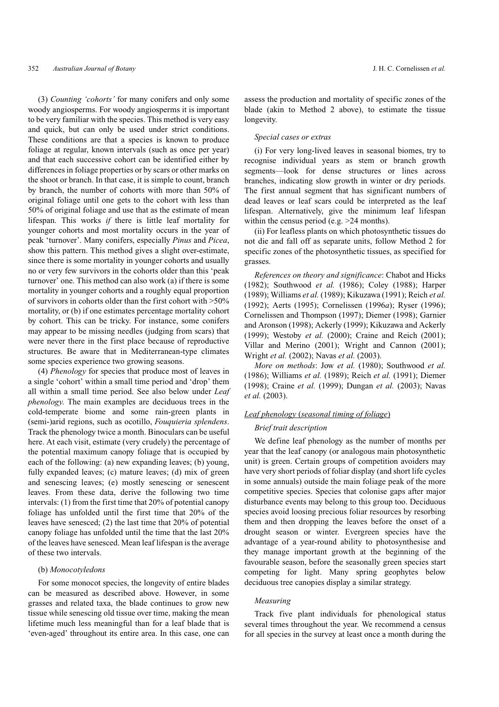(3) *Counting 'cohorts'* for many conifers and only some woody angiosperms. For woody angiosperms it is important to be very familiar with the species. This method is very easy and quick, but can only be used under strict conditions. These conditions are that a species is known to produce foliage at regular, known intervals (such as once per year) and that each successive cohort can be identified either by differences in foliage properties or by scars or other marks on the shoot or branch. In that case, it is simple to count, branch by branch, the number of cohorts with more than 50% of original foliage until one gets to the cohort with less than 50% of original foliage and use that as the estimate of mean lifespan. This works *if* there is little leaf mortality for younger cohorts and most mortality occurs in the year of peak 'turnover'. Many conifers, especially *Pinus* and *Picea*, show this pattern. This method gives a slight over-estimate, since there is some mortality in younger cohorts and usually no or very few survivors in the cohorts older than this 'peak turnover' one. This method can also work (a) if there is some mortality in younger cohorts and a roughly equal proportion of survivors in cohorts older than the first cohort with >50% mortality, or (b) if one estimates percentage mortality cohort by cohort. This can be tricky. For instance, some conifers may appear to be missing needles (judging from scars) that were never there in the first place because of reproductive structures. Be aware that in Mediterranean-type climates some species experience two growing seasons.

(4) *Phenology* for species that produce most of leaves in a single 'cohort' within a small time period and 'drop' them all within a small time period. See also below under *Leaf phenology*. The main examples are deciduous trees in the cold-temperate biome and some rain-green plants in (semi-)arid regions, such as ocotillo, *Fouquieria splendens*. Track the phenology twice a month. Binoculars can be useful here. At each visit, estimate (very crudely) the percentage of the potential maximum canopy foliage that is occupied by each of the following: (a) new expanding leaves; (b) young, fully expanded leaves; (c) mature leaves; (d) mix of green and senescing leaves; (e) mostly senescing or senescent leaves. From these data, derive the following two time intervals: (1) from the first time that 20% of potential canopy foliage has unfolded until the first time that 20% of the leaves have senesced; (2) the last time that 20% of potential canopy foliage has unfolded until the time that the last 20% of the leaves have senesced. Mean leaf lifespan is the average of these two intervals.

#### (b) *Monocotyledons*

For some monocot species, the longevity of entire blades can be measured as described above. However, in some grasses and related taxa, the blade continues to grow new tissue while senescing old tissue over time, making the mean lifetime much less meaningful than for a leaf blade that is 'even-aged' throughout its entire area. In this case, one can assess the production and mortality of specific zones of the blade (akin to Method 2 above), to estimate the tissue longevity.

## *Special cases or extras*

(i) For very long-lived leaves in seasonal biomes, try to recognise individual years as stem or branch growth segments—look for dense structures or lines across branches, indicating slow growth in winter or dry periods. The first annual segment that has significant numbers of dead leaves or leaf scars could be interpreted as the leaf lifespan. Alternatively, give the minimum leaf lifespan within the census period (e.g. > 24 months).

(ii) For leafless plants on which photosynthetic tissues do not die and fall off as separate units, follow Method 2 for specific zones of the photosynthetic tissues, as specified for grasses.

*References on theory and significance*: Chabot and Hicks (1982); Southwood *et al.* (1986); Coley (1988); Harper (1989); Williams *et al.* (1989); Kikuzawa (1991); Reich *et al.* (1992); Aerts (1995); Cornelissen (1996*a*); Ryser (1996); Cornelissen and Thompson (1997); Diemer (1998); Garnier and Aronson (1998); Ackerly (1999); Kikuzawa and Ackerly (1999); Westoby *et al.* (2000); Craine and Reich (2001); Villar and Merino (2001); Wright and Cannon (2001); Wright *et al.* (2002); Navas *et al.* (2003).

*More on methods*: Jow *et al.* (1980); Southwood *et al.* (1986); Williams *et al.* (1989); Reich *et al.* (1991); Diemer (1998); Craine *et al.* (1999); Dungan *et al.* (2003); Navas *et al.* (2003).

#### *Leaf phenology* (*seasonal timing of foliage*)

#### *Brief trait description*

We define leaf phenology as the number of months per year that the leaf canopy (or analogous main photosynthetic unit) is green. Certain groups of competition avoiders may have very short periods of foliar display (and short life cycles in some annuals) outside the main foliage peak of the more competitive species. Species that colonise gaps after major disturbance events may belong to this group too. Deciduous species avoid loosing precious foliar resources by resorbing them and then dropping the leaves before the onset of a drought season or winter. Evergreen species have the advantage of a year-round ability to photosynthesise and they manage important growth at the beginning of the favourable season, before the seasonally green species start competing for light. Many spring geophytes below deciduous tree canopies display a similar strategy.

## *Measuring*

Track five plant individuals for phenological status several times throughout the year. We recommend a census for all species in the survey at least once a month during the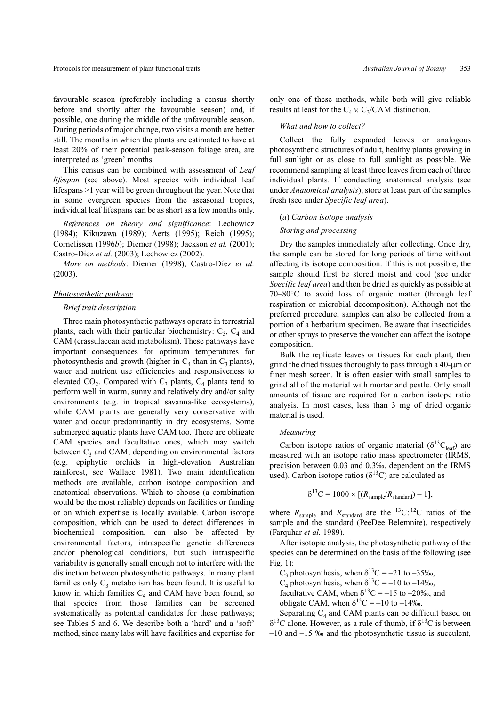favourable season (preferably including a census shortly before and shortly after the favourable season) and, if possible, one during the middle of the unfavourable season. During periods of major change, two visits a month are better still. The months in which the plants are estimated to have at least 20% of their potential peak-season foliage area, are interpreted as 'green' months.

This census can be combined with assessment of *Leaf lifespan* (see above). Most species with individual leaf lifespans >1 year will be green throughout the year. Note that in some evergreen species from the aseasonal tropics, individual leaf lifespans can be as short as a few months only.

*References on theory and significance*: Lechowicz (1984); Kikuzawa (1989); Aerts (1995); Reich (1995); Cornelissen (1996*b*); Diemer (1998); Jackson *et al.* (2001); Castro-Díez *et al.* (2003); Lechowicz (2002).

*More on methods*: Diemer (1998); Castro-Díez *et al.* (2003).

## *Photosynthetic pathway*

## *Brief trait description*

Three main photosynthetic pathways operate in terrestrial plants, each with their particular biochemistry:  $C_3$ ,  $C_4$  and CAM (crassulacean acid metabolism). These pathways have important consequences for optimum temperatures for photosynthesis and growth (higher in  $C_4$  than in  $C_3$  plants), water and nutrient use efficiencies and responsiveness to elevated  $CO_2$ . Compared with  $C_3$  plants,  $C_4$  plants tend to perform well in warm, sunny and relatively dry and/or salty environments (e.g. in tropical savanna-like ecosystems), while CAM plants are generally very conservative with water and occur predominantly in dry ecosystems. Some submerged aquatic plants have CAM too. There are obligate CAM species and facultative ones, which may switch between  $C_3$  and CAM, depending on environmental factors (e.g. epiphytic orchids in high-elevation Australian rainforest, see Wallace 1981). Two main identification methods are available, carbon isotope composition and anatomical observations. Which to choose (a combination would be the most reliable) depends on facilities or funding or on which expertise is locally available. Carbon isotope composition, which can be used to detect differences in biochemical composition, can also be affected by environmental factors, intraspecific genetic differences and/or phenological conditions, but such intraspecific variability is generally small enough not to interfere with the distinction between photosynthetic pathways. In many plant families only  $C_3$  metabolism has been found. It is useful to know in which families  $C_4$  and CAM have been found, so that species from those families can be screened systematically as potential candidates for these pathways; see Tables 5 and 6. We describe both a 'hard' and a 'soft' method, since many labs will have facilities and expertise for

only one of these methods, while both will give reliable results at least for the  $C_4$  *v*.  $C_3/CAM$  distinction.

## *What and how to collect?*

Collect the fully expanded leaves or analogous photosynthetic structures of adult, healthy plants growing in full sunlight or as close to full sunlight as possible. We recommend sampling at least three leaves from each of three individual plants. If conducting anatomical analysis (see under *Anatomical analysis*), store at least part of the samples fresh (see under *Specific leaf area*).

#### (*a*) *Carbon isotope analysis*

#### *Storing and processing*

Dry the samples immediately after collecting. Once dry, the sample can be stored for long periods of time without affecting its isotope composition. If this is not possible, the sample should first be stored moist and cool (see under *Specific leaf area*) and then be dried as quickly as possible at 70–80°C to avoid loss of organic matter (through leaf respiration or microbial decomposition). Although not the preferred procedure, samples can also be collected from a portion of a herbarium specimen. Be aware that insecticides or other sprays to preserve the voucher can affect the isotope composition.

Bulk the replicate leaves or tissues for each plant, then grind the dried tissues thoroughly to pass through a 40-µm or finer mesh screen. It is often easier with small samples to grind all of the material with mortar and pestle. Only small amounts of tissue are required for a carbon isotope ratio analysis. In most cases, less than 3 mg of dried organic material is used.

## *Measuring*

Carbon isotope ratios of organic material  $(\delta^{13}C_{\text{leaf}})$  are measured with an isotope ratio mass spectrometer (IRMS, precision between 0.03 and 0.3‰, dependent on the IRMS used). Carbon isotope ratios ( $\delta^{13}$ C) are calculated as

$$
\delta^{13}C = 1000 \times [(R_{\text{sample}}/R_{\text{standard}}) - 1],
$$

where  $R_{\text{sample}}$  and  $R_{\text{standard}}$  are the <sup>13</sup>C:<sup>12</sup>C ratios of the sample and the standard (PeeDee Belemnite), respectively (Farquhar *et al.* 1989).

After isotopic analysis, the photosynthetic pathway of the species can be determined on the basis of the following (see Fig. 1):

 $C_3$  photosynthesis, when  $\delta^{13}C = -21$  to  $-35\%$ ,

 $C_4$  photosynthesis, when  $\delta^{13}C = -10$  to  $-14\%$ ,

facultative CAM, when  $\delta^{13}$ C = –15 to –20‰, and

obligate CAM, when  $\delta^{13}$ C = –10 to –14‰.

Separating  $C_4$  and CAM plants can be difficult based on  $\delta^{13}$ C alone. However, as a rule of thumb, if  $\delta^{13}$ C is between –10 and –15 ‰ and the photosynthetic tissue is succulent,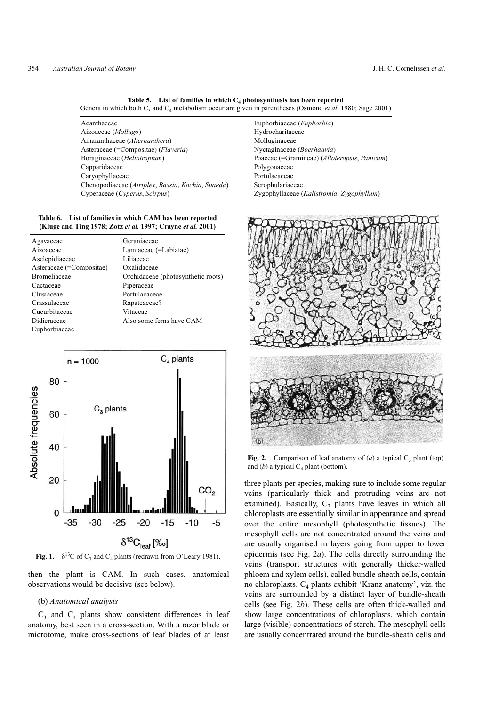#### Table 5. List of families in which  $C_4$  photosynthesis has been reported

Genera in which both C<sub>3</sub> and C<sub>4</sub> metabolism occur are given in parentheses (Osmond *et al.* 1980; Sage 2001)

| Acanthaceae                                      |
|--------------------------------------------------|
| Aizoaceae (Mollugo)                              |
| Amaranthaceae (Alternanthera)                    |
| Asteraceae (=Compositae) ( <i>Flaveria</i> )     |
| Boraginaceae (Heliotropium)                      |
| Capparidaceae                                    |
| Caryophyllaceae                                  |
| Chenopodiaceae (Atriplex, Bassia, Kochia, Suaeda |
| Cyperaceae (Cyperus, Scirpus)                    |

#### **Table 6. List of families in which CAM has been reported (Kluge and Ting 1978; Zotz** *et al.* **1997; Crayne** *et al.* **2001)**

| Agavaceae                | Geraniaceae                        |
|--------------------------|------------------------------------|
|                          |                                    |
| Aizoaceae                | Lamiaceae (=Labiatae)              |
| Asclepidiaceae           | Liliaceae                          |
| Asteraceae (=Compositae) | Oxalidaceae                        |
| <b>Bromeliaceae</b>      | Orchidaceae (photosynthetic roots) |
| Cactaceae                | Piperaceae                         |
| Clusiaceae               | Portulacaceae                      |
| Crassulaceae             | Rapateaceae?                       |
| Cucurbitaceae            | Vitaceae                           |
| Didieraceae              | Also some ferns have CAM           |
| Euphorbiaceae            |                                    |



**Fig. 1.**  $\delta^{13}C$  of  $C_3$  and  $C_4$  plants (redrawn from O'Leary 1981).

then the plant is CAM. In such cases, anatomical observations would be decisive (see below).

## (b) *Anatomical analysis*

 $C_3$  and  $C_4$  plants show consistent differences in leaf anatomy, best seen in a cross-section. With a razor blade or microtome, make cross-sections of leaf blades of at least

Acanthaceae Euphorbiaceae (*Euphorbia*) Aizoaceae (*Mollugo*) Hydrocharitaceae Amaranthaceae (*Alternanthera*) Molluginaceae  $Nyctaginaceae (Boerhaavia)$ Boraginaceae (*Heliotropium*) Poaceae (=Gramineae) (*Alloteropsis*, *Panicum*) Polygonaceae Portulacaceae Chenopodiaceae (*Atriplex*, *Bassia*, *Kochia*, *Suaeda*) Scrophulariaceae Cyperaceae (*Cyperus*, *Scirpus*) Zygophyllaceae (*Kalistromia*, *Zygophyllum*)



**Fig. 2.** Comparison of leaf anatomy of (*a*) a typical  $C_3$  plant (top) and  $(b)$  a typical  $C_4$  plant (bottom).

three plants per species, making sure to include some regular veins (particularly thick and protruding veins are not examined). Basically,  $C_3$  plants have leaves in which all chloroplasts are essentially similar in appearance and spread over the entire mesophyll (photosynthetic tissues). The mesophyll cells are not concentrated around the veins and are usually organised in layers going from upper to lower epidermis (see Fig. 2*a*). The cells directly surrounding the veins (transport structures with generally thicker-walled phloem and xylem cells), called bundle-sheath cells, contain no chloroplasts.  $C_4$  plants exhibit 'Kranz anatomy', viz. the veins are surrounded by a distinct layer of bundle-sheath cells (see Fig. 2*b*). These cells are often thick-walled and show large concentrations of chloroplasts, which contain large (visible) concentrations of starch. The mesophyll cells are usually concentrated around the bundle-sheath cells and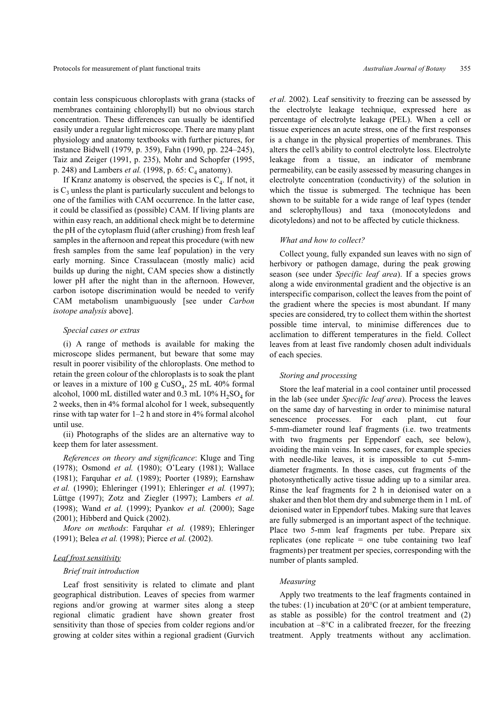contain less conspicuous chloroplasts with grana (stacks of membranes containing chlorophyll) but no obvious starch concentration. These differences can usually be identified easily under a regular light microscope. There are many plant physiology and anatomy textbooks with further pictures, for instance Bidwell (1979, p. 359), Fahn (1990, pp. 224–245),

Taiz and Zeiger (1991, p. 235), Mohr and Schopfer (1995, p. 248) and Lambers *et al.* (1998, p. 65: C<sub>4</sub> anatomy).

If Kranz anatomy is observed, the species is  $C_4$ . If not, it is  $C_3$  unless the plant is particularly succulent and belongs to one of the families with CAM occurrence. In the latter case, it could be classified as (possible) CAM. If living plants are within easy reach, an additional check might be to determine the pH of the cytoplasm fluid (after crushing) from fresh leaf samples in the afternoon and repeat this procedure (with new fresh samples from the same leaf population) in the very early morning. Since Crassulacean (mostly malic) acid builds up during the night, CAM species show a distinctly lower pH after the night than in the afternoon. However, carbon isotope discrimination would be needed to verify CAM metabolism unambiguously [see under *Carbon isotope analysis* above].

## *Special cases or extras*

(i) A range of methods is available for making the microscope slides permanent, but beware that some may result in poorer visibility of the chloroplasts. One method to retain the green colour of the chloroplasts is to soak the plant or leaves in a mixture of 100 g  $CuSO<sub>4</sub>$ , 25 mL 40% formal alcohol, 1000 mL distilled water and 0.3 mL  $10\%$   $H_2SO_4$  for 2 weeks, then in 4% formal alcohol for 1 week, subsequently rinse with tap water for 1–2 h and store in 4% formal alcohol until use.

(ii) Photographs of the slides are an alternative way to keep them for later assessment.

*References on theory and significance*: Kluge and Ting (1978); Osmond *et al.* (1980); O'Leary (1981); Wallace (1981); Farquhar *et al.* (1989); Poorter (1989); Earnshaw *et al.* (1990); Ehleringer (1991); Ehleringer *et al.* (1997); Lüttge (1997); Zotz and Ziegler (1997); Lambers *et al.* (1998); Wand *et al.* (1999); Pyankov *et al.* (2000); Sage (2001); Hibberd and Quick (2002).

*More on methods*: Farquhar *et al.* (1989); Ehleringer (1991); Belea *et al.* (1998); Pierce *et al.* (2002).

#### *Leaf frost sensitivity*

#### *Brief trait introduction*

Leaf frost sensitivity is related to climate and plant geographical distribution. Leaves of species from warmer regions and/or growing at warmer sites along a steep regional climatic gradient have shown greater frost sensitivity than those of species from colder regions and/or growing at colder sites within a regional gradient (Gurvich

*et al.* 2002). Leaf sensitivity to freezing can be assessed by the electrolyte leakage technique, expressed here as percentage of electrolyte leakage (PEL). When a cell or tissue experiences an acute stress, one of the first responses is a change in the physical properties of membranes. This alters the cell's ability to control electrolyte loss. Electrolyte leakage from a tissue, an indicator of membrane permeability, can be easily assessed by measuring changes in electrolyte concentration (conductivity) of the solution in which the tissue is submerged. The technique has been shown to be suitable for a wide range of leaf types (tender and sclerophyllous) and taxa (monocotyledons and dicotyledons) and not to be affected by cuticle thickness.

### *What and how to collect?*

Collect young, fully expanded sun leaves with no sign of herbivory or pathogen damage, during the peak growing season (see under *Specific leaf area*). If a species grows along a wide environmental gradient and the objective is an interspecific comparison, collect the leaves from the point of the gradient where the species is most abundant. If many species are considered, try to collect them within the shortest possible time interval, to minimise differences due to acclimation to different temperatures in the field. Collect leaves from at least five randomly chosen adult individuals of each species.

#### *Storing and processing*

Store the leaf material in a cool container until processed in the lab (see under *Specific leaf area*). Process the leaves on the same day of harvesting in order to minimise natural senescence processes. For each plant, cut four 5-mm-diameter round leaf fragments (i.e. two treatments with two fragments per Eppendorf each, see below), avoiding the main veins. In some cases, for example species with needle-like leaves, it is impossible to cut 5-mmdiameter fragments. In those cases, cut fragments of the photosynthetically active tissue adding up to a similar area. Rinse the leaf fragments for 2 h in deionised water on a shaker and then blot them dry and submerge them in 1 mL of deionised water in Eppendorf tubes. Making sure that leaves are fully submerged is an important aspect of the technique. Place two 5-mm leaf fragments per tube. Prepare six replicates (one replicate  $=$  one tube containing two leaf fragments) per treatment per species, corresponding with the number of plants sampled.

## *Measuring*

Apply two treatments to the leaf fragments contained in the tubes: (1) incubation at  $20^{\circ}$ C (or at ambient temperature, as stable as possible) for the control treatment and (2) incubation at  $-8^{\circ}\text{C}$  in a calibrated freezer, for the freezing treatment. Apply treatments without any acclimation.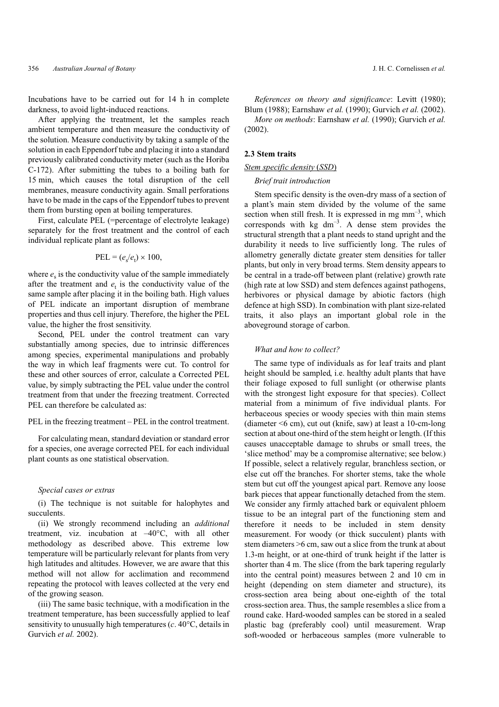Incubations have to be carried out for 14 h in complete darkness, to avoid light-induced reactions.

After applying the treatment, let the samples reach ambient temperature and then measure the conductivity of the solution. Measure conductivity by taking a sample of the solution in each Eppendorf tube and placing it into a standard previously calibrated conductivity meter (such as the Horiba C-172). After submitting the tubes to a boiling bath for 15 min, which causes the total disruption of the cell membranes, measure conductivity again. Small perforations have to be made in the caps of the Eppendorf tubes to prevent them from bursting open at boiling temperatures.

First, calculate PEL (=percentage of electrolyte leakage) separately for the frost treatment and the control of each individual replicate plant as follows:

$$
PEL = (e_s/e_t) \times 100,
$$

where  $e_s$  is the conductivity value of the sample immediately after the treatment and  $e_t$  is the conductivity value of the same sample after placing it in the boiling bath. High values of PEL indicate an important disruption of membrane properties and thus cell injury. Therefore, the higher the PEL value, the higher the frost sensitivity.

Second, PEL under the control treatment can vary substantially among species, due to intrinsic differences among species, experimental manipulations and probably the way in which leaf fragments were cut. To control for these and other sources of error, calculate a Corrected PEL value, by simply subtracting the PEL value under the control treatment from that under the freezing treatment. Corrected PEL can therefore be calculated as:

## PEL in the freezing treatment – PEL in the control treatment.

For calculating mean, standard deviation or standard error for a species, one average corrected PEL for each individual plant counts as one statistical observation.

## *Special cases or extras*

(i) The technique is not suitable for halophytes and succulents.

(ii) We strongly recommend including an *additional* treatment, viz. incubation at –40°C, with all other methodology as described above. This extreme low temperature will be particularly relevant for plants from very high latitudes and altitudes. However, we are aware that this method will not allow for acclimation and recommend repeating the protocol with leaves collected at the very end of the growing season.

(iii) The same basic technique, with a modification in the treatment temperature, has been successfully applied to leaf sensitivity to unusually high temperatures (*c*. 40°C, details in Gurvich *et al.* 2002).

*References on theory and significance*: Levitt (1980); Blum (1988); Earnshaw *et al.* (1990); Gurvich *et al.* (2002). *More on methods*: Earnshaw *et al.* (1990); Gurvich *et al.* (2002).

## **2***.***3 Stem traits**

## *Stem specific density* (*SSD*)

## *Brief trait introduction*

Stem specific density is the oven-dry mass of a section of a plant's main stem divided by the volume of the same section when still fresh. It is expressed in mg  $mm^{-3}$ , which corresponds with  $kg \ dm^{-3}$ . A dense stem provides the structural strength that a plant needs to stand upright and the durability it needs to live sufficiently long. The rules of allometry generally dictate greater stem densities for taller plants, but only in very broad terms. Stem density appears to be central in a trade-off between plant (relative) growth rate (high rate at low SSD) and stem defences against pathogens, herbivores or physical damage by abiotic factors (high defence at high SSD). In combination with plant size-related traits, it also plays an important global role in the aboveground storage of carbon.

#### *What and how to collect?*

The same type of individuals as for leaf traits and plant height should be sampled, i.e. healthy adult plants that have their foliage exposed to full sunlight (or otherwise plants with the strongest light exposure for that species). Collect material from a minimum of five individual plants. For herbaceous species or woody species with thin main stems (diameter <6 cm), cut out (knife, saw) at least a 10-cm-long section at about one-third of the stem height or length. (If this causes unacceptable damage to shrubs or small trees, the 'slice method' may be a compromise alternative; see below.) If possible, select a relatively regular, branchless section, or else cut off the branches. For shorter stems, take the whole stem but cut off the youngest apical part. Remove any loose bark pieces that appear functionally detached from the stem. We consider any firmly attached bark or equivalent phloem tissue to be an integral part of the functioning stem and therefore it needs to be included in stem density measurement. For woody (or thick succulent) plants with stem diameters >6 cm, saw out a slice from the trunk at about 1.3-m height, or at one-third of trunk height if the latter is shorter than 4 m. The slice (from the bark tapering regularly into the central point) measures between 2 and 10 cm in height (depending on stem diameter and structure), its cross-section area being about one-eighth of the total cross-section area. Thus, the sample resembles a slice from a round cake. Hard-wooded samples can be stored in a sealed plastic bag (preferably cool) until measurement. Wrap soft-wooded or herbaceous samples (more vulnerable to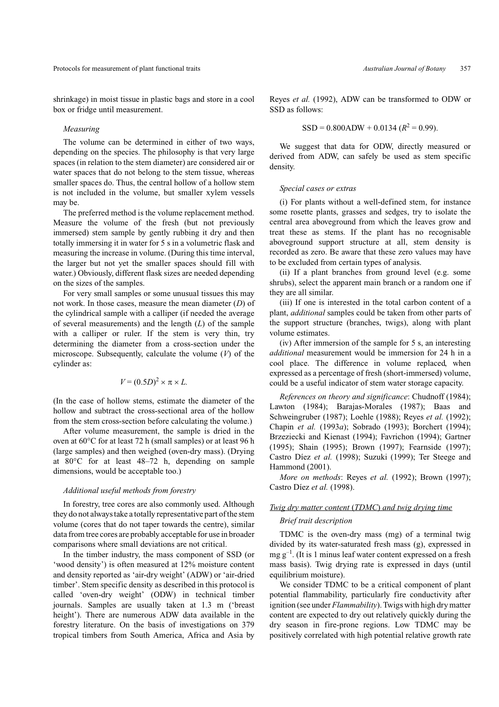shrinkage) in moist tissue in plastic bags and store in a cool box or fridge until measurement.

#### *Measuring*

The volume can be determined in either of two ways, depending on the species. The philosophy is that very large spaces (in relation to the stem diameter) are considered air or water spaces that do not belong to the stem tissue, whereas smaller spaces do. Thus, the central hollow of a hollow stem is not included in the volume, but smaller xylem vessels may be.

The preferred method is the volume replacement method. Measure the volume of the fresh (but not previously immersed) stem sample by gently rubbing it dry and then totally immersing it in water for 5 s in a volumetric flask and measuring the increase in volume. (During this time interval, the larger but not yet the smaller spaces should fill with water.) Obviously, different flask sizes are needed depending on the sizes of the samples.

For very small samples or some unusual tissues this may not work. In those cases, measure the mean diameter (*D*) of the cylindrical sample with a calliper (if needed the average of several measurements) and the length (*L*) of the sample with a calliper or ruler. If the stem is very thin, try determining the diameter from a cross-section under the microscope. Subsequently, calculate the volume (*V*) of the cylinder as:

$$
V = (0.5D)^2 \times \pi \times L.
$$

(In the case of hollow stems, estimate the diameter of the hollow and subtract the cross-sectional area of the hollow from the stem cross-section before calculating the volume.)

After volume measurement, the sample is dried in the oven at 60°C for at least 72 h (small samples) or at least 96 h (large samples) and then weighed (oven-dry mass). (Drying at 80°C for at least 48–72 h, depending on sample dimensions, would be acceptable too.)

## *Additional useful methods from forestry*

In forestry, tree cores are also commonly used. Although they do not always take a totally representative part of the stem volume (cores that do not taper towards the centre), similar data from tree cores are probably acceptable for use in broader comparisons where small deviations are not critical.

In the timber industry, the mass component of SSD (or 'wood density') is often measured at 12% moisture content and density reported as 'air-dry weight' (ADW) or 'air-dried timber'. Stem specific density as described in this protocol is called 'oven-dry weight' (ODW) in technical timber journals. Samples are usually taken at 1.3 m ('breast height'). There are numerous ADW data available in the forestry literature. On the basis of investigations on 379 tropical timbers from South America, Africa and Asia by

Reyes *et al.* (1992), ADW can be transformed to ODW or SSD as follows:

$$
SSD = 0.800ADW + 0.0134 (R^2 = 0.99).
$$

We suggest that data for ODW, directly measured or derived from ADW, can safely be used as stem specific density.

### *Special cases or extras*

(i) For plants without a well-defined stem, for instance some rosette plants, grasses and sedges, try to isolate the central area aboveground from which the leaves grow and treat these as stems. If the plant has no recognisable aboveground support structure at all, stem density is recorded as zero. Be aware that these zero values may have to be excluded from certain types of analysis.

(ii) If a plant branches from ground level (e.g. some shrubs), select the apparent main branch or a random one if they are all similar.

(iii) If one is interested in the total carbon content of a plant, *additional* samples could be taken from other parts of the support structure (branches, twigs), along with plant volume estimates.

(iv) After immersion of the sample for 5 s, an interesting *additional* measurement would be immersion for 24 h in a cool place. The difference in volume replaced, when expressed as a percentage of fresh (short-immersed) volume, could be a useful indicator of stem water storage capacity.

*References on theory and significance*: Chudnoff (1984); Lawton (1984); Barajas-Morales (1987); Baas and Schweingruber (1987); Loehle (1988); Reyes *et al.* (1992); Chapin *et al.* (1993*a*); Sobrado (1993); Borchert (1994); Brzeziecki and Kienast (1994); Favrichon (1994); Gartner (1995); Shain (1995); Brown (1997); Fearnside (1997); Castro Díez *et al.* (1998); Suzuki (1999); Ter Steege and Hammond (2001).

*More on methods*: Reyes *et al.* (1992); Brown (1997); Castro Díez *et al.* (1998).

## *Twig dry matter content* (*TDMC*) *and twig drying time*

## *Brief trait description*

TDMC is the oven-dry mass (mg) of a terminal twig divided by its water-saturated fresh mass (g), expressed in  $mg g^{-1}$ . (It is 1 minus leaf water content expressed on a fresh mass basis). Twig drying rate is expressed in days (until equilibrium moisture).

We consider TDMC to be a critical component of plant potential flammability, particularly fire conductivity after ignition (see under *Flammability*). Twigs with high dry matter content are expected to dry out relatively quickly during the dry season in fire-prone regions. Low TDMC may be positively correlated with high potential relative growth rate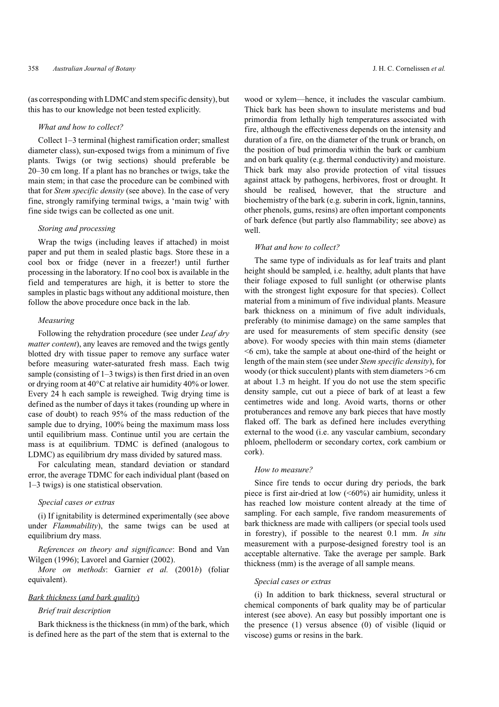(as corresponding with LDMC and stem specific density), but this has to our knowledge not been tested explicitly.

## *What and how to collect?*

Collect 1–3 terminal (highest ramification order; smallest diameter class), sun-exposed twigs from a minimum of five plants. Twigs (or twig sections) should preferable be 20–30 cm long. If a plant has no branches or twigs, take the main stem; in that case the procedure can be combined with that for *Stem specific density* (see above). In the case of very fine, strongly ramifying terminal twigs, a 'main twig' with fine side twigs can be collected as one unit.

## *Storing and processing*

Wrap the twigs (including leaves if attached) in moist paper and put them in sealed plastic bags. Store these in a cool box or fridge (never in a freezer!) until further processing in the laboratory. If no cool box is available in the field and temperatures are high, it is better to store the samples in plastic bags without any additional moisture, then follow the above procedure once back in the lab.

#### *Measuring*

Following the rehydration procedure (see under *Leaf dry matter content*), any leaves are removed and the twigs gently blotted dry with tissue paper to remove any surface water before measuring water-saturated fresh mass. Each twig sample (consisting of 1–3 twigs) is then first dried in an oven or drying room at 40°C at relative air humidity 40% or lower. Every 24 h each sample is reweighed. Twig drying time is defined as the number of days it takes (rounding up where in case of doubt) to reach 95% of the mass reduction of the sample due to drying, 100% being the maximum mass loss until equilibrium mass. Continue until you are certain the mass is at equilibrium. TDMC is defined (analogous to LDMC) as equilibrium dry mass divided by satured mass.

For calculating mean, standard deviation or standard error, the average TDMC for each individual plant (based on 1–3 twigs) is one statistical observation.

## *Special cases or extras*

(i) If ignitability is determined experimentally (see above under *Flammability*), the same twigs can be used at equilibrium dry mass.

*References on theory and significance*: Bond and Van Wilgen (1996); Lavorel and Garnier (2002).

*More on methods*: Garnier *et al.* (2001*b*) (foliar equivalent).

## *Bark thickness* (*and bark quality*)

## *Brief trait description*

Bark thickness is the thickness (in mm) of the bark, which is defined here as the part of the stem that is external to the wood or xylem—hence, it includes the vascular cambium. Thick bark has been shown to insulate meristems and bud primordia from lethally high temperatures associated with fire, although the effectiveness depends on the intensity and duration of a fire, on the diameter of the trunk or branch, on the position of bud primordia within the bark or cambium and on bark quality (e.g. thermal conductivity) and moisture. Thick bark may also provide protection of vital tissues against attack by pathogens, herbivores, frost or drought. It should be realised, however, that the structure and biochemistry of the bark (e.g. suberin in cork, lignin, tannins, other phenols, gums, resins) are often important components of bark defence (but partly also flammability; see above) as well.

## *What and how to collect?*

The same type of individuals as for leaf traits and plant height should be sampled, i.e. healthy, adult plants that have their foliage exposed to full sunlight (or otherwise plants with the strongest light exposure for that species). Collect material from a minimum of five individual plants. Measure bark thickness on a minimum of five adult individuals, preferably (to minimise damage) on the same samples that are used for measurements of stem specific density (see above). For woody species with thin main stems (diameter <6 cm), take the sample at about one-third of the height or length of the main stem (see under *Stem specific density*), for woody (or thick succulent) plants with stem diameters >6 cm at about 1.3 m height. If you do not use the stem specific density sample, cut out a piece of bark of at least a few centimetres wide and long. Avoid warts, thorns or other protuberances and remove any bark pieces that have mostly flaked off. The bark as defined here includes everything external to the wood (i.e. any vascular cambium, secondary phloem, phelloderm or secondary cortex, cork cambium or cork).

#### *How to measure?*

Since fire tends to occur during dry periods, the bark piece is first air-dried at low (<60%) air humidity, unless it has reached low moisture content already at the time of sampling. For each sample, five random measurements of bark thickness are made with callipers (or special tools used in forestry), if possible to the nearest 0.1 mm. *In situ* measurement with a purpose-designed forestry tool is an acceptable alternative. Take the average per sample. Bark thickness (mm) is the average of all sample means.

## *Special cases or extras*

(i) In addition to bark thickness, several structural or chemical components of bark quality may be of particular interest (see above). An easy but possibly important one is the presence (1) versus absence (0) of visible (liquid or viscose) gums or resins in the bark.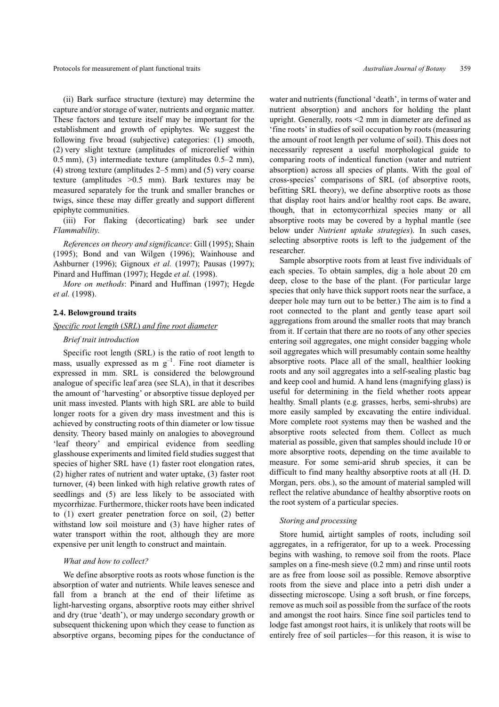(ii) Bark surface structure (texture) may determine the capture and/or storage of water, nutrients and organic matter. These factors and texture itself may be important for the establishment and growth of epiphytes. We suggest the following five broad (subjective) categories: (1) smooth, (2) very slight texture (amplitudes of microrelief within 0.5 mm), (3) intermediate texture (amplitudes 0.5–2 mm), (4) strong texture (amplitudes 2–5 mm) and (5) very coarse texture (amplitudes >0.5 mm). Bark textures may be measured separately for the trunk and smaller branches or twigs, since these may differ greatly and support different epiphyte communities.

(iii) For flaking (decorticating) bark see under *Flammability*.

*References on theory and significance*: Gill (1995); Shain (1995); Bond and van Wilgen (1996); Wainhouse and Ashburner (1996); Gignoux *et al.* (1997); Pausas (1997); Pinard and Huffman (1997); Hegde *et al.* (1998).

*More on methods*: Pinard and Huffman (1997); Hegde *et al.* (1998).

#### **2***.***4. Belowground traits**

## *Specific root length* (*SRL*) *and fine root diameter*

## *Brief trait introduction*

Specific root length (SRL) is the ratio of root length to mass, usually expressed as m  $g^{-1}$ . Fine root diameter is expressed in mm. SRL is considered the belowground analogue of specific leaf area (see SLA), in that it describes the amount of 'harvesting' or absorptive tissue deployed per unit mass invested. Plants with high SRL are able to build longer roots for a given dry mass investment and this is achieved by constructing roots of thin diameter or low tissue density. Theory based mainly on analogies to aboveground 'leaf theory' and empirical evidence from seedling glasshouse experiments and limited field studies suggest that species of higher SRL have (1) faster root elongation rates, (2) higher rates of nutrient and water uptake, (3) faster root turnover, (4) been linked with high relative growth rates of seedlings and (5) are less likely to be associated with mycorrhizae. Furthermore, thicker roots have been indicated to (1) exert greater penetration force on soil, (2) better withstand low soil moisture and (3) have higher rates of water transport within the root, although they are more expensive per unit length to construct and maintain.

## *What and how to collect?*

We define absorptive roots as roots whose function is the absorption of water and nutrients. While leaves senesce and fall from a branch at the end of their lifetime as light-harvesting organs, absorptive roots may either shrivel and dry (true 'death'), or may undergo secondary growth or subsequent thickening upon which they cease to function as absorptive organs, becoming pipes for the conductance of water and nutrients (functional 'death', in terms of water and nutrient absorption) and anchors for holding the plant upright. Generally, roots <2 mm in diameter are defined as 'fine roots' in studies of soil occupation by roots (measuring the amount of root length per volume of soil). This does not necessarily represent a useful morphological guide to comparing roots of indentical function (water and nutrient absorption) across all species of plants. With the goal of cross-species' comparisons of SRL (of absorptive roots, befitting SRL theory), we define absorptive roots as those that display root hairs and/or healthy root caps. Be aware, though, that in ectomycorrhizal species many or all absorptive roots may be covered by a hyphal mantle (see below under *Nutrient uptake strategies*). In such cases, selecting absorptive roots is left to the judgement of the researcher.

Sample absorptive roots from at least five individuals of each species. To obtain samples, dig a hole about 20 cm deep, close to the base of the plant. (For particular large species that only have thick support roots near the surface, a deeper hole may turn out to be better.) The aim is to find a root connected to the plant and gently tease apart soil aggregations from around the smaller roots that may branch from it. If certain that there are no roots of any other species entering soil aggregates, one might consider bagging whole soil aggregates which will presumably contain some healthy absorptive roots. Place all of the small, healthier looking roots and any soil aggregates into a self-sealing plastic bag and keep cool and humid. A hand lens (magnifying glass) is useful for determining in the field whether roots appear healthy. Small plants (e.g. grasses, herbs, semi-shrubs) are more easily sampled by excavating the entire individual. More complete root systems may then be washed and the absorptive roots selected from them. Collect as much material as possible, given that samples should include 10 or more absorptive roots, depending on the time available to measure. For some semi-arid shrub species, it can be difficult to find many healthy absorptive roots at all (H. D. Morgan, pers. obs.), so the amount of material sampled will reflect the relative abundance of healthy absorptive roots on the root system of a particular species.

## *Storing and processing*

Store humid, airtight samples of roots, including soil aggregates, in a refrigerator, for up to a week. Processing begins with washing, to remove soil from the roots. Place samples on a fine-mesh sieve (0.2 mm) and rinse until roots are as free from loose soil as possible. Remove absorptive roots from the sieve and place into a petri dish under a dissecting microscope. Using a soft brush, or fine forceps, remove as much soil as possible from the surface of the roots and amongst the root hairs. Since fine soil particles tend to lodge fast amongst root hairs, it is unlikely that roots will be entirely free of soil particles—for this reason, it is wise to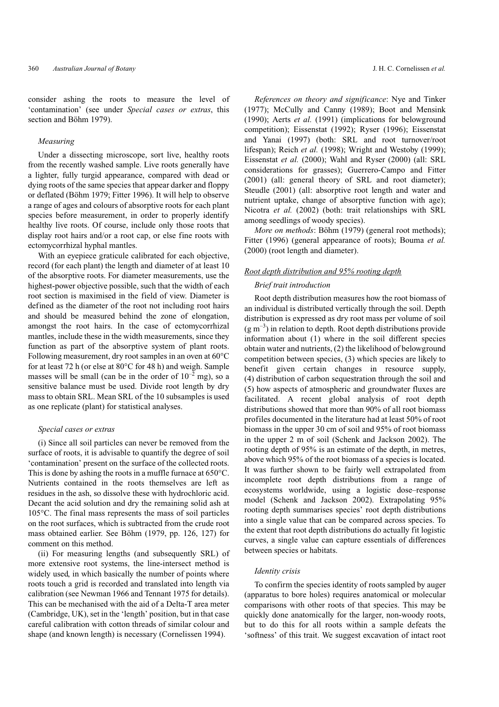consider ashing the roots to measure the level of 'contamination' (see under *Special cases or extras*, this section and Böhm 1979).

## *Measuring*

Under a dissecting microscope, sort live, healthy roots from the recently washed sample. Live roots generally have a lighter, fully turgid appearance, compared with dead or dying roots of the same species that appear darker and floppy or deflated (Böhm 1979; Fitter 1996). It will help to observe a range of ages and colours of absorptive roots for each plant species before measurement, in order to properly identify healthy live roots. Of course, include only those roots that display root hairs and/or a root cap, or else fine roots with ectomycorrhizal hyphal mantles.

With an eyepiece graticule calibrated for each objective, record (for each plant) the length and diameter of at least 10 of the absorptive roots. For diameter measurements, use the highest-power objective possible, such that the width of each root section is maximised in the field of view. Diameter is defined as the diameter of the root not including root hairs and should be measured behind the zone of elongation, amongst the root hairs. In the case of ectomycorrhizal mantles, include these in the width measurements, since they function as part of the absorptive system of plant roots. Following measurement, dry root samples in an oven at 60°C for at least 72 h (or else at 80°C for 48 h) and weigh. Sample masses will be small (can be in the order of  $10^{-2}$  mg), so a sensitive balance must be used. Divide root length by dry mass to obtain SRL. Mean SRL of the 10 subsamples is used as one replicate (plant) for statistical analyses.

## *Special cases or extras*

(i) Since all soil particles can never be removed from the surface of roots, it is advisable to quantify the degree of soil 'contamination' present on the surface of the collected roots. This is done by ashing the roots in a muffle furnace at 650°C. Nutrients contained in the roots themselves are left as residues in the ash, so dissolve these with hydrochloric acid. Decant the acid solution and dry the remaining solid ash at 105°C. The final mass represents the mass of soil particles on the root surfaces, which is subtracted from the crude root mass obtained earlier. See Böhm (1979, pp. 126, 127) for comment on this method.

(ii) For measuring lengths (and subsequently SRL) of more extensive root systems, the line-intersect method is widely used, in which basically the number of points where roots touch a grid is recorded and translated into length via calibration (see Newman 1966 and Tennant 1975 for details). This can be mechanised with the aid of a Delta-T area meter (Cambridge, UK), set in the 'length' position, but in that case careful calibration with cotton threads of similar colour and shape (and known length) is necessary (Cornelissen 1994).

*References on theory and significance*: Nye and Tinker (1977); McCully and Canny (1989); Boot and Mensink (1990); Aerts *et al.* (1991) (implications for belowground competition); Eissenstat (1992); Ryser (1996); Eissenstat and Yanai (1997) (both: SRL and root turnover/root lifespan); Reich *et al.* (1998); Wright and Westoby (1999); Eissenstat *et al.* (2000); Wahl and Ryser (2000) (all: SRL considerations for grasses); Guerrero-Campo and Fitter (2001) (all: general theory of SRL and root diameter); Steudle (2001) (all: absorptive root length and water and nutrient uptake, change of absorptive function with age); Nicotra *et al.* (2002) (both: trait relationships with SRL among seedlings of woody species).

*More on methods*: Böhm (1979) (general root methods); Fitter (1996) (general appearance of roots); Bouma *et al.* (2000) (root length and diameter).

#### *Root depth distribution and 95% rooting depth*

### *Brief trait introduction*

Root depth distribution measures how the root biomass of an individual is distributed vertically through the soil. Depth distribution is expressed as dry root mass per volume of soil  $(g m<sup>-3</sup>)$  in relation to depth. Root depth distributions provide information about (1) where in the soil different species obtain water and nutrients, (2) the likelihood of belowground competition between species, (3) which species are likely to benefit given certain changes in resource supply, (4) distribution of carbon sequestration through the soil and (5) how aspects of atmospheric and groundwater fluxes are facilitated. A recent global analysis of root depth distributions showed that more than 90% of all root biomass profiles documented in the literature had at least 50% of root biomass in the upper 30 cm of soil and 95% of root biomass in the upper 2 m of soil (Schenk and Jackson 2002). The rooting depth of 95% is an estimate of the depth, in metres, above which 95% of the root biomass of a species is located. It was further shown to be fairly well extrapolated from incomplete root depth distributions from a range of ecosystems worldwide, using a logistic dose–response model (Schenk and Jackson 2002). Extrapolating 95% rooting depth summarises species' root depth distributions into a single value that can be compared across species. To the extent that root depth distributions do actually fit logistic curves, a single value can capture essentials of differences between species or habitats.

#### *Identity crisis*

To confirm the species identity of roots sampled by auger (apparatus to bore holes) requires anatomical or molecular comparisons with other roots of that species. This may be quickly done anatomically for the larger, non-woody roots, but to do this for all roots within a sample defeats the 'softness' of this trait. We suggest excavation of intact root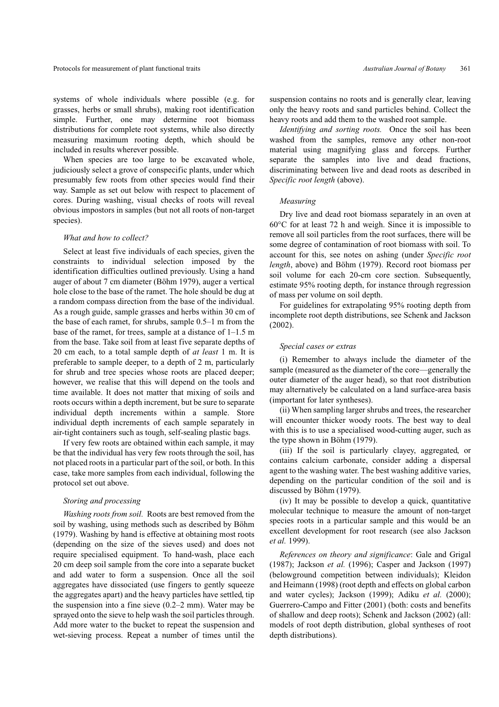systems of whole individuals where possible (e.g. for grasses, herbs or small shrubs), making root identification simple. Further, one may determine root biomass distributions for complete root systems, while also directly measuring maximum rooting depth, which should be included in results wherever possible.

When species are too large to be excavated whole, judiciously select a grove of conspecific plants, under which presumably few roots from other species would find their way. Sample as set out below with respect to placement of cores. During washing, visual checks of roots will reveal obvious impostors in samples (but not all roots of non-target species).

### *What and how to collect?*

Select at least five individuals of each species, given the constraints to individual selection imposed by the identification difficulties outlined previously. Using a hand auger of about 7 cm diameter (Böhm 1979), auger a vertical hole close to the base of the ramet. The hole should be dug at a random compass direction from the base of the individual. As a rough guide, sample grasses and herbs within 30 cm of the base of each ramet, for shrubs, sample 0.5–1 m from the base of the ramet, for trees, sample at a distance of 1–1.5 m from the base. Take soil from at least five separate depths of 20 cm each, to a total sample depth of *at least* 1 m. It is preferable to sample deeper, to a depth of 2 m, particularly for shrub and tree species whose roots are placed deeper; however, we realise that this will depend on the tools and time available. It does not matter that mixing of soils and roots occurs within a depth increment, but be sure to separate individual depth increments within a sample. Store individual depth increments of each sample separately in air-tight containers such as tough, self-sealing plastic bags.

If very few roots are obtained within each sample, it may be that the individual has very few roots through the soil, has not placed roots in a particular part of the soil, or both. In this case, take more samples from each individual, following the protocol set out above.

### *Storing and processing*

*Washing roots from soil.* Roots are best removed from the soil by washing, using methods such as described by Böhm (1979). Washing by hand is effective at obtaining most roots (depending on the size of the sieves used) and does not require specialised equipment. To hand-wash, place each 20 cm deep soil sample from the core into a separate bucket and add water to form a suspension. Once all the soil aggregates have dissociated (use fingers to gently squeeze the aggregates apart) and the heavy particles have settled, tip the suspension into a fine sieve  $(0.2–2 \text{ mm})$ . Water may be sprayed onto the sieve to help wash the soil particles through. Add more water to the bucket to repeat the suspension and wet-sieving process. Repeat a number of times until the suspension contains no roots and is generally clear, leaving only the heavy roots and sand particles behind. Collect the heavy roots and add them to the washed root sample.

*Identifying and sorting roots.* Once the soil has been washed from the samples, remove any other non-root material using magnifying glass and forceps. Further separate the samples into live and dead fractions, discriminating between live and dead roots as described in *Specific root length* (above).

### *Measuring*

Dry live and dead root biomass separately in an oven at 60°C for at least 72 h and weigh. Since it is impossible to remove all soil particles from the root surfaces, there will be some degree of contamination of root biomass with soil. To account for this, see notes on ashing (under *Specific root length*, above) and Böhm (1979). Record root biomass per soil volume for each 20-cm core section. Subsequently, estimate 95% rooting depth, for instance through regression of mass per volume on soil depth.

For guidelines for extrapolating 95% rooting depth from incomplete root depth distributions, see Schenk and Jackson (2002).

## *Special cases or extras*

(i) Remember to always include the diameter of the sample (measured as the diameter of the core—generally the outer diameter of the auger head), so that root distribution may alternatively be calculated on a land surface-area basis (important for later syntheses).

(ii) When sampling larger shrubs and trees, the researcher will encounter thicker woody roots. The best way to deal with this is to use a specialised wood-cutting auger, such as the type shown in Böhm (1979).

(iii) If the soil is particularly clayey, aggregated, or contains calcium carbonate, consider adding a dispersal agent to the washing water. The best washing additive varies, depending on the particular condition of the soil and is discussed by Böhm (1979).

(iv) It may be possible to develop a quick, quantitative molecular technique to measure the amount of non-target species roots in a particular sample and this would be an excellent development for root research (see also Jackson *et al.* 1999).

*References on theory and significance*: Gale and Grigal (1987); Jackson *et al.* (1996); Casper and Jackson (1997) (belowground competition between individuals); Kleidon and Heimann (1998) (root depth and effects on global carbon and water cycles); Jackson (1999); Adiku *et al.* (2000); Guerrero-Campo and Fitter (2001) (both: costs and benefits of shallow and deep roots); Schenk and Jackson (2002) (all: models of root depth distribution, global syntheses of root depth distributions).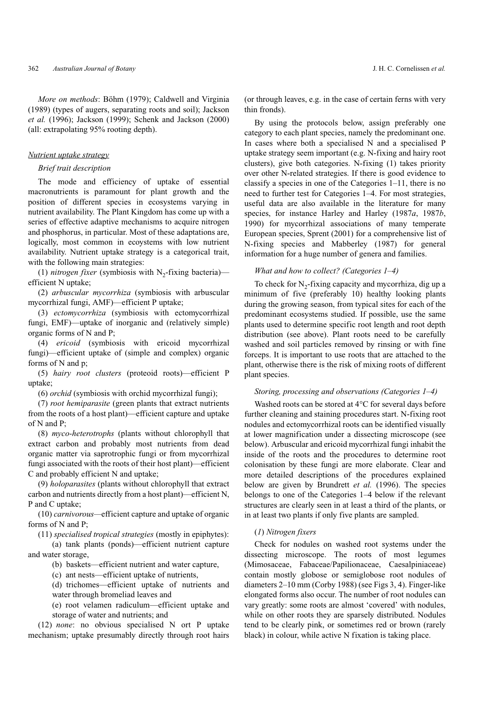*More on methods*: Böhm (1979); Caldwell and Virginia (1989) (types of augers, separating roots and soil); Jackson *et al.* (1996); Jackson (1999); Schenk and Jackson (2000) (all: extrapolating 95% rooting depth).

#### *Nutrient uptake strategy*

## *Brief trait description*

The mode and efficiency of uptake of essential macronutrients is paramount for plant growth and the position of different species in ecosystems varying in nutrient availability. The Plant Kingdom has come up with a series of effective adaptive mechanisms to acquire nitrogen and phosphorus, in particular. Most of these adaptations are, logically, most common in ecoystems with low nutrient availability. Nutrient uptake strategy is a categorical trait, with the following main strategies:

(1) *nitrogen fixer* (symbiosis with N<sub>2</sub>-fixing bacteria) efficient N uptake;

(2) *arbuscular mycorrhiza* (symbiosis with arbuscular mycorrhizal fungi, AMF)—efficient P uptake;

(3) *ectomycorrhiza* (symbiosis with ectomycorrhizal fungi, EMF)—uptake of inorganic and (relatively simple) organic forms of N and P;

(4) *ericoid* (symbiosis with ericoid mycorrhizal fungi)—efficient uptake of (simple and complex) organic forms of N and p;

(5) *hairy root clusters* (proteoid roots)—efficient P uptake;

(6) *orchid* (symbiosis with orchid mycorrhizal fungi);

(7) *root hemiparasite* (green plants that extract nutrients from the roots of a host plant)—efficient capture and uptake of N and P;

(8) *myco-heterotrophs* (plants without chlorophyll that extract carbon and probably most nutrients from dead organic matter via saprotrophic fungi or from mycorrhizal fungi associated with the roots of their host plant)—efficient C and probably efficient N and uptake;

(9) *holoparasites* (plants without chlorophyll that extract carbon and nutrients directly from a host plant)—efficient N, P and C uptake;

(10) *carnivorous—*efficient capture and uptake of organic forms of N and P;

(11) *specialised tropical strategies* (mostly in epiphytes):

(a) tank plants (ponds)—efficient nutrient capture and water storage,

- (b) baskets—efficient nutrient and water capture,
- (c) ant nests—efficient uptake of nutrients,

(d) trichomes—efficient uptake of nutrients and water through bromeliad leaves and

(e) root velamen radiculum—efficient uptake and storage of water and nutrients; and

(12) *none*: no obvious specialised N ort P uptake mechanism; uptake presumably directly through root hairs (or through leaves, e.g. in the case of certain ferns with very thin fronds).

By using the protocols below, assign preferably one category to each plant species, namely the predominant one. In cases where both a specialised N and a specialised P uptake strategy seem important (e.g. N-fixing and hairy root clusters), give both categories. N-fixing (1) takes priority over other N-related strategies. If there is good evidence to classify a species in one of the Categories 1–11, there is no need to further test for Categories 1–4. For most strategies, useful data are also available in the literature for many species, for instance Harley and Harley (1987*a*, 1987*b*, 1990) for mycorrhizal associations of many temperate European species, Sprent (2001) for a comprehensive list of N-fixing species and Mabberley (1987) for general information for a huge number of genera and families.

### *What and how to collect? (Categories 1–4)*

To check for  $N<sub>2</sub>$ -fixing capacity and mycorrhiza, dig up a minimum of five (preferably 10) healthy looking plants during the growing season, from typical sites for each of the predominant ecosystems studied. If possible, use the same plants used to determine specific root length and root depth distribution (see above). Plant roots need to be carefully washed and soil particles removed by rinsing or with fine forceps. It is important to use roots that are attached to the plant, otherwise there is the risk of mixing roots of different plant species.

## *Storing, processing and observations (Categories 1–4)*

Washed roots can be stored at 4°C for several days before further cleaning and staining procedures start. N-fixing root nodules and ectomycorrhizal roots can be identified visually at lower magnification under a dissecting microscope (see below). Arbuscular and ericoid mycorrhizal fungi inhabit the inside of the roots and the procedures to determine root colonisation by these fungi are more elaborate. Clear and more detailed descriptions of the procedures explained below are given by Brundrett *et al.* (1996). The species belongs to one of the Categories 1–4 below if the relevant structures are clearly seen in at least a third of the plants, or in at least two plants if only five plants are sampled.

#### (*1*) *Nitrogen fixers*

Check for nodules on washed root systems under the dissecting microscope. The roots of most legumes (Mimosaceae, Fabaceae/Papilionaceae, Caesalpiniaceae) contain mostly globose or semiglobose root nodules of diameters 2–10 mm (Corby 1988) (see Figs 3, 4). Finger-like elongated forms also occur. The number of root nodules can vary greatly: some roots are almost 'covered' with nodules, while on other roots they are sparsely distributed. Nodules tend to be clearly pink, or sometimes red or brown (rarely black) in colour, while active N fixation is taking place.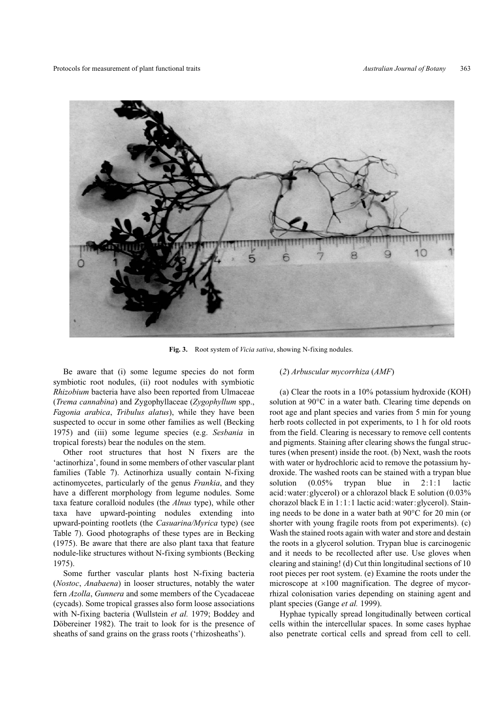

Fig. 3. Root system of *Vicia sativa*, showing N-fixing nodules.

Be aware that (i) some legume species do not form symbiotic root nodules, (ii) root nodules with symbiotic *Rhizobium* bacteria have also been reported from Ulmaceae (*Trema cannabina*) and Zygophyllaceae (*Zygophyllum* spp., *Fagonia arabica*, *Tribulus alatus*), while they have been suspected to occur in some other families as well (Becking 1975) and (iii) some legume species (e.g. *Sesbania* in tropical forests) bear the nodules on the stem.

Other root structures that host N fixers are the 'actinorhiza', found in some members of other vascular plant families (Table 7). Actinorhiza usually contain N-fixing actinomycetes, particularly of the genus *Frankia*, and they have a different morphology from legume nodules. Some taxa feature coralloid nodules (the *Alnus* type), while other taxa have upward-pointing nodules extending into upward-pointing rootlets (the *Casuarina/Myrica* type) (see Table 7). Good photographs of these types are in Becking (1975). Be aware that there are also plant taxa that feature nodule-like structures without N-fixing symbionts (Becking 1975).

Some further vascular plants host N-fixing bacteria (*Nostoc*, *Anabaena*) in looser structures, notably the water fern *Azolla*, *Gunnera* and some members of the Cycadaceae (cycads). Some tropical grasses also form loose associations with N-fixing bacteria (Wullstein *et al.* 1979; Boddey and Döbereiner 1982). The trait to look for is the presence of sheaths of sand grains on the grass roots ('rhizosheaths').

## (*2*) *Arbuscular mycorrhiza* (*AMF*)

(a) Clear the roots in a 10% potassium hydroxide (KOH) solution at 90°C in a water bath. Clearing time depends on root age and plant species and varies from 5 min for young herb roots collected in pot experiments, to 1 h for old roots from the field. Clearing is necessary to remove cell contents and pigments. Staining after clearing shows the fungal structures (when present) inside the root. (b) Next, wash the roots with water or hydrochloric acid to remove the potassium hydroxide. The washed roots can be stained with a trypan blue solution (0.05% trypan blue in 2:1:1 lactic acid:water:glycerol) or a chlorazol black E solution (0.03% chorazol black E in 1:1:1 lactic acid:water:glycerol). Staining needs to be done in a water bath at 90°C for 20 min (or shorter with young fragile roots from pot experiments). (c) Wash the stained roots again with water and store and destain the roots in a glycerol solution. Trypan blue is carcinogenic and it needs to be recollected after use. Use gloves when clearing and staining! (d) Cut thin longitudinal sections of 10 root pieces per root system. (e) Examine the roots under the microscope at  $\times$ 100 magnification. The degree of mycorrhizal colonisation varies depending on staining agent and plant species (Gange *et al.* 1999).

Hyphae typically spread longitudinally between cortical cells within the intercellular spaces. In some cases hyphae also penetrate cortical cells and spread from cell to cell.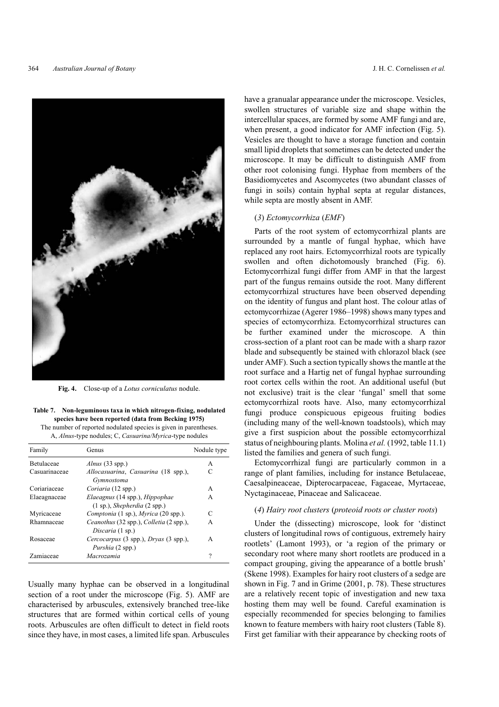

**Fig. 4.** Close-up of a *Lotus corniculatus* nodule.

**Table 7. Non-leguminous taxa in which nitrogen-fixing, nodulated species have been reported (data from Becking 1975)** The number of reported nodulated species is given in parentheses.

A, *Alnus*-type nodules; C, *Casuarina/Myrica*-type nodules

| Family            | Genus                                                       | Nodule type |
|-------------------|-------------------------------------------------------------|-------------|
| <b>Betulaceae</b> | Alnus $(33$ spp.)                                           | A           |
| Casuarinaceae     | Allocasuarina, Casuarina (18 spp.),<br>Gymnostoma           | C           |
| Coriariaceae      | Coriaria (12 spp.)                                          | A           |
| Elaeagnaceae      | Elaeagnus (14 spp.), Hippophae                              | A           |
|                   | $(1 sp.),$ Shepherdia $(2 spp.)$                            |             |
| Myricaceae        | Comptonia (1 sp.), Myrica (20 spp.).                        | C           |
| Rhamnaceae        | Ceanothus (32 spp.), Colletia (2 spp.),<br>Discaria (1 sp.) | A           |
| Rosaceae          | Cercocarpus (3 spp.), Dryas (3 spp.),<br>Purshia (2 spp.)   | A           |
| Zamiaceae         | Macrozamia                                                  | ?           |

Usually many hyphae can be observed in a longitudinal section of a root under the microscope (Fig. 5). AMF are characterised by arbuscules, extensively branched tree-like structures that are formed within cortical cells of young roots. Arbuscules are often difficult to detect in field roots since they have, in most cases, a limited life span. Arbuscules have a granualar appearance under the microscope. Vesicles, swollen structures of variable size and shape within the intercellular spaces, are formed by some AMF fungi and are, when present, a good indicator for AMF infection (Fig. 5). Vesicles are thought to have a storage function and contain small lipid droplets that sometimes can be detected under the microscope. It may be difficult to distinguish AMF from other root colonising fungi. Hyphae from members of the Basidiomycetes and Ascomycetes (two abundant classes of fungi in soils) contain hyphal septa at regular distances, while septa are mostly absent in AMF.

## (*3*) *Ectomycorrhiza* (*EMF*)

Parts of the root system of ectomycorrhizal plants are surrounded by a mantle of fungal hyphae, which have replaced any root hairs. Ectomycorrhizal roots are typically swollen and often dichotomously branched (Fig. 6). Ectomycorrhizal fungi differ from AMF in that the largest part of the fungus remains outside the root. Many different ectomycorrhizal structures have been observed depending on the identity of fungus and plant host. The colour atlas of ectomycorrhizae (Agerer 1986–1998) shows many types and species of ectomycorrhiza. Ectomycorrhizal structures can be further examined under the microscope. A thin cross-section of a plant root can be made with a sharp razor blade and subsequently be stained with chlorazol black (see under AMF). Such a section typically shows the mantle at the root surface and a Hartig net of fungal hyphae surrounding root cortex cells within the root. An additional useful (but not exclusive) trait is the clear 'fungal' smell that some ectomycorrhizal roots have. Also, many ectomycorrhizal fungi produce conspicuous epigeous fruiting bodies (including many of the well-known toadstools), which may give a first suspicion about the possible ectomycorrhizal status of neighbouring plants. Molina *et al.* (1992, table 11.1) listed the families and genera of such fungi.

Ectomycorrhizal fungi are particularly common in a range of plant families, including for instance Betulaceae, Caesalpineaceae, Dipterocarpaceae, Fagaceae, Myrtaceae, Nyctaginaceae, Pinaceae and Salicaceae.

## (*4*) *Hairy root clusters* (*proteoid roots or cluster roots*)

Under the (dissecting) microscope, look for 'distinct clusters of longitudinal rows of contiguous, extremely hairy rootlets' (Lamont 1993), or 'a region of the primary or secondary root where many short rootlets are produced in a compact grouping, giving the appearance of a bottle brush' (Skene 1998). Examples for hairy root clusters of a sedge are shown in Fig. 7 and in Grime (2001, p. 78). These structures are a relatively recent topic of investigation and new taxa hosting them may well be found. Careful examination is especially recommended for species belonging to families known to feature members with hairy root clusters (Table 8). First get familiar with their appearance by checking roots of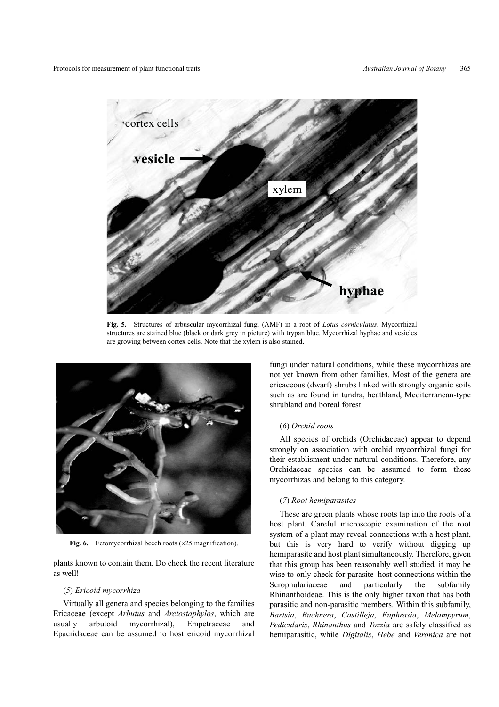Protocols for measurement of plant functional traits *Australian Journal of Botany* 365



**Fig. 5.** Structures of arbuscular mycorrhizal fungi (AMF) in a root of *Lotus corniculatus*. Mycorrhizal structures are stained blue (black or dark grey in picture) with trypan blue. Mycorrhizal hyphae and vesicles are growing between cortex cells. Note that the xylem is also stained.



Fig. 6. Ectomycorrhizal beech roots ( $\times$ 25 magnification).

plants known to contain them. Do check the recent literature as well!

## (*5*) *Ericoid mycorrhiza*

Virtually all genera and species belonging to the families Ericaceae (except *Arbutus* and *Arctostaphylos*, which are usually arbutoid mycorrhizal), Empetraceae and Epacridaceae can be assumed to host ericoid mycorrhizal fungi under natural conditions, while these mycorrhizas are not yet known from other families. Most of the genera are ericaceous (dwarf) shrubs linked with strongly organic soils such as are found in tundra, heathland, Mediterranean-type shrubland and boreal forest.

## (*6*) *Orchid roots*

All species of orchids (Orchidaceae) appear to depend strongly on association with orchid mycorrhizal fungi for their establisment under natural conditions. Therefore, any Orchidaceae species can be assumed to form these mycorrhizas and belong to this category.

## (*7*) *Root hemiparasites*

These are green plants whose roots tap into the roots of a host plant. Careful microscopic examination of the root system of a plant may reveal connections with a host plant, but this is very hard to verify without digging up hemiparasite and host plant simultaneously. Therefore, given that this group has been reasonably well studied, it may be wise to only check for parasite–host connections within the Scrophulariaceae and particularly the subfamily Rhinanthoideae. This is the only higher taxon that has both parasitic and non-parasitic members. Within this subfamily, *Bartsia*, *Buchnera*, *Castilleja*, *Euphrasia*, *Melampyrum*, *Pedicularis*, *Rhinanthus* and *Tozzia* are safely classified as hemiparasitic, while *Digitalis*, *Hebe* and *Veronica* are not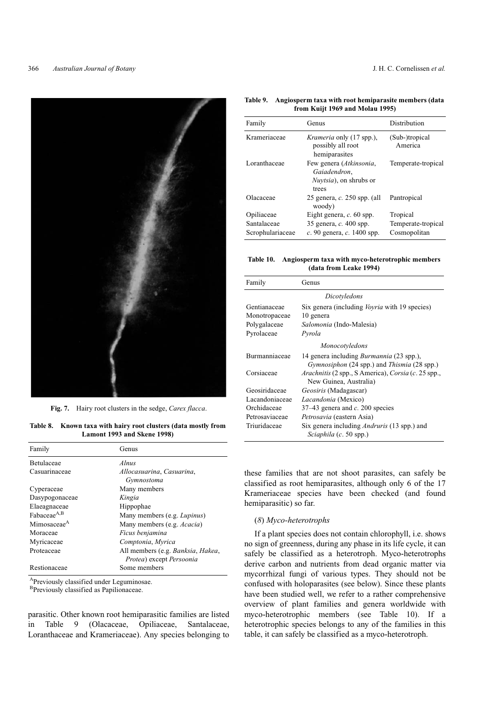

**Fig. 7.** Hairy root clusters in the sedge, *Carex flacca*.

**Table 8. Known taxa with hairy root clusters (data mostly from Lamont 1993 and Skene 1998)**

| Family                  | Genus                               |
|-------------------------|-------------------------------------|
| Betulaceae              | <i>Alnus</i>                        |
| Casuarinaceae           | Allocasuarina, Casuarina,           |
|                         | Gymnostoma                          |
| Cyperaceae              | Many members                        |
| Dasypogonaceae          | Kingia                              |
| Elaeagnaceae            | Hippophae                           |
| Fabaceae <sup>A,B</sup> | Many members (e.g. <i>Lupinus</i> ) |
| Mimosaceae <sup>A</sup> | Many members (e.g. <i>Acacia</i> )  |
| Moraceae                | Ficus benjamina                     |
| Myricaceae              | Comptonia, Myrica                   |
| Proteaceae              | All members (e.g. Banksia, Hakea,   |
|                         | Protea) except Persoonia            |
| Restionaceae            | Some members                        |

APreviously classified under Leguminosae.

BPreviously classified as Papilionaceae.

parasitic. Other known root hemiparasitic families are listed in Table 9 (Olacaceae, Opiliaceae, Santalaceae, Loranthaceae and Krameriaceae). Any species belonging to

| Family                                        | Genus                                                                                   | Distribution                                   |
|-----------------------------------------------|-----------------------------------------------------------------------------------------|------------------------------------------------|
| Krameriaceae                                  | <i>Krameria</i> only (17 spp.),<br>possibly all root<br>hemiparasites                   | (Sub-)tropical<br>America                      |
| Loranthaceae                                  | Few genera (Atkinsonia,<br>Gaiadendron.<br><i>Nuytsia</i> ), on shrubs or<br>trees      | Temperate-tropical                             |
| Olacaceae                                     | 25 genera, $c$ . 250 spp. (all<br>woody)                                                | Pantropical                                    |
| Opiliaceae<br>Santalaceae<br>Scrophulariaceae | Eight genera, $c$ . 60 spp.<br>35 genera, c. 400 spp.<br>$c. 90$ genera, $c. 1400$ spp. | Tropical<br>Temperate-tropical<br>Cosmopolitan |

#### **Table 9. Angiosperm taxa with root hemiparasite members (data from Kuijt 1969 and Molau 1995)**

**Table 10. Angiosperm taxa with myco-heterotrophic members (data from Leake 1994)**

| Family         | Genus                                                                                                 |
|----------------|-------------------------------------------------------------------------------------------------------|
|                | Dicotyledons                                                                                          |
| Gentianaceae   | Six genera (including <i>Voyria</i> with 19 species)                                                  |
| Monotropaceae  | 10 genera                                                                                             |
| Polygalaceae   | Salomonia (Indo-Malesia)                                                                              |
| Pyrolaceae     | Pyrola                                                                                                |
|                | Monocotyledons                                                                                        |
| Burmanniaceae  | 14 genera including <i>Burmannia</i> (23 spp.),<br>Gymnosiphon (24 spp.) and <i>Thismia</i> (28 spp.) |
| Corsiaceae     | Arachnitis (2 spp., S America), Corsia (c. 25 spp.,<br>New Guinea, Australia)                         |
| Geosiridaceae  | <i>Geosiris</i> (Madagascar)                                                                          |
| Lacandoniaceae | Lacandonia (Mexico)                                                                                   |
| Orchidaceae    | 37–43 genera and $c$ . 200 species                                                                    |
| Petrosaviaceae | Petrosavia (eastern Asia)                                                                             |
| Triuridaceae   | Six genera including <i>Andruris</i> (13 spp.) and<br>Sciaphila (c. 50 spp.)                          |

these families that are not shoot parasites, can safely be classified as root hemiparasites, although only 6 of the 17 Krameriaceae species have been checked (and found hemiparasitic) so far.

### (*8*) *Myco-heterotrophs*

If a plant species does not contain chlorophyll, i.e. shows no sign of greenness, during any phase in its life cycle, it can safely be classified as a heterotroph. Myco-heterotrophs derive carbon and nutrients from dead organic matter via mycorrhizal fungi of various types. They should not be confused with holoparasites (see below). Since these plants have been studied well, we refer to a rather comprehensive overview of plant families and genera worldwide with myco-heterotrophic members (see Table 10). If a heterotrophic species belongs to any of the families in this table, it can safely be classified as a myco-heterotroph.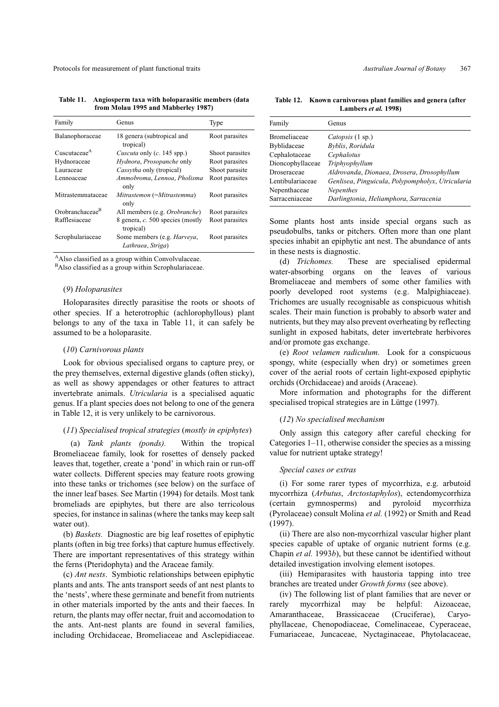Protocols for measurement of plant functional traits *Australian Journal of Botany* 367

**Table 11. Angiosperm taxa with holoparasitic members (data from Molau 1995 and Mabberley 1987)**

| Family                      | Genus                                            | Type            |
|-----------------------------|--------------------------------------------------|-----------------|
| Balanophoraceae             | 18 genera (subtropical and<br>tropical)          | Root parasites  |
| Cuscutaceae <sup>A</sup>    | Cuscuta only (c. 145 spp.)                       | Shoot parasites |
| Hydnoraceae                 | Hydnora, Prosopanche only                        | Root parasites  |
| Lauraceae                   | Cassytha only (tropical)                         | Shoot parasite  |
| Lennoaceae                  | Ammobroma, Lennoa, Pholisma<br>only              | Root parasites  |
| Mitrastemmataceae           | Mitrastemon (=Mitrastemma)<br>only               | Root parasites  |
| Orobranchaceae <sup>B</sup> | All members (e.g. Orobranche)                    | Root parasites  |
| Rafflesiaceae               | 8 genera, c. 500 species (mostly<br>tropical)    | Root parasites  |
| Scrophulariaceae            | Some members (e.g. Harveya,<br>Lathraea, Striga) | Root parasites  |

AAlso classified as a group within Convolvulaceae.

BAlso classified as a group within Scrophulariaceae.

### (*9*) *Holoparasites*

Holoparasites directly parasitise the roots or shoots of other species. If a heterotrophic (achlorophyllous) plant belongs to any of the taxa in Table 11, it can safely be assumed to be a holoparasite.

#### (*10*) *Carnivorous plants*

Look for obvious specialised organs to capture prey, or the prey themselves, external digestive glands (often sticky), as well as showy appendages or other features to attract invertebrate animals. *Utricularia* is a specialised aquatic genus. If a plant species does not belong to one of the genera in Table 12, it is very unlikely to be carnivorous.

### (*11*) *Specialised tropical strategies* (*mostly in epiphytes*)

 (a) *Tank plants (ponds).* Within the tropical Bromeliaceae family, look for rosettes of densely packed leaves that, together, create a 'pond' in which rain or run-off water collects. Different species may feature roots growing into these tanks or trichomes (see below) on the surface of the inner leaf bases. See Martin (1994) for details. Most tank bromeliads are epiphytes, but there are also terricolous species, for instance in salinas (where the tanks may keep salt water out).

(b) *Baskets.* Diagnostic are big leaf rosettes of epiphytic plants (often in big tree forks) that capture humus effectively. There are important representatives of this strategy within the ferns (Pteridophyta) and the Araceae family.

(c) *Ant nests*. Symbiotic relationships between epiphytic plants and ants. The ants transport seeds of ant nest plants to the 'nests', where these germinate and benefit from nutrients in other materials imported by the ants and their faeces. In return, the plants may offer nectar, fruit and accomodation to the ants. Ant-nest plants are found in several families, including Orchidaceae, Bromeliaceae and Asclepidiaceae.

**Table 12. Known carnivorous plant families and genera (after Lambers** *et al.* **1998)**

| Family              | Genus                                            |
|---------------------|--------------------------------------------------|
| <b>Bromeliaceae</b> | Catopsis (1 sp.)                                 |
| <b>Byblidaceae</b>  | Byblis, Roridula                                 |
| Cephalotaceae       | Cephalotus                                       |
| Dioncophyllaceae    | Triphyophyllum                                   |
| Droseraceae         | Aldrovanda, Dionaea, Drosera, Drosophyllum       |
| Lentibulariaceae    | Genlisea, Pinguicula, Polypompholyx, Utricularia |
| Nepenthaceae        | Nepenthes                                        |
| Sarraceniaceae      | Darlingtonia, Heliamphora, Sarracenia            |

Some plants host ants inside special organs such as pseudobulbs, tanks or pitchers. Often more than one plant species inhabit an epiphytic ant nest. The abundance of ants in these nests is diagnostic.

(d) *Trichomes.* These are specialised epidermal water-absorbing organs on the leaves of various Bromeliaceae and members of some other families with poorly developed root systems (e.g. Malpighiaceae). Trichomes are usually recognisable as conspicuous whitish scales. Their main function is probably to absorb water and nutrients, but they may also prevent overheating by reflecting sunlight in exposed habitats, deter invertebrate herbivores and/or promote gas exchange.

(e) *Root velamen radiculum*. Look for a conspicuous spongy, white (especially when dry) or sometimes green cover of the aerial roots of certain light-exposed epiphytic orchids (Orchidaceae) and aroids (Araceae).

More information and photographs for the different specialised tropical strategies are in Lüttge (1997).

### (*12*) *No specialised mechanism*

Only assign this category after careful checking for Categories 1–11, otherwise consider the species as a missing value for nutrient uptake strategy!

#### *Special cases or extras*

(i) For some rarer types of mycorrhiza, e.g. arbutoid mycorrhiza (*Arbutus*, *Arctostaphylos*), ectendomycorrhiza (certain gymnosperms) and pyroloid mycorrhiza (Pyrolaceae) consult Molina *et al.* (1992) or Smith and Read (1997).

(ii) There are also non-mycorrhizal vascular higher plant species capable of uptake of organic nutrient forms (e.g. Chapin *et al.* 1993*b*), but these cannot be identified without detailed investigation involving element isotopes.

(iii) Hemiparasites with haustoria tapping into tree branches are treated under *Growth forms* (see above).

(iv) The following list of plant families that are never or rarely mycorrhizal may be helpful: Aizoaceae, Amaranthaceae, Brassicaceae (Cruciferae), Caryophyllaceae, Chenopodiaceae, Comelinaceae, Cyperaceae, Fumariaceae, Juncaceae, Nyctaginaceae, Phytolacaceae,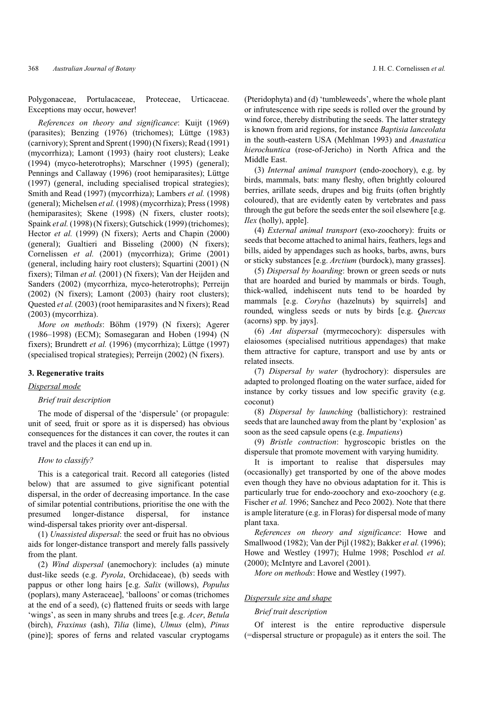Exceptions may occur, however!

Polygonaceae, Portulacaceae, Proteceae, Urticaceae.

*References on theory and significance*: Kuijt (1969) (parasites); Benzing (1976) (trichomes); Lüttge (1983) (carnivory); Sprent and Sprent (1990) (N fixers); Read (1991) (mycorrhiza); Lamont (1993) (hairy root clusters); Leake (1994) (myco-heterotrophs); Marschner (1995) (general); Pennings and Callaway (1996) (root hemiparasites); Lüttge (1997) (general, including specialised tropical strategies); Smith and Read (1997) (mycorrhiza); Lambers *et al.* (1998) (general); Michelsen *et al.* (1998) (mycorrhiza); Press (1998) (hemiparasites); Skene (1998) (N fixers, cluster roots); Spaink *et al.* (1998) (N fixers); Gutschick (1999) (trichomes); Hector *et al.* (1999) (N fixers); Aerts and Chapin (2000) (general); Gualtieri and Bisseling (2000) (N fixers); Cornelissen *et al.* (2001) (mycorrhiza); Grime (2001) (general, including hairy root clusters); Squartini (2001) (N fixers); Tilman *et al.* (2001) (N fixers); Van der Heijden and Sanders (2002) (mycorrhiza, myco-heterotrophs); Perreijn (2002) (N fixers); Lamont (2003) (hairy root clusters); Quested *et al.* (2003) (root hemiparasites and N fixers); Read (2003) (mycorrhiza).

*More on methods*: Böhm (1979) (N fixers); Agerer (1986–1998) (ECM); Somasegaran and Hoben (1994) (N fixers); Brundrett *et al.* (1996) (mycorrhiza); Lüttge (1997) (specialised tropical strategies); Perreijn (2002) (N fixers).

### **3. Regenerative traits**

## *Dispersal mode*

## *Brief trait description*

The mode of dispersal of the 'dispersule' (or propagule: unit of seed, fruit or spore as it is dispersed) has obvious consequences for the distances it can cover, the routes it can travel and the places it can end up in.

#### *How to classify?*

This is a categorical trait. Record all categories (listed below) that are assumed to give significant potential dispersal, in the order of decreasing importance. In the case of similar potential contributions, prioritise the one with the presumed longer-distance dispersal, for instance wind-dispersal takes priority over ant-dispersal.

(1) *Unassisted dispersal*: the seed or fruit has no obvious aids for longer-distance transport and merely falls passively from the plant.

(2) *Wind dispersal* (anemochory): includes (a) minute dust-like seeds (e.g. *Pyrola*, Orchidaceae), (b) seeds with pappus or other long hairs [e.g. *Salix* (willows), *Populus* (poplars), many Asteraceae], 'balloons' or comas (trichomes at the end of a seed), (c) flattened fruits or seeds with large 'wings', as seen in many shrubs and trees [e.g. *Acer*, *Betula* (birch), *Fraxinus* (ash), *Tilia* (lime), *Ulmus* (elm), *Pinus* (pine)]; spores of ferns and related vascular cryptogams

(Pteridophyta) and (d) 'tumbleweeds', where the whole plant or infrutescence with ripe seeds is rolled over the ground by wind force, thereby distributing the seeds. The latter strategy is known from arid regions, for instance *Baptisia lanceolata* in the south-eastern USA (Mehlman 1993) and *Anastatica hierochuntica* (rose-of-Jericho) in North Africa and the Middle East.

(3) *Internal animal transport* (endo-zoochory), e.g. by birds, mammals, bats: many fleshy, often brightly coloured berries, arillate seeds, drupes and big fruits (often brightly coloured), that are evidently eaten by vertebrates and pass through the gut before the seeds enter the soil elsewhere [e.g. *Ilex* (holly), apple].

(4) *External animal transport* (exo-zoochory): fruits or seeds that become attached to animal hairs, feathers, legs and bills, aided by appendages such as hooks, barbs, awns, burs or sticky substances [e.g. *Arctium* (burdock), many grasses].

(5) *Dispersal by hoarding*: brown or green seeds or nuts that are hoarded and buried by mammals or birds. Tough, thick-walled, indehiscent nuts tend to be hoarded by mammals [e.g. *Corylus* (hazelnuts) by squirrels] and rounded, wingless seeds or nuts by birds [e.g. *Quercus* (acorns) spp. by jays].

(6) *Ant dispersal* (myrmecochory): dispersules with elaiosomes (specialised nutritious appendages) that make them attractive for capture, transport and use by ants or related insects.

(7) *Dispersal by water* (hydrochory): dispersules are adapted to prolonged floating on the water surface, aided for instance by corky tissues and low specific gravity (e.g. coconut)

(8) *Dispersal by launching* (ballistichory): restrained seeds that are launched away from the plant by 'explosion' as soon as the seed capsule opens (e.g. *Impatiens*)

(9) *Bristle contraction*: hygroscopic bristles on the dispersule that promote movement with varying humidity.

It is important to realise that dispersules may (occasionally) get transported by one of the above modes even though they have no obvious adaptation for it. This is particularly true for endo-zoochory and exo-zoochory (e.g. Fischer *et al.* 1996; Sanchez and Peco 2002). Note that there is ample literature (e.g. in Floras) for dispersal mode of many plant taxa.

*References on theory and significance*: Howe and Smallwood (1982); Van der Pijl (1982); Bakker *et al.* (1996); Howe and Westley (1997); Hulme 1998; Poschlod *et al.* (2000); McIntyre and Lavorel (2001).

*More on methods*: Howe and Westley (1997).

## *Dispersule size and shape*

## *Brief trait description*

Of interest is the entire reproductive dispersule (=dispersal structure or propagule) as it enters the soil. The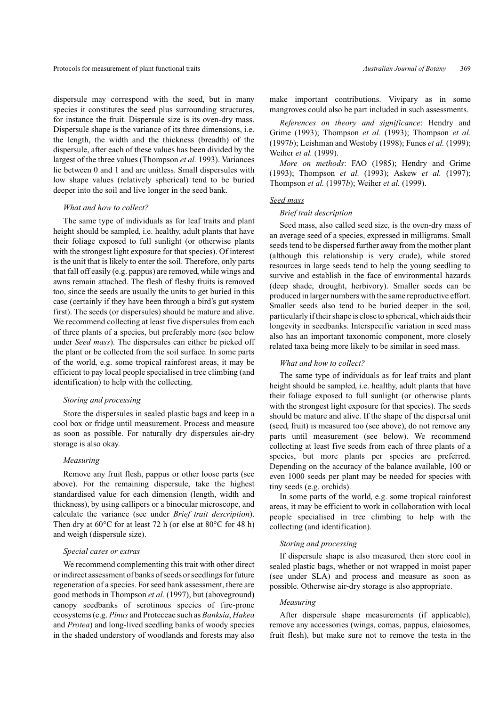dispersule may correspond with the seed, but in many species it constitutes the seed plus surrounding structures, for instance the fruit. Dispersule size is its oven-dry mass. Dispersule shape is the variance of its three dimensions, i.e. the length, the width and the thickness (breadth) of the dispersule, after each of these values has been divided by the largest of the three values (Thompson *et al.* 1993). Variances lie between 0 and 1 and are unitless. Small dispersules with low shape values (relatively spherical) tend to be buried deeper into the soil and live longer in the seed bank.

## *What and how to collect?*

The same type of individuals as for leaf traits and plant height should be sampled, i.e. healthy, adult plants that have their foliage exposed to full sunlight (or otherwise plants with the strongest light exposure for that species). Of interest is the unit that is likely to enter the soil. Therefore, only parts that fall off easily (e.g. pappus) are removed, while wings and awns remain attached. The flesh of fleshy fruits is removed too, since the seeds are usually the units to get buried in this case (certainly if they have been through a bird's gut system first). The seeds (or dispersules) should be mature and alive. We recommend collecting at least five dispersules from each of three plants of a species, but preferably more (see below under *Seed mass*). The dispersules can either be picked off the plant or be collected from the soil surface. In some parts of the world, e.g. some tropical rainforest areas, it may be efficient to pay local people specialised in tree climbing (and identification) to help with the collecting.

## *Storing and processing*

Store the dispersules in sealed plastic bags and keep in a cool box or fridge until measurement. Process and measure as soon as possible. For naturally dry dispersules air-dry storage is also okay.

#### *Measuring*

Remove any fruit flesh, pappus or other loose parts (see above). For the remaining dispersule, take the highest standardised value for each dimension (length, width and thickness), by using callipers or a binocular microscope, and calculate the variance (see under *Brief trait description*). Then dry at  $60^{\circ}$ C for at least 72 h (or else at  $80^{\circ}$ C for 48 h) and weigh (dispersule size).

#### *Special cases or extras*

We recommend complementing this trait with other direct or indirect assessment of banks of seeds or seedlings for future regeneration of a species. For seed bank assessment, there are good methods in Thompson *et al.* (1997), but (aboveground) canopy seedbanks of serotinous species of fire-prone ecosystems (e.g. *Pinus* and Proteceae such as *Banksia*, *Hakea* and *Protea*) and long-lived seedling banks of woody species in the shaded understory of woodlands and forests may also make important contributions. Vivipary as in some mangroves could also be part included in such assessments.

*References on theory and significance*: Hendry and Grime (1993); Thompson *et al.* (1993); Thompson *et al.* (1997*b*); Leishman and Westoby (1998); Funes *et al.* (1999); Weiher *et al.* (1999).

*More on methods*: FAO (1985); Hendry and Grime (1993); Thompson *et al.* (1993); Askew *et al.* (1997); Thompson *et al.* (1997*b*); Weiher *et al.* (1999).

## *Seed mass*

## *Brief trait description*

Seed mass, also called seed size, is the oven-dry mass of an average seed of a species, expressed in milligrams. Small seeds tend to be dispersed further away from the mother plant (although this relationship is very crude), while stored resources in large seeds tend to help the young seedling to survive and establish in the face of environmental hazards (deep shade, drought, herbivory). Smaller seeds can be produced in larger numbers with the same reproductive effort. Smaller seeds also tend to be buried deeper in the soil, particularly if their shape is close to spherical, which aids their longevity in seedbanks. Interspecific variation in seed mass also has an important taxonomic component, more closely related taxa being more likely to be similar in seed mass.

## *What and how to collect?*

The same type of individuals as for leaf traits and plant height should be sampled, i.e. healthy, adult plants that have their foliage exposed to full sunlight (or otherwise plants with the strongest light exposure for that species). The seeds should be mature and alive. If the shape of the dispersal unit (seed, fruit) is measured too (see above), do not remove any parts until measurement (see below). We recommend collecting at least five seeds from each of three plants of a species, but more plants per species are preferred. Depending on the accuracy of the balance available, 100 or even 1000 seeds per plant may be needed for species with tiny seeds (e.g. orchids).

In some parts of the world, e.g. some tropical rainforest areas, it may be efficient to work in collaboration with local people specialised in tree climbing to help with the collecting (and identification).

## *Storing and processing*

If dispersule shape is also measured, then store cool in sealed plastic bags, whether or not wrapped in moist paper (see under SLA) and process and measure as soon as possible. Otherwise air-dry storage is also appropriate.

### *Measuring*

After dispersule shape measurements (if applicable), remove any accessories (wings, comas, pappus, elaiosomes, fruit flesh), but make sure not to remove the testa in the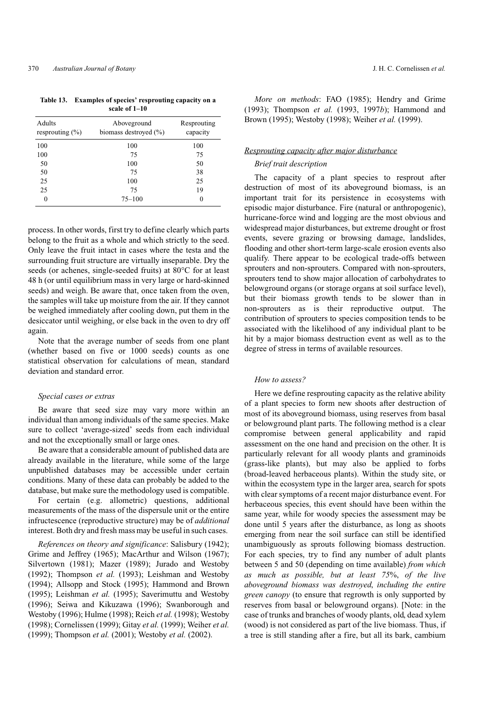| Adults<br>resprouting $(\% )$ | Aboveground<br>biomass destroyed (%) | Resprouting<br>capacity |
|-------------------------------|--------------------------------------|-------------------------|
| 100                           | 100                                  | 100                     |
| 100                           | 75                                   | 75                      |
| 50                            | 100                                  | 50                      |
| 50                            | 75                                   | 38                      |
| 25                            | 100                                  | 25                      |
| 25                            | 75                                   | 19                      |
| $\theta$                      | $75 - 100$                           | 0                       |

**Table 13. Examples of species' resprouting capacity on a scale of 1–10**

process. In other words, first try to define clearly which parts belong to the fruit as a whole and which strictly to the seed. Only leave the fruit intact in cases where the testa and the surrounding fruit structure are virtually inseparable. Dry the seeds (or achenes, single-seeded fruits) at 80°C for at least 48 h (or until equilibrium mass in very large or hard-skinned seeds) and weigh. Be aware that, once taken from the oven, the samples will take up moisture from the air. If they cannot be weighed immediately after cooling down, put them in the desiccator until weighing, or else back in the oven to dry off again.

Note that the average number of seeds from one plant (whether based on five or 1000 seeds) counts as one statistical observation for calculations of mean, standard deviation and standard error.

#### *Special cases or extras*

Be aware that seed size may vary more within an individual than among individuals of the same species. Make sure to collect 'average-sized' seeds from each individual and not the exceptionally small or large ones.

Be aware that a considerable amount of published data are already available in the literature, while some of the large unpublished databases may be accessible under certain conditions. Many of these data can probably be added to the database, but make sure the methodology used is compatible.

For certain (e.g. allometric) questions, additional measurements of the mass of the dispersule unit or the entire infructescence (reproductive structure) may be of *additional* interest. Both dry and fresh mass may be useful in such cases.

*References on theory and significance*: Salisbury (1942); Grime and Jeffrey (1965); MacArthur and Wilson (1967); Silvertown (1981); Mazer (1989); Jurado and Westoby (1992); Thompson *et al.* (1993); Leishman and Westoby (1994); Allsopp and Stock (1995); Hammond and Brown (1995); Leishman *et al.* (1995); Saverimuttu and Westoby (1996); Seiwa and Kikuzawa (1996); Swanborough and Westoby (1996); Hulme (1998); Reich *et al.* (1998); Westoby (1998); Cornelissen (1999); Gitay *et al.* (1999); Weiher *et al.* (1999); Thompson *et al.* (2001); Westoby *et al.* (2002).

*More on methods*: FAO (1985); Hendry and Grime (1993); Thompson *et al.* (1993, 1997*b*); Hammond and Brown (1995); Westoby (1998); Weiher *et al.* (1999).

## *Resprouting capacity after major disturbance*

## *Brief trait description*

The capacity of a plant species to resprout after destruction of most of its aboveground biomass, is an important trait for its persistence in ecosystems with episodic major disturbance. Fire (natural or anthropogenic), hurricane-force wind and logging are the most obvious and widespread major disturbances, but extreme drought or frost events, severe grazing or browsing damage, landslides, flooding and other short-term large-scale erosion events also qualify. There appear to be ecological trade-offs between sprouters and non-sprouters. Compared with non-sprouters, sprouters tend to show major allocation of carbohydrates to belowground organs (or storage organs at soil surface level), but their biomass growth tends to be slower than in non-sprouters as is their reproductive output. The contribution of sprouters to species composition tends to be associated with the likelihood of any individual plant to be hit by a major biomass destruction event as well as to the degree of stress in terms of available resources.

#### *How to assess?*

Here we define resprouting capacity as the relative ability of a plant species to form new shoots after destruction of most of its aboveground biomass, using reserves from basal or belowground plant parts. The following method is a clear compromise between general applicability and rapid assessment on the one hand and precision on the other. It is particularly relevant for all woody plants and graminoids (grass-like plants), but may also be applied to forbs (broad-leaved herbaceous plants). Within the study site, or within the ecosystem type in the larger area, search for spots with clear symptoms of a recent major disturbance event. For herbaceous species, this event should have been within the same year, while for woody species the assessment may be done until 5 years after the disturbance, as long as shoots emerging from near the soil surface can still be identified unambiguously as sprouts following biomass destruction. For each species, try to find any number of adult plants between 5 and 50 (depending on time available) *from which as much as possible, but at least 75*%, *of the live aboveground biomass was destroyed*, *including the entire green canopy* (to ensure that regrowth is only supported by reserves from basal or belowground organs). [Note: in the case of trunks and branches of woody plants, old, dead xylem (wood) is not considered as part of the live biomass. Thus, if a tree is still standing after a fire, but all its bark, cambium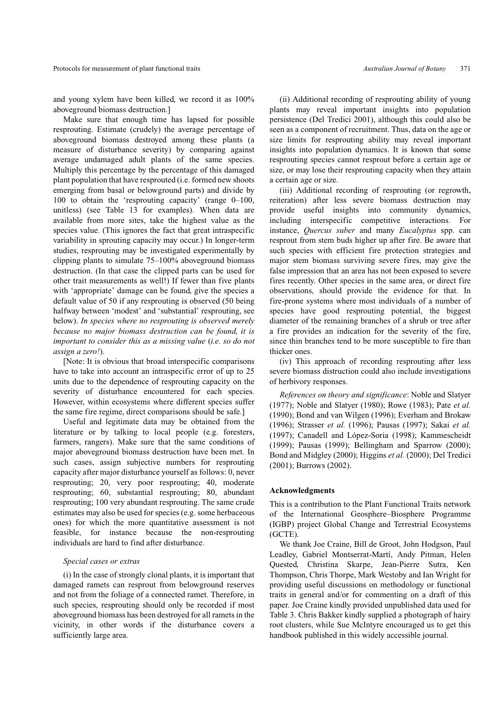and young xylem have been killed, we record it as 100% aboveground biomass destruction.]

Make sure that enough time has lapsed for possible resprouting. Estimate (crudely) the average percentage of aboveground biomass destroyed among these plants (a measure of disturbance severity) by comparing against average undamaged adult plants of the same species. Multiply this percentage by the percentage of this damaged plant population that have resprouted (i.e. formed new shoots emerging from basal or belowground parts) and divide by 100 to obtain the 'resprouting capacity' (range 0–100, unitless) (see Table 13 for examples). When data are available from more sites, take the highest value as the species value. (This ignores the fact that great intraspecific variability in sprouting capacity may occur.) In longer-term studies, resprouting may be investigated experimentally by clipping plants to simulate 75–100% aboveground biomass destruction. (In that case the clipped parts can be used for other trait measurements as well!) If fewer than five plants with 'appropriate' damage can be found, give the species a default value of 50 if any resprouting is observed (50 being halfway between 'modest' and 'substantial' resprouting, see below). *In species where no resprouting is observed merely because no major biomass destruction can be found*, *it is important to consider this as a missing value* (*i.e. so do not assign a zero!*).

[Note: It is obvious that broad interspecific comparisons have to take into account an intraspecific error of up to 25 units due to the dependence of resprouting capacity on the severity of disturbance encountered for each species. However, within ecosystems where different species suffer the same fire regime, direct comparisons should be safe.]

Useful and legitimate data may be obtained from the literature or by talking to local people (e.g. foresters, farmers, rangers). Make sure that the same conditions of major aboveground biomass destruction have been met. In such cases, assign subjective numbers for resprouting capacity after major disturbance yourself as follows: 0, never resprouting; 20, very poor resprouting; 40, moderate resprouting; 60, substantial resprouting; 80, abundant resprouting; 100 very abundant resprouting. The same crude estimates may also be used for species (e.g. some herbaceous ones) for which the more quantitative assessment is not feasible, for instance because the non-resprouting individuals are hard to find after disturbance.

## *Special cases or extras*

(i) In the case of strongly clonal plants, it is important that damaged ramets can resprout from belowground reserves and not from the foliage of a connected ramet. Therefore, in such species, resprouting should only be recorded if most aboveground biomass has been destroyed for all ramets in the vicinity, in other words if the disturbance covers a sufficiently large area.

(ii) Additional recording of resprouting ability of young plants may reveal important insights into population persistence (Del Tredici 2001), although this could also be seen as a component of recruitment. Thus, data on the age or size limits for resprouting ability may reveal important insights into population dynamics. It is known that some resprouting species cannot resprout before a certain age or size, or may lose their resprouting capacity when they attain a certain age or size.

(iii) Additional recording of resprouting (or regrowth, reiteration) after less severe biomass destruction may provide useful insights into community dynamics, including interspecific competitive interactions. For instance, *Quercus suber* and many *Eucalyptus* spp. can resprout from stem buds higher up after fire. Be aware that such species with efficient fire protection strategies and major stem biomass surviving severe fires, may give the false impression that an area has not been exposed to severe fires recently. Other species in the same area, or direct fire observations, should provide the evidence for that. In fire-prone systems where most individuals of a number of species have good resprouting potential, the biggest diameter of the remaining branches of a shrub or tree after a fire provides an indication for the severity of the fire, since thin branches tend to be more susceptible to fire than thicker ones.

(iv) This approach of recording resprouting after less severe biomass distruction could also include investigations of herbivory responses.

*References on theory and significance*: Noble and Slatyer (1977); Noble and Slatyer (1980); Rowe (1983); Pate *et al.* (1990); Bond and van Wilgen (1996); Everham and Brokaw (1996); Strasser *et al.* (1996); Pausas (1997); Sakai *et al.* (1997); Canadell and López-Soria (1998); Kammescheidt (1999); Pausas (1999); Bellingham and Sparrow (2000); Bond and Midgley (2000); Higgins *et al.* (2000); Del Tredici (2001); Burrows (2002).

### **Acknowledgments**

This is a contribution to the Plant Functional Traits network of the International Geosphere–Biosphere Programme (IGBP) project Global Change and Terrestrial Ecosystems (GCTE).

We thank Joe Craine, Bill de Groot, John Hodgson, Paul Leadley, Gabriel Montserrat-Martí, Andy Pitman, Helen Quested, Christina Skarpe, Jean-Pierre Sutra, Ken Thompson, Chris Thorpe, Mark Westoby and Ian Wright for providing useful discussions on methodology or functional traits in general and/or for commenting on a draft of this paper. Joe Craine kindly provided unpublished data used for Table 3. Chris Bakker kindly supplied a photograph of hairy root clusters, while Sue McIntyre encouraged us to get this handbook published in this widely accessible journal.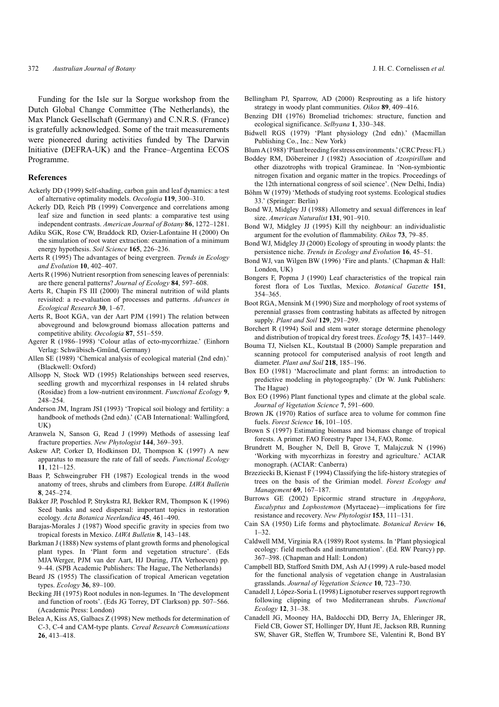Funding for the Isle sur la Sorgue workshop from the Dutch Global Change Committee (The Netherlands), the Max Planck Gesellschaft (Germany) and C.N.R.S. (France) is gratefully acknowledged. Some of the trait measurements were pioneered during activities funded by The Darwin Initiative (DEFRA-UK) and the France–Argentina ECOS Programme.

#### **References**

- Ackerly DD (1999) Self-shading, carbon gain and leaf dynamics: a test of alternative optimality models. *Oecologia* **119**, 300–310.
- Ackerly DD, Reich PB (1999) Convergence and correlations among leaf size and function in seed plants: a comparative test using independent contrasts. *American Journal of Botany* **86**, 1272–1281.
- Adiku SGK, Rose CW, Braddock RD, Ozier-Lafontaine H (2000) On the simulation of root water extraction: examination of a minimum energy hypothesis. *Soil Science* **165**, 226–236.
- Aerts R (1995) The advantages of being evergreen. *Trends in Ecology and Evolution* **10**, 402–407.
- Aerts R (1996) Nutrient resorption from senescing leaves of perennials: are there general patterns? *Journal of Ecology* **84**, 597–608.
- Aerts R, Chapin FS III (2000) The mineral nutrition of wild plants revisited: a re-evaluation of processes and patterns. *Advances in Ecological Research* **30**, 1–67.
- Aerts R, Boot KGA, van der Aart PJM (1991) The relation between aboveground and belowground biomass allocation patterns and competitive ability. *Oecologia* **87**, 551–559.
- Agerer R (1986–1998) 'Colour atlas of ecto-mycorrhizae.' (Einhorn Verlag: Schwäbisch-Gmünd, Germany)
- Allen SE (1989) 'Chemical analysis of ecological material (2nd edn).' (Blackwell: Oxford)
- Allsopp N, Stock WD (1995) Relationships between seed reserves, seedling growth and mycorrhizal responses in 14 related shrubs (Rosidae) from a low-nutrient environment. *Functional Ecology* **9**, 248–254.
- Anderson JM, Ingram JSI (1993) 'Tropical soil biology and fertility: a handbook of methods (2nd edn).' (CAB International: Wallingford, UK)
- Aranwela N, Sanson G, Read J (1999) Methods of assessing leaf fracture properties. *New Phytologist* **144**, 369–393.
- Askew AP, Corker D, Hodkinson DJ, Thompson K (1997) A new apparatus to measure the rate of fall of seeds. *Functional Ecology* **11**, 121–125.
- Baas P, Schweingruber FH (1987) Ecological trends in the wood anatomy of trees, shrubs and climbers from Europe. *IAWA Bulletin* **8**, 245–274.
- Bakker JP, Poschlod P, Strykstra RJ, Bekker RM, Thompson K (1996) Seed banks and seed dispersal: important topics in restoration ecology. *Acta Botanica Neerlandica* **45**, 461–490.
- Barajas-Morales J (1987) Wood specific gravity in species from two tropical forests in Mexico. *IAWA Bulletin* **8**, 143–148.
- Barkman J (1888) New systems of plant growth forms and phenological plant types. In 'Plant form and vegetation structure'. (Eds MJA Werger, PJM van der Aart, HJ During, JTA Verhoeven) pp. 9–44. (SPB Academic Publishers: The Hague, The Netherlands)
- Beard JS (1955) The classification of tropical American vegetation types. *Ecology* **36**, 89–100.
- Becking JH (1975) Root nodules in non-legumes. In 'The development and function of roots'. (Eds JG Torrey, DT Clarkson) pp. 507–566. (Academic Press: London)
- Belea A, Kiss AS, Galbacs Z (1998) New methods for determination of C-3, C-4 and CAM-type plants. *Cereal Research Communications* **26**, 413–418.
- Bellingham PJ, Sparrow, AD (2000) Resprouting as a life history strategy in woody plant communities. *Oikos* **89**, 409–416.
- Benzing DH (1976) Bromeliad trichomes: structure, function and ecological significance. *Selbyana* **1**, 330–348.
- Bidwell RGS (1979) 'Plant physiology (2nd edn).' (Macmillan Publishing Co., Inc.: New York)
- Blum A (1988) 'Plant breeding for stress environments.' (CRC Press: FL)
- Boddey RM, Döbereiner J (1982) Association of *Azospirillum* and other diazotrophs with tropical Gramineae. In 'Non-symbiontic nitrogen fixation and organic matter in the tropics. Proceedings of the 12th international congress of soil science'. (New Delhi, India)
- Böhm W (1979) 'Methods of studying root systems. Ecological studies 33.' (Springer: Berlin)
- Bond WJ, Midgley JJ (1988) Allometry and sexual differences in leaf size. *American Naturalist* **131**, 901–910.
- Bond WJ, Midgley JJ (1995) Kill thy neighbour: an individualistic argument for the evolution of flammability. *Oikos* **73**, 79–85.
- Bond WJ, Midgley JJ (2000) Ecology of sprouting in woody plants: the persistence niche. *Trends in Ecology and Evolution* **16**, 45–51.
- Bond WJ, van Wilgen BW (1996) 'Fire and plants.' (Chapman & Hall: London, UK)
- Bongers F, Popma J (1990) Leaf characteristics of the tropical rain forest flora of Los Tuxtlas, Mexico. *Botanical Gazette* **151**, 354–365.
- Boot RGA, Mensink M (1990) Size and morphology of root systems of perennial grasses from contrasting habitats as affected by nitrogen supply. *Plant and Soil* **129**, 291–299.
- Borchert R (1994) Soil and stem water storage determine phenology and distribution of tropical dry forest trees. *Ecology* **75**, 1437–1449.
- Bouma TJ, Nielsen KL, Koutstaal B (2000) Sample preparation and scanning protocol for computerised analysis of root length and diameter. *Plant and Soil* **218**, 185–196.
- Box EO (1981) 'Macroclimate and plant forms: an introduction to predictive modeling in phytogeography.' (Dr W. Junk Publishers: The Hague)
- Box EO (1996) Plant functional types and climate at the global scale. *Journal of Vegetation Science* **7**, 591–600.
- Brown JK (1970) Ratios of surface area to volume for common fine fuels. *Forest Science* **16**, 101–105.
- Brown S (1997) Estimating biomass and biomass change of tropical forests. A primer. FAO Forestry Paper 134, FAO, Rome.
- Brundrett M, Bougher N, Dell B, Grove T, Malajczuk N (1996) 'Working with mycorrhizas in forestry and agriculture.' ACIAR monograph. (ACIAR: Canberra)
- Brzeziecki B, Kienast F (1994) Classifying the life-history strategies of trees on the basis of the Grimian model. *Forest Ecology and Management* **69**, 167–187.
- Burrows GE (2002) Epicormic strand structure in *Angophora*, *Eucalyptus* and *Lophostemon* (Myrtaceae)—implications for fire resistance and recovery. *New Phytologist* **153**, 111–131.
- Cain SA (1950) Life forms and phytoclimate. *Botanical Review* **16**, 1–32.
- Caldwell MM, Virginia RA (1989) Root systems. In 'Plant physiogical ecology: field methods and instrumentation'. (Ed. RW Pearcy) pp. 367–398. (Chapman and Hall: London)
- Campbell BD, Stafford Smith DM, Ash AJ (1999) A rule-based model for the functional analysis of vegetation change in Australasian grasslands. *Journal of Vegetation Science* **10**, 723–730.
- Canadell J, López-Soria L (1998) Lignotuber reserves support regrowth following clipping of two Mediterranean shrubs. *Functional Ecology* **12**, 31–38.
- Canadell JG, Mooney HA, Baldocchi DD, Berry JA, Ehleringer JR, Field CB, Gower ST, Hollinger DY, Hunt JE, Jackson RB, Running SW, Shaver GR, Steffen W, Trumbore SE, Valentini R, Bond BY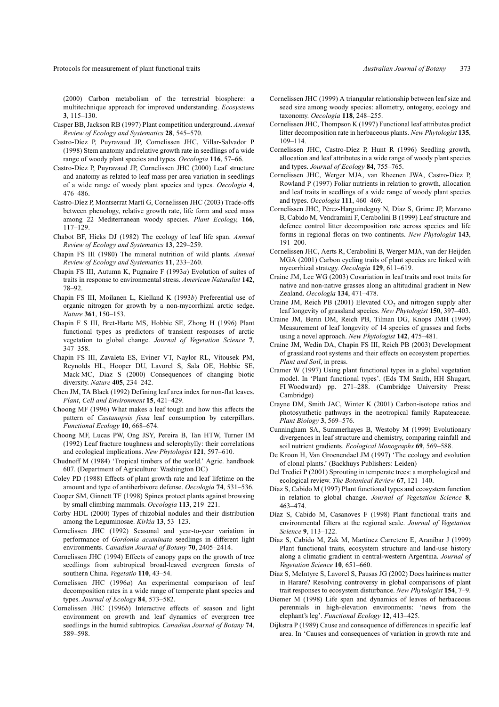Protocols for measurement of plant functional traits *Australian Journal of Botany* 373

(2000) Carbon metabolism of the terrestrial biosphere: a multitechnique approach for improved understanding. *Ecosystems* **3**, 115–130.

- Casper BB, Jackson RB (1997) Plant competition underground. *Annual Review of Ecology and Systematics* **28**, 545–570.
- Castro-Díez P, Puyravaud JP, Cornelissen JHC, Villar-Salvador P (1998) Stem anatomy and relative growth rate in seedlings of a wide range of woody plant species and types. *Oecologia* **116**, 57–66.
- Castro-Díez P, Puyravaud JP, Cornelissen JHC (2000) Leaf structure and anatomy as related to leaf mass per area variation in seedlings of a wide range of woody plant species and types. *Oecologia* **4**, 476–486.
- Castro-Díez P, Montserrat Martí G, Cornelissen JHC (2003) Trade-offs between phenology, relative growth rate, life form and seed mass among 22 Mediterranean woody species. *Plant Ecology*, **166**, 117–129.
- Chabot BF, Hicks DJ (1982) The ecology of leaf life span. *Annual Review of Ecology and Systematics* **13**, 229–259.
- Chapin FS III (1980) The mineral nutrition of wild plants. *Annual Review of Ecology and Systematics* **11**, 233–260.
- Chapin FS III, Autumn K, Pugnaire F (1993*a*) Evolution of suites of traits in response to environmental stress. *American Naturalist* **142**, 78–92.
- Chapin FS III, Moilanen L, Kielland K (1993*b*) Preferential use of organic nitrogen for growth by a non-mycorrhizal arctic sedge. *Nature* **361**, 150–153.
- Chapin F S III, Bret-Harte MS, Hobbie SE, Zhong H (1996) Plant functional types as predictors of transient responses of arctic vegetation to global change. *Journal of Vegetation Science* **7**, 347–358.
- Chapin FS III, Zavaleta ES, Eviner VT, Naylor RL, Vitousek PM, Reynolds HL, Hooper DU, Lavorel S, Sala OE, Hobbie SE, Mack MC, Diaz S (2000) Consequences of changing biotic diversity. *Nature* **405**, 234–242.
- Chen JM, TA Black (1992) Defining leaf area index for non-flat leaves. *Plant*, *Cell and Environment* **15**, 421–429.
- Choong MF (1996) What makes a leaf tough and how this affects the pattern of *Castanopsis fissa* leaf consumption by caterpillars. *Functional Ecology* **10**, 668–674.
- Choong MF, Lucas PW, Ong JSY, Pereira B, Tan HTW, Turner IM (1992) Leaf fracture toughness and sclerophylly: their correlations and ecological implications. *New Phytologist* **121**, 597–610.
- Chudnoff M (1984) 'Tropical timbers of the world.' Agric. handbook 607. (Department of Agriculture: Washington DC)
- Coley PD (1988) Effects of plant growth rate and leaf lifetime on the amount and type of antiherbivore defense. *Oecologia* **74**, 531–536.
- Cooper SM, Ginnett TF (1998) Spines protect plants against browsing by small climbing mammals. *Oecologia* **113**, 219–221.
- Corby HDL (2000) Types of rhizobial nodules and their distribution among the Leguminosae. *Kirkia* **13**, 53–123.
- Cornelissen JHC (1992) Seasonal and year-to-year variation in performance of *Gordonia acuminata* seedlings in different light environments. *Canadian Journal of Botany* **70**, 2405–2414.
- Cornelissen JHC (1994) Effects of canopy gaps on the growth of tree seedlings from subtropical broad-leaved evergreen forests of southern China. *Vegetatio* **110**, 43–54.
- Cornelissen JHC (1996*a*) An experimental comparison of leaf decomposition rates in a wide range of temperate plant species and types. *Journal of Ecology* **84**, 573–582.
- Cornelissen JHC (1996*b*) Interactive effects of season and light environment on growth and leaf dynamics of evergreen tree seedlings in the humid subtropics. *Canadian Journal of Botany* **74**, 589–598.
- Cornelissen JHC (1999) A triangular relationship between leaf size and seed size among woody species: allometry, ontogeny, ecology and taxonomy. *Oecologia* **118**, 248–255.
- Cornelissen JHC, Thompson K (1997) Functional leaf attributes predict litter decomposition rate in herbaceous plants. *New Phytologist* **135**, 109–114.
- Cornelissen JHC, Castro-Díez P, Hunt R (1996) Seedling growth, allocation and leaf attributes in a wide range of woody plant species and types. *Journal of Ecology* **84**, 755–765.
- Cornelissen JHC, Werger MJA, van Rheenen JWA, Castro-Díez P, Rowland P (1997) Foliar nutrients in relation to growth, allocation and leaf traits in seedlings of a wide range of woody plant species and types. *Oecologia* **111**, 460–469.
- Cornelissen JHC, Pérez-Harguindeguy N, Díaz S, Grime JP, Marzano B, Cabido M, Vendramini F, Cerabolini B (1999) Leaf structure and defence control litter decomposition rate across species and life forms in regional floras on two continents. *New Phytologist* **143**, 191–200.
- Cornelissen JHC, Aerts R, Cerabolini B, Werger MJA, van der Heijden MGA (2001) Carbon cycling traits of plant species are linked with mycorrhizal strategy. *Oecologia* **129**, 611–619.
- Craine JM, Lee WG (2003) Covariation in leaf traits and root traits for native and non-native grasses along an altitudinal gradient in New Zealand. *Oecologia* **134**, 471–478.
- Craine JM, Reich PB (2001) Elevated  $CO<sub>2</sub>$  and nitrogen supply alter leaf longevity of grassland species. *New Phytologist* **150**, 397–403.
- Craine JM, Berin DM, Reich PB, Tilman DG, Knops JMH (1999) Measurement of leaf longevity of 14 species of grasses and forbs using a novel approach. *New Phytologist* **142**, 475–481.
- Craine JM, Wedin DA, Chapin FS III, Reich PB (2003) Development of grassland root systems and their effects on ecosystem properties. *Plant and Soil*, in press.
- Cramer W (1997) Using plant functional types in a global vegetation model. In 'Plant functional types'. (Eds TM Smith, HH Shugart, FI Woodward) pp. 271–288. (Cambridge University Press: Cambridge)
- Crayne DM, Smith JAC, Winter K (2001) Carbon-isotope ratios and photosynthetic pathways in the neotropical family Rapateaceae. *Plant Biology* **3**, 569–576.
- Cunningham SA, Summerhayes B, Westoby M (1999) Evolutionary divergences in leaf structure and chemistry, comparing rainfall and soil nutrient gradients. *Ecological Monographs* **69**, 569–588.
- De Kroon H, Van Groenendael JM (1997) 'The ecology and evolution of clonal plants.' (Backhuys Publishers: Leiden)
- Del Tredici P (2001) Sprouting in temperate trees: a morphological and ecological review. *The Botanical Review* **67**, 121–140.
- Díaz S, Cabido M (1997) Plant functional types and ecosystem function in relation to global change. *Journal of Vegetation Science* **8**, 463–474.
- Díaz S, Cabido M, Casanoves F (1998) Plant functional traits and environmental filters at the regional scale. *Journal of Vegetation Science* **9**, 113–122.
- Díaz S, Cabido M, Zak M, Martínez Carretero E, Araníbar J (1999) Plant functional traits, ecosystem structure and land-use history along a climatic gradient in central-western Argentina. *Journal of Vegetation Science* **10**, 651–660.
- Díaz S, McIntyre S, Lavorel S, Pausas JG (2002) Does hairiness matter in Harare? Resolving controversy in global comparisons of plant trait responses to ecosystem disturbance. *New Phytologist* **154**, 7–9.
- Diemer M (1998) Life span and dynamics of leaves of herbaceous perennials in high-elevation environments: 'news from the elephant's leg'. *Functional Ecology* **12**, 413–425.
- Dijkstra P (1989) Cause and consequence of differences in specific leaf area. In 'Causes and consequences of variation in growth rate and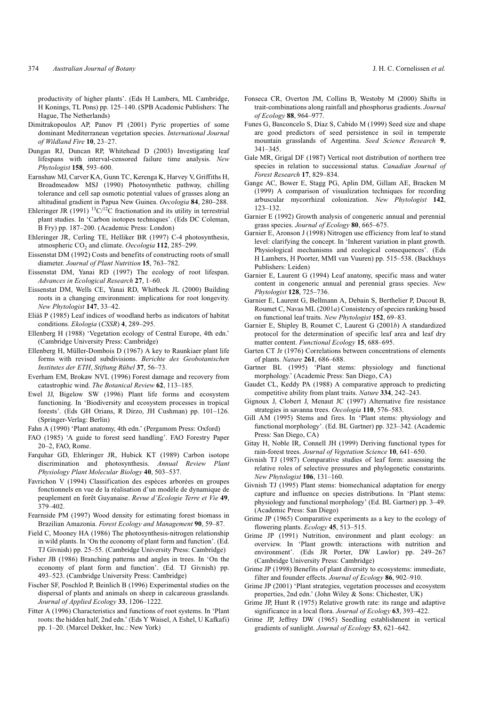productivity of higher plants'. (Eds H Lambers, ML Cambridge, H Konings, TL Pons) pp. 125–140. (SPB Academic Publishers: The Hague, The Netherlands)

- Dimitrakopoulos AP, Panov PI (2001) Pyric properties of some dominant Mediterranean vegetation species. *International Journal of Wildland Fire* **10**, 23–27.
- Dungan RJ, Duncan RP, Whitehead D (2003) Investigating leaf lifespans with interval-censored failure time analysis. *New Phytologist* **158**, 593–600.
- Earnshaw MJ, Carver KA, Gunn TC, Kerenga K, Harvey V, Griffiths H, Broadmeadow MSJ (1990) Photosynthetic pathway, chilling tolerance and cell sap osmotic potential values of grasses along an altitudinal gradient in Papua New Guinea. *Oecologia* **84**, 280–288.
- Ehleringer JR (1991) <sup>13</sup>C/<sup>12</sup>C fractionation and its utility in terrestrial plant studies. In 'Carbon isotopes techniques'. (Eds DC Coleman, B Fry) pp. 187–200. (Academic Press: London)
- Ehleringer JR, Cerling TE, Helliker BR (1997) C-4 photosynthesis, atmospheric CO<sub>2</sub> and climate. *Oecologia* 112, 285-299.
- Eissenstat DM (1992) Costs and benefits of constructing roots of small diameter. *Journal of Plant Nutrition* **15**, 763–782.
- Eissenstat DM, Yanai RD (1997) The ecology of root lifespan. *Advances in Ecological Research* **27**, 1–60.
- Eissenstat DM, Wells CE, Yanai RD, Whitbeck JL (2000) Building roots in a changing environment: implications for root longevity. *New Phytologist* **147**, 33–42.
- Eliáš P (1985) Leaf indices of woodland herbs as indicators of habitat conditions. *Ekologia* (*CSSR*) **4**, 289–295.
- Ellenberg H (1988) 'Vegetation ecology of Central Europe, 4th edn.' (Cambridge University Press: Cambridge)
- Ellenberg H, Müller-Dombois D (1967) A key to Raunkiaer plant life forms with revised subdivisions. *Berichte des Geobotanischen Institutes der ETH*, *Stiftung Rübel* **37**, 56–73.
- Everham EM, Brokaw NVL (1996) Forest damage and recovery from catastrophic wind. *The Botanical Review* **62**, 113–185.
- Ewel JJ, Bigelow SW (1996) Plant life forms and ecosystem functioning. In 'Biodiversity and ecosystem processes in tropical forests'. (Eds GH Orians, R Dirzo, JH Cushman) pp. 101–126. (Springer-Verlag: Berlin)
- Fahn A (1990) 'Plant anatomy, 4th edn.' (Pergamom Press: Oxford)
- FAO (1985) 'A guide to forest seed handling'. FAO Forestry Paper 20–2, FAO, Rome.
- Farquhar GD, Ehleringer JR, Hubick KT (1989) Carbon isotope discrimination and photosynthesis. *Annual Review Plant Physiology Plant Molecular Biology* **40**, 503–537.
- Favrichon V (1994) Classification des espèces arborées en groupes fonctionnels en vue de la réalisation d'un modèle de dynamique de peuplement en forêt Guyanaise. *Revue d'Ecologie Terre et Vie* **49**, 379–402.
- Fearnside PM (1997) Wood density for estimating forest biomass in Brazilian Amazonia. *Forest Ecology and Management* **90**, 59–87.
- Field C, Mooney HA (1986) The photosynthesis-nitrogen relationship in wild plants. In 'On the economy of plant form and function'. (Ed. TJ Givnish) pp. 25–55. (Cambridge University Press: Cambridge)
- Fisher JB (1986) Branching patterns and angles in trees. In 'On the economy of plant form and function'. (Ed. TJ Givnish) pp. 493–523. (Cambridge University Press: Cambridge)
- Fischer SF, Poschlod P, Beinlich B (1996) Experimental studies on the dispersal of plants and animals on sheep in calcareous grasslands. *Journal of Applied Ecology* **33**, 1206–1222.
- Fitter A (1996) Characteristics and functions of root systems. In 'Plant roots: the hidden half, 2nd edn.' (Eds Y Waisel, A Eshel, U Kafkafi) pp. 1–20. (Marcel Dekker, Inc.: New York)
- Fonseca CR, Overton JM, Collins B, Westoby M (2000) Shifts in trait-combinations along rainfall and phosphorus gradients. *Journal of Ecology* **88**, 964–977.
- Funes G, Basconcelo S, Díaz S, Cabido M (1999) Seed size and shape are good predictors of seed persistence in soil in temperate mountain grasslands of Argentina. *Seed Science Research* **9**, 341–345.
- Gale MR, Grigal DF (1987) Vertical root distribution of northern tree species in relation to successional status. *Canadian Journal of Forest Research* **17**, 829–834.
- Gange AC, Bower E, Stagg PG, Aplin DM, Gillam AE, Bracken M (1999) A comparison of visualization techniques for recording arbuscular mycorrhizal colonization. *New Phytologist* **142**, 123–132.
- Garnier E (1992) Growth analysis of congeneric annual and perennial grass species. *Journal of Ecology* **80**, 665–675.
- Garnier E, Aronson J (1998) Nitrogen use efficiency from leaf to stand level: clarifying the concept. In 'Inherent variation in plant growth. Physiological mechanisms and ecological consequences'. (Eds H Lambers, H Poorter, MMI van Vuuren) pp. 515–538. (Backhuys Publishers: Leiden)
- Garnier E, Laurent G (1994) Leaf anatomy, specific mass and water content in congeneric annual and perennial grass species. *New Phytologist* **128**, 725–736.
- Garnier E, Laurent G, Bellmann A, Debain S, Berthelier P, Ducout B, Roumet C, Navas ML (2001*a*) Consistency of species ranking based on functional leaf traits. *New Phytologist* **152**, 69–83.
- Garnier E, Shipley B, Roumet C, Laurent G (2001*b*) A standardized protocol for the determination of specific leaf area and leaf dry matter content. *Functional Ecology* **15**, 688–695.
- Garten CT Jr (1976) Correlations between concentrations of elements of plants. *Nature* **261**, 686–688.
- Gartner BL (1995) 'Plant stems: physiology and functional morphology.' (Academic Press: San Diego, CA)
- Gaudet CL, Keddy PA (1988) A comparative approach to predicting competitive ability from plant traits. *Nature* **334**, 242–243.
- Gignoux J, Clobert J, Menaut JC (1997) Alternative fire resistance strategies in savanna trees. *Oecologia* **110**, 576–583.
- Gill AM (1995) Stems and fires. In 'Plant stems: physiology and functional morphology'. (Ed. BL Gartner) pp. 323–342. (Academic Press: San Diego, CA)
- Gitay H, Noble IR, Connell JH (1999) Deriving functional types for rain-forest trees. *Journal of Vegetation Science* **10**, 641–650.
- Givnish TJ (1987) Comparative studies of leaf form: assessing the relative roles of selective pressures and phylogenetic constarints. *New Phytologist* **106**, 131–160.
- Givnish TJ (1995) Plant stems: biomechanical adaptation for energy capture and influence on species distributions. In 'Plant stems: physiology and functional morphology' (Ed. BL Gartner) pp. 3–49. (Academic Press: San Diego)
- Grime JP (1965) Comparative experiments as a key to the ecology of flowering plants. *Ecology* **45**, 513–515.
- Grime JP (1991) Nutrition, environment and plant ecology: an overview. In 'Plant growth: interactions with nutrition and environment'. (Eds JR Porter, DW Lawlor) pp. 249–267 (Cambridge University Press: Cambridge)
- Grime JP (1998) Benefits of plant diversity to ecosystems: immediate, filter and founder effects. *Journal of Ecology* **86**, 902–910.
- Grime JP (2001) 'Plant strategies, vegetation processes and ecosystem properties, 2nd edn.' (John Wiley & Sons: Chichester, UK)
- Grime JP, Hunt R (1975) Relative growth rate: its range and adaptive significance in a local flora. *Journal of Ecology* **63**, 393–422.
- Grime JP, Jeffrey DW (1965) Seedling establishment in vertical gradients of sunlight. *Journal of Ecology* **53**, 621–642.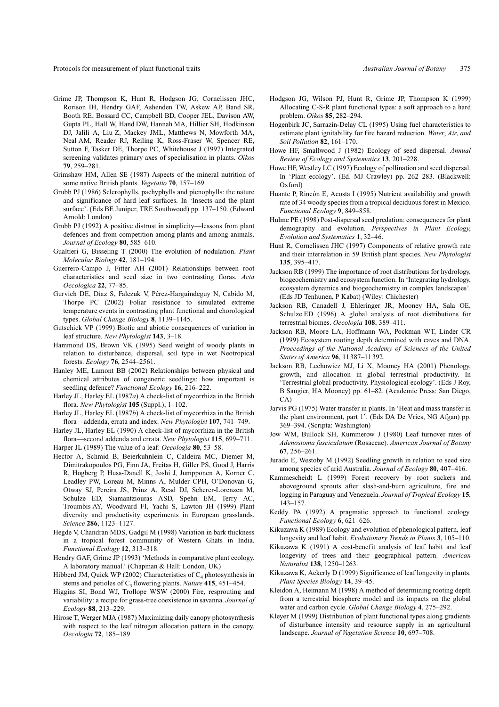Protocols for measurement of plant functional traits *Australian Journal of Botany* 375

- Grime JP, Thompson K, Hunt R, Hodgson JG, Cornelissen JHC, Rorison IH, Hendry GAF, Ashenden TW, Askew AP, Band SR, Booth RE, Bossard CC, Campbell BD, Cooper JEL, Davison AW, Gupta PL, Hall W, Hand DW, Hannah MA, Hillier SH, Hodkinson DJ, Jalili A, Liu Z, Mackey JML, Matthews N, Mowforth MA, Neal AM, Reader RJ, Reiling K, Ross-Fraser W, Spencer RE, Sutton F, Tasker DE, Thorpe PC, Whitehouse J (1997) Integrated screening validates primary axes of specialisation in plants. *Oikos* **79**, 259–281.
- Grimshaw HM, Allen SE (1987) Aspects of the mineral nutrition of some native British plants. *Vegetatio* **70**, 157–169.
- Grubb PJ (1986) Sclerophylls, pachyphylls and picnophylls: the nature and significance of hard leaf surfaces. In 'Insects and the plant surface'. (Eds BE Juniper, TRE Southwood) pp. 137–150. (Edward Arnold: London)
- Grubb PJ (1992) A positive distrust in simplicity—lessons from plant defences and from competition among plants and among animals. *Journal of Ecology* **80**, 585–610.
- Gualtieri G, Bisseling T (2000) The evolution of nodulation. *Plant Molecular Biology* **42**, 181–194.
- Guerrero-Campo J, Fitter AH (2001) Relationships between root characteristics and seed size in two contrasting floras. *Acta Oecologica* **22**, 77–85.
- Gurvich DE, Díaz S, Falczuk V, Pérez-Harguindeguy N, Cabido M, Thorpe PC (2002) Foliar resistance to simulated extreme temperature events in contrasting plant functional and chorological types. *Global Change Biology* **8**, 1139–1145.
- Gutschick VP (1999) Biotic and abiotic consequences of variation in leaf structure. *New Phytologist* **143**, 3–18.
- Hammond DS, Brown VK (1995) Seed weight of woody plants in relation to disturbance, dispersal, soil type in wet Neotropical forests. *Ecology* **76**, 2544–2561.
- Hanley ME, Lamont BB (2002) Relationships between physical and chemical attributes of congeneric seedlings: how important is seedling defence? *Functional Ecology* **16**, 216–222.
- Harley JL, Harley EL (1987*a*) A check-list of mycorrhiza in the British flora. *New Phytologist* **105** (Suppl.), 1–102.
- Harley JL, Harley EL (1987*b*) A check-list of mycorrhiza in the British flora—addenda, errata and index. *New Phytologist* **107**, 741–749.
- Harley JL, Harley EL (1990) A check-list of mycorrhiza in the British flora—second addenda and errata. *New Phytologist* **115**, 699–711.
- Harper JL (1989) The value of a leaf. *Oecologia* **80**, 53–58.
- Hector A, Schmid B, Beierkuhnlein C, Caldeira MC, Diemer M, Dimitrakopoulos PG, Finn JA, Freitas H, Giller PS, Good J, Harris R, Hogberg P, Huss-Danell K, Joshi J, Jumpponen A, Korner C, Leadley PW, Loreau M, Minns A, Mulder CPH, O'Donovan G, Otway SJ, Pereira JS, Prinz A, Read DJ, Scherer-Lorenzen M, Schulze ED, Siamantziouras ASD, Spehn EM, Terry AC, Troumbis AY, Woodward FI, Yachi S, Lawton JH (1999) Plant diversity and productivity experiments in European grasslands. *Science* **286**, 1123–1127.
- Hegde V, Chandran MDS, Gadgil M (1998) Variation in bark thickness in a tropical forest community of Western Ghats in India. *Functional Ecology* **12**, 313–318.
- Hendry GAF, Grime JP (1993) 'Methods in comparative plant ecology. A laboratory manual.' (Chapman & Hall: London, UK)
- Hibberd JM, Quick WP (2002) Characteristics of  $C_4$  photosynthesis in stems and petioles of C<sub>3</sub> flowering plants. *Nature* 415, 451–454.
- Higgins SI, Bond WJ, Trollope WSW (2000) Fire, resprouting and variability: a recipe for grass-tree coexistence in savanna. *Journal of Ecology* **88**, 213–229.
- Hirose T, Werger MJA (1987) Maximizing daily canopy photosynthesis with respect to the leaf nitrogen allocation pattern in the canopy. *Oecologia* **72**, 185–189.
- Hodgson JG, Wilson PJ, Hunt R, Grime JP, Thompson K (1999) Allocating C-S-R plant functional types: a soft approach to a hard problem. *Oikos* **85**, 282–294.
- Hogenbirk JC, Sarrazin-Delay CL (1995) Using fuel characteristics to estimate plant ignitability for fire hazard reduction. *Water*, *Air*, *and Soil Pollution* **82**, 161–170.
- Howe HF, Smallwood J (1982) Ecology of seed dispersal. *Annual Review of Ecology and Systematics* **13**, 201–228.
- Howe HF, Westley LC (1997) Ecology of pollination and seed dispersal. In 'Plant ecology'. (Ed. MJ Crawley) pp. 262–283. (Blackwell: Oxford)
- Huante P, Rincón E, Acosta I (1995) Nutrient availability and growth rate of 34 woody species from a tropical deciduous forest in Mexico. *Functional Ecology* **9**, 849–858.
- Hulme PE (1998) Post-dispersal seed predation: consequences for plant demography and evolution. *Perspectives in Plant Ecology*, *Evolution and Systematics* **1**, 32–46.
- Hunt R, Cornelissen JHC (1997) Components of relative growth rate and their interrelation in 59 British plant species. *New Phytologist* **135**, 395–417.
- Jackson RB (1999) The importance of root distributions for hydrology, biogeochemistry and ecosystem function. In 'Integrating hydrology, ecosystem dynamics and biogeochemistry in complex landscapes'. (Eds JD Tenhunen, P Kabat) (Wiley: Chichester)
- Jackson RB, Canadell J, Ehleringer JR, Mooney HA, Sala OE, Schulze ED (1996) A global analysis of root distributions for terrestrial biomes. *Oecologia* **108**, 389–411.
- Jackson RB, Moore LA, Hoffmann WA, Pockman WT, Linder CR (1999) Ecosystem rooting depth determined with caves and DNA. *Proceedings of the National Academy of Sciences of the United States of America* **96**, 11387–11392.
- Jackson RB, Lechowicz MJ, Li X, Mooney HA (2001) Phenology, growth, and allocation in global terrestrial productivity. In 'Terrestrial global productivity. Physiological ecology'. (Eds J Roy, B Saugier, HA Mooney) pp. 61–82. (Academic Press: San Diego, CA)
- Jarvis PG (1975) Water transfer in plants. In 'Heat and mass transfer in the plant environment, part 1'. (Eds DA De Vries, NG Afgan) pp. 369–394. (Scripta: Washington)
- Jow WM, Bullock SH, Kummerow J (1980) Leaf turnover rates of *Adenostoma fasciculatum* (Rosaceae). *American Journal of Botany* **67**, 256–261.
- Jurado E, Westoby M (1992) Seedling growth in relation to seed size among species of arid Australia. *Journal of Ecology* **80**, 407–416.
- Kammescheidt L (1999) Forest recovery by root suckers and aboveground sprouts after slash-and-burn agriculture, fire and logging in Paraguay and Venezuela. *Journal of Tropical Ecology* **15**, 143–157.
- Keddy PA (1992) A pragmatic approach to functional ecology. *Functional Ecology* **6**, 621–626.
- Kikuzawa K (1989) Ecology and evolution of phenological pattern, leaf longevity and leaf habit. *Evolutionary Trends in Plants* **3**, 105–110.
- Kikuzawa K (1991) A cost-benefit analysis of leaf habit and leaf longevity of trees and their geographical pattern. *American Naturalist* **138**, 1250–1263.
- Kikuzawa K, Ackerly D (1999) Significance of leaf longevity in plants. *Plant Species Biology* **14**, 39–45.
- Kleidon A, Heimann M (1998) A method of determining rooting depth from a terrestrial biosphere model and its impacts on the global water and carbon cycle. *Global Change Biology* **4**, 275–292.
- Kleyer M (1999) Distribution of plant functional types along gradients of disturbance intensity and resource supply in an agricultural landscape. *Journal of Vegetation Science* **10**, 697–708.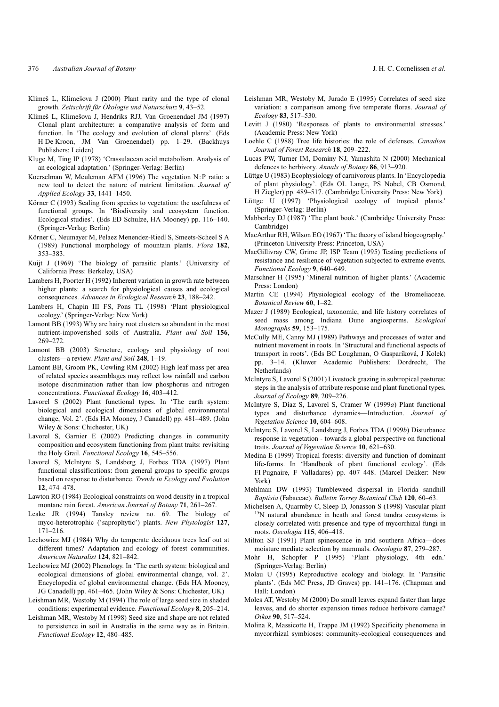#### 376 *Australian Journal of Botany* J. H. C. Cornelissen *et al.*

- Klimeš L, Klimešova J (2000) Plant rarity and the type of clonal growth. *Zeitschrift für Ökologie und Naturschutz* **9**, 43–52.
- Klimeš L, Klimešova J, Hendriks RJJ, Van Groenendael JM (1997) Clonal plant architecture: a comparative analysis of form and function. In 'The ecology and evolution of clonal plants'. (Eds H De Kroon, JM Van Groenendael) pp. 1–29. (Backhuys Publishers: Leiden)
- Kluge M, Ting IP (1978) 'Crassulacean acid metabolism. Analysis of an ecological adaptation.' (Springer-Verlag: Berlin)
- Koerselman W, Meuleman AFM (1996) The vegetation N:P ratio: a new tool to detect the nature of nutrient limitation. *Journal of Applied Ecology* **33**, 1441–1450.
- Körner C (1993) Scaling from species to vegetation: the usefulness of functional groups. In 'Biodiversity and ecosystem function. Ecological studies'. (Eds ED Schulze, HA Mooney) pp. 116–140. (Springer-Verlag: Berlin)
- Körner C, Neumayer M, Pelaez Menendez-Riedl S, Smeets-Scheel S A (1989) Functional morphology of mountain plants. *Flora* **182**, 353–383.
- Kuijt J (1969) 'The biology of parasitic plants.' (University of California Press: Berkeley, USA)
- Lambers H, Poorter H (1992) Inherent variation in growth rate between higher plants: a search for physiological causes and ecological consequences. *Advances in Ecological Research* **23**, 188–242.
- Lambers H, Chapin III FS, Pons TL (1998) 'Plant physiological ecology.' (Springer-Verlag: New York)
- Lamont BB (1993) Why are hairy root clusters so abundant in the most nutrient-impoverished soils of Australia. *Plant and Soil* **156**, 269–272.
- Lamont BB (2003) Structure, ecology and physiology of root clusters—a review. *Plant and Soil* **248**, 1–19.
- Lamont BB, Groom PK, Cowling RM (2002) High leaf mass per area of related species assemblages may reflect low rainfall and carbon isotope discrimination rather than low phosphorus and nitrogen concentrations. *Functional Ecology* **16**, 403–412.
- Lavorel S (2002) Plant functional types. In 'The earth system: biological and ecological dimensions of global environmental change, Vol. 2'. (Eds HA Mooney, J Canadell) pp. 481–489. (John Wiley & Sons: Chichester, UK)
- Lavorel S, Garnier E (2002) Predicting changes in community composition and ecosystem functioning from plant traits: revisiting the Holy Grail. *Functional Ecology* **16**, 545–556.
- Lavorel S, McIntyre S, Landsberg J, Forbes TDA (1997) Plant functional classifications: from general groups to specific groups based on response to disturbance. *Trends in Ecology and Evolution* **12**, 474–478.
- Lawton RO (1984) Ecological constraints on wood density in a tropical montane rain forest. *American Journal of Botany* **71**, 261–267.
- Leake JR (1994) Tansley review no. 69. The biology of myco-heterotrophic ('saprophytic') plants. *New Phytologist* **127**, 171–216.
- Lechowicz MJ (1984) Why do temperate deciduous trees leaf out at different times? Adaptation and ecology of forest communities. *American Naturalist* **124**, 821–842.
- Lechowicz MJ (2002) Phenology. In 'The earth system: biological and ecological dimensions of global environmental change, vol. 2'. Encyclopedia of global environmental change. (Eds HA Mooney, JG Canadell) pp. 461–465. (John Wiley & Sons: Chichester, UK)
- Leishman MR, Westoby M (1994) The role of large seed size in shaded conditions: experimental evidence. *Functional Ecology* **8**, 205–214.
- Leishman MR, Westoby M (1998) Seed size and shape are not related to persistence in soil in Australia in the same way as in Britain. *Functional Ecology* **12**, 480–485.
- Leishman MR, Westoby M, Jurado E (1995) Correlates of seed size variation: a comparison among five temperate floras. *Journal of Ecology* **83**, 517–530.
- Levitt J (1980) 'Responses of plants to environmental stresses.' (Academic Press: New York)
- Loehle C (1988) Tree life histories: the role of defenses. *Canadian Journal of Forest Research* **18**, 209–222.
- Lucas PW, Turner IM, Dominy NJ, Yamashita N (2000) Mechanical defences to herbivory. *Annals of Botany* **86**, 913–920.
- Lüttge U (1983) Ecophysiology of carnivorous plants. In 'Encyclopedia of plant physiology'. (Eds OL Lange, PS Nobel, CB Osmond, H Ziegler) pp. 489–517. (Cambridge University Press: New York)
- Lüttge U (1997) 'Physiological ecology of tropical plants.' (Springer-Verlag: Berlin)
- Mabberley DJ (1987) 'The plant book.' (Cambridge University Press: Cambridge)
- MacArthur RH, Wilson EO (1967) 'The theory of island biogeography.' (Princeton University Press: Princeton, USA)
- MacGillivray CW, Grime JP, ISP Team (1995) Testing predictions of resistance and resilience of vegetation subjected to extreme events. *Functional Ecology* **9**, 640–649.
- Marschner H (1995) 'Mineral nutrition of higher plants.' (Academic Press: London)
- Martin CE (1994) Physiological ecology of the Bromeliaceae. *Botanical Review* **60**, 1–82.
- Mazer J (1989) Ecological, taxonomic, and life history correlates of seed mass among Indiana Dune angiosperms. *Ecological Monographs* **59**, 153–175.
- McCully ME, Canny MJ (1989) Pathways and processes of water and nutrient movement in roots. In 'Structural and functional aspects of transport in roots'. (Eds BC Loughman, O Gasparíková, J Kolek) pp. 3–14. (Kluwer Academic Publishers: Dordrecht, The Netherlands)
- McIntyre S, Lavorel S (2001) Livestock grazing in subtropical pastures: steps in the analysis of attribute response and plant functional types. *Journal of Ecology* **89**, 209–226.
- McIntyre S, Díaz S, Lavorel S, Cramer W (1999*a*) Plant functional types and disturbance dynamics—Introduction. *Journal of Vegetation Science* **10**, 604–608.
- McIntyre S, Lavorel S, Landsberg J, Forbes TDA (1999*b*) Disturbance response in vegetation - towards a global perspective on functional traits. *Journal of Vegetation Science* **10**, 621–630.
- Medina E (1999) Tropical forests: diversity and function of dominant life-forms. In 'Handbook of plant functional ecology'. (Eds FI Pugnaire, F Valladares) pp. 407–448. (Marcel Dekker: New York)
- Mehlman DW (1993) Tumbleweed dispersal in Florida sandhill *Baptisia* (Fabaceae). *Bulletin Torrey Botanical Club* **120**, 60–63.
- Michelsen A, Quarmby C, Sleep D, Jonasson S (1998) Vascular plant <sup>15</sup>N natural abundance in heath and forest tundra ecosystems is closely correlated with presence and type of mycorrhizal fungi in roots. *Oecologia* **115**, 406–418.
- Milton SJ (1991) Plant spinescence in arid southern Africa—does moisture mediate selection by mammals. *Oecologia* **87**, 279–287.
- Mohr H, Schopfer P (1995) 'Plant physiology, 4th edn.' (Springer-Verlag: Berlin)
- Molau U (1995) Reproductive ecology and biology. In 'Parasitic plants'. (Eds MC Press, JD Graves) pp. 141–176. (Chapman and Hall: London)
- Moles AT, Westoby M (2000) Do small leaves expand faster than large leaves, and do shorter expansion times reduce herbivore damage? *Oikos* **90**, 517–524.
- Molina R, Massicotte H, Trappe JM (1992) Specificity phenomena in mycorrhizal symbioses: community-ecological consequences and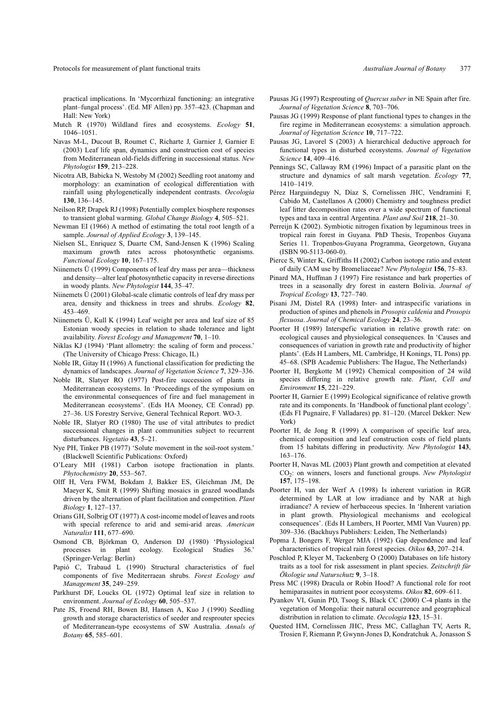Protocols for measurement of plant functional traits *Australian Journal of Botany* 377

practical implications. In 'Mycorrhizal functioning: an integrative plant–fungal process'. (Ed. MF Allen) pp. 357–423. (Chapman and Hall: New York)

- Mutch R (1970) Wildland fires and ecosystems. *Ecology* **51**, 1046–1051.
- Navas M-L, Ducout B, Roumet C, Richarte J, Garnier J, Garnier E (2003) Leaf life span, dynamics and construction cost of species from Mediterranean old-fields differing in successional status. *New Phytologist* **159**, 213–228.
- Nicotra AB, Babicka N, Westoby M (2002) Seedling root anatomy and morphology: an examination of ecological differentiation with rainfall using phylogenetically independent contrasts. *Oecologia* **130**, 136–145.
- Neilson RP, Drapek RJ (1998) Potentially complex biosphere responses to transient global warming. *Global Change Biology* **4**, 505–521.
- Newman EI (1966) A method of estimating the total root length of a sample. *Journal of Applied Ecology* **3**, 139–145.
- Nielsen SL, Enriquez S, Duarte CM, Sand-Jensen K (1996) Scaling maximum growth rates across photosynthetic organisms. *Functional Ecology* **10**, 167–175.
- Niinemets Ü (1999) Components of leaf dry mass per area—thickness and density—alter leaf photosynthetic capacity in reverse directions in woody plants. *New Phytologist* **144**, 35–47.
- Niinemets Ü (2001) Global-scale climatic controls of leaf dry mass per area, density and thickness in trees and shrubs. *Ecology* **82**, 453–469.
- Niinemets Ü, Kull K (1994) Leaf weight per area and leaf size of 85 Estonian woody species in relation to shade tolerance and light availability. *Forest Ecology and Management* **70**, 1–10.
- Niklas KJ (1994) 'Plant allometry: the scaling of form and process.' (The University of Chicago Press: Chicago, IL)
- Noble IR, Gitay H (1996) A functional classification for predicting the dynamics of landscapes. *Journal of Vegetation Science* **7**, 329–336.
- Noble IR, Slatyer RO (1977) Post-fire succession of plants in Mediterranean ecosystems. In 'Proceedings of the symposium on the environmental consequences of fire and fuel management in Mediterranean ecosystems'. (Eds HA Mooney, CE Conrad) pp. 27–36. US Forestry Servive, General Technical Report. WO-3.
- Noble IR, Slatyer RO (1980) The use of vital attributes to predict successional changes in plant communities subject to recurrent disturbances. *Vegetatio* **43**, 5–21.
- Nye PH, Tinker PB (1977) 'Solute movement in the soil-root system.' (Blackwell Scientific Publications: Oxford)
- O'Leary MH (1981) Carbon isotope fractionation in plants. *Phytochemistry* **20**, 553–567.
- Olff H, Vera FWM, Bokdam J, Bakker ES, Gleichman JM, De Maeyer K, Smit R (1999) Shifting mosaics in grazed woodlands driven by the alternation of plant facilitation and competition. *Plant Biology* **1**, 127–137.
- Orians GH, Solbrig OT (1977) A cost-income model of leaves and roots with special reference to arid and semi-arid areas. *American Naturalist* **111**, 677–690.
- Osmond CB, Björkman O, Anderson DJ (1980) 'Physiological processes in plant ecology. Ecological Studies 36.' (Springer-Verlag: Berlin)
- Papió C, Trabaud L (1990) Structural characteristics of fuel components of five Mediterraean shrubs. *Forest Ecology and Management* **35**, 249–259.
- Parkhurst DF, Loucks OL (1972) Optimal leaf size in relation to environment. *Journal of Ecology* **60**, 505–537.
- Pate JS, Froend RH, Bowen BJ, Hansen A, Kuo J (1990) Seedling growth and storage characteristics of seeder and resprouter species of Mediterranean-type ecosystems of SW Australia. *Annals of Botany* **65**, 585–601.
- Pausas JG (1997) Resprouting of *Quercus suber* in NE Spain after fire. *Journal of Vegetation Science* **8**, 703–706.
- Pausas JG (1999) Response of plant functional types to changes in the fire regime in Mediterranean ecosystems: a simulation approach. *Journal of Vegetation Science* **10**, 717–722.
- Pausas JG, Lavorel S (2003) A hierarchical deductive approach for functional types in disturbed ecosystems. *Journal of Vegetation Science* **14**, 409–416.
- Pennings SC, Callaway RM (1996) Impact of a parasitic plant on the structure and dynamics of salt marsh vegetation. *Ecology* **77**, 1410–1419.
- Pérez Harguindeguy N, Díaz S, Cornelissen JHC, Vendramini F, Cabido M, Castellanos A (2000) Chemistry and toughness predict leaf litter decomposition rates over a wide spectrum of functional types and taxa in central Argentina. *Plant and Soil* **218**, 21–30.
- Perreijn K (2002). Symbiotic nitrogen fixation by leguminous trees in tropical rain forest in Guyana. PhD Thesis, Tropenbos Guyana Series 11. Tropenbos-Guyana Programma, Georgetown, Guyana (ISBN 90-5113-060-0).
- Pierce S, Winter K, Griffiths H (2002) Carbon isotope ratio and extent of daily CAM use by Bromeliaceae? *New Phytologist* **156**, 75–83.
- Pinard MA, Huffman J (1997) Fire resistance and bark properties of trees in a seasonally dry forest in eastern Bolivia. *Journal of Tropical Ecology* **13**, 727–740.
- Pisani JM, Distel RA (1998) Inter- and intraspecific variations in production of spines and phenols in *Prosopis caldenia* and *Prosopis flexuosa*. *Journal of Chemical Ecology* **24**, 23–36.
- Poorter H (1989) Interspefic variation in relative growth rate: on ecological causes and physiological consequences. In 'Causes and consequences of variation in growth rate and productivity of higher plants'. (Eds H Lambers, ML Cambridge, H Konings, TL Pons) pp. 45–68. (SPB Academic Publishers: The Hague, The Netherlands)
- Poorter H, Bergkotte M (1992) Chemical composition of 24 wild species differing in relative growth rate. *Plant*, *Cell and Environment* **15**, 221–229.
- Poorter H, Garnier E (1999) Ecological significance of relative growth rate and its components. In 'Handbook of functional plant ecology'. (Eds FI Pugnaire, F Valladares) pp. 81–120. (Marcel Dekker: New York)
- Poorter H, de Jong R (1999) A comparison of specific leaf area, chemical composition and leaf construction costs of field plants from 15 habitats differing in productivity. *New Phytologist* **143**, 163–176.
- Poorter H, Navas ML (2003) Plant growth and competition at elevated CO<sub>2</sub>: on winners, losers and functional groups. *New Phytologist* **157**, 175–198.
- Poorter H, van der Werf A (1998) Is inherent variation in RGR determined by LAR at low irradiance and by NAR at high irradiance? A review of herbaceous species. In 'Inherent variation in plant growth. Physiological mechanisms and ecological consequences'. (Eds H Lambers, H Poorter, MMI Van Vuuren) pp. 309–336. (Backhuys Publishers: Leiden, The Netherlands)
- Popma J, Bongers F, Werger MJA (1992) Gap dependence and leaf characteristics of tropical rain forest species. *Oikos* **63**, 207–214.
- Poschlod P, Kleyer M, Tackenberg O (2000) Databases on life history traits as a tool for risk assessment in plant species. *Zeitschrift für Ökologie und Naturschutz* **9**, 3–18.
- Press MC (1998) Dracula or Robin Hood? A functional role for root hemiparasaites in nutrient poor ecosystems. *Oikos* **82**, 609–611.
- Pyankov VI, Gunin PD, Tsoog S, Black CC (2000) C-4 plants in the vegetation of Mongolia: their natural occurrence and geographical distribution in relation to climate. *Oecologia* **123**, 15–31.
- Quested HM, Cornelissen JHC, Press MC, Callaghan TV, Aerts R, Trosien F, Riemann P, Gwynn-Jones D, Kondratchuk A, Jonasson S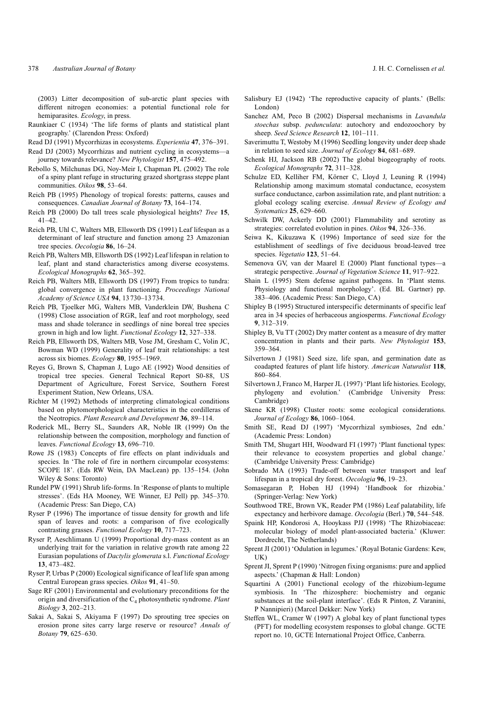(2003) Litter decomposition of sub-arctic plant species with different nitrogen economies: a potential functional role for hemiparasites. *Ecology*, in press.

- Raunkiaer C (1934) 'The life forms of plants and statistical plant geography.' (Clarendon Press: Oxford)
- Read DJ (1991) Mycorrhizas in ecosystems. *Experientia* **47**, 376–391.
- Read DJ (2003) Mycorrhizas and nutrient cycling in ecosystems—a journey towards relevance? *New Phytologist* **157**, 475–492.
- Rebollo S, Milchunas DG, Noy-Meir I, Chapman PL (2002) The role of a spiny plant refuge in structuring grazed shortgrass steppe plant communities. *Oikos* **98**, 53–64.
- Reich PB (1995) Phenology of tropical forests: patterns, causes and consequences. *Canadian Journal of Botany* **73**, 164–174.
- Reich PB (2000) Do tall trees scale physiological heights? *Tree* **15**, 41–42.
- Reich PB, Uhl C, Walters MB, Ellsworth DS (1991) Leaf lifespan as a determinant of leaf structure and function among 23 Amazonian tree species. *Oecologia* **86**, 16–24.
- Reich PB, Walters MB, Ellsworth DS (1992) Leaf lifespan in relation to leaf, plant and stand characteristics among diverse ecosystems. *Ecological Monographs* **62**, 365–392.
- Reich PB, Walters MB, Ellsworth DS (1997) From tropics to tundra: global convergence in plant functioning. *Proceedings National Academy of Science USA* **94**, 13730–13734.
- Reich PB, Tjoelker MG, Walters MB, Vanderklein DW, Bushena C (1998) Close association of RGR, leaf and root morphology, seed mass and shade tolerance in seedlings of nine boreal tree species grown in high and low light. *Functional Ecology* **12**, 327–338.
- Reich PB, Ellsworth DS, Walters MB, Vose JM, Gresham C, Volin JC, Bowman WD (1999) Generality of leaf trait relationships: a test across six biomes. *Ecology* **80**, 1955–1969.
- Reyes G, Brown S, Chapman J, Lugo AE (1992) Wood densities of tropical tree species. General Technical Report S0-88, US Department of Agriculture, Forest Service, Southern Forest Experiment Station, New Orleans, USA.
- Richter M (1992) Methods of interpreting climatological conditions based on phytomorphological characteristics in the cordilleras of the Neotropics. *Plant Research and Development* **36**, 89–114.
- Roderick ML, Berry SL, Saunders AR, Noble IR (1999) On the relationship between the composition, morphology and function of leaves. *Functional Ecology* **13**, 696–710.
- Rowe JS (1983) Concepts of fire effects on plant individuals and species. In 'The role of fire in northern circumpolar ecosystems: SCOPE 18'. (Eds RW Wein, DA MacLean) pp. 135–154. (John Wiley & Sons: Toronto)
- Rundel PW (1991) Shrub life-forms. In 'Response of plants to multiple stresses'. (Eds HA Mooney, WE Winner, EJ Pell) pp. 345–370. (Academic Press: San Diego, CA)
- Ryser P (1996) The importance of tissue density for growth and life span of leaves and roots: a comparison of five ecologically contrasting grasses. *Functional Ecology* **10**, 717–723.
- Ryser P, Aeschlimann U (1999) Proportional dry-mass content as an underlying trait for the variation in relative growth rate among 22 Eurasian populations of *Dactylis glomerata* s.l. *Functional Ecology* **13**, 473–482.
- Ryser P, Urbas P (2000) Ecological significance of leaf life span among Central European grass species. *Oikos* **91**, 41–50.
- Sage RF (2001) Environmental and evolutionary preconditions for the origin and diversification of the C4 photosynthetic syndrome. *Plant Biology* **3**, 202–213.
- Sakai A, Sakai S, Akiyama F (1997) Do sprouting tree species on erosion prone sites carry large reserve or resource? *Annals of Botany* **79**, 625–630.
- Salisbury EJ (1942) 'The reproductive capacity of plants.' (Bells: London)
- Sanchez AM, Peco B (2002) Dispersal mechanisms in *Lavandula stoechas* subsp. *pedunculata*: autochory and endozoochory by sheep. *Seed Science Research* **12**, 101–111.
- Saverimuttu T, Westoby M (1996) Seedling longevity under deep shade in relation to seed size. *Journal of Ecology* **84**, 681–689.
- Schenk HJ, Jackson RB (2002) The global biogeography of roots. *Ecological Monographs* **72**, 311–328.
- Schulze ED, Kelliher FM, Körner C, Lloyd J, Leuning R (1994) Relationship among maximum stomatal conductance, ecosystem surface conductance, carbon assimilation rate, and plant nutrition: a global ecology scaling exercise. *Annual Review of Ecology and Systematics* **25**, 629–660.
- Schwilk DW, Ackerly DD (2001) Flammability and serotiny as strategies: correlated evolution in pines. *Oikos* **94**, 326–336.
- Seiwa K, Kikuzawa K (1996) Importance of seed size for the establishment of seedlings of five deciduous broad-leaved tree species. *Vegetatio* **123**, 51–64.
- Semenova GV, van der Maarel E (2000) Plant functional types—a strategic perspective. *Journal of Vegetation Science* **11**, 917–922.
- Shain L (1995) Stem defense against pathogens. In 'Plant stems. Physiology and functional morphology'. (Ed. BL Gartner) pp. 383–406. (Academic Press: San Diego, CA)
- Shipley B (1995) Structured interspecific determinants of specific leaf area in 34 species of herbaceous angiosperms. *Functional Ecology* **9**, 312–319.
- Shipley B, Vu TT (2002) Dry matter content as a measure of dry matter concentration in plants and their parts. *New Phytologist* **153**, 359–364.
- Silvertown J (1981) Seed size, life span, and germination date as coadapted features of plant life history. *American Naturalist* **118**, 860–864.
- Silvertown J, Franco M, Harper JL (1997) 'Plant life histories. Ecology, phylogeny and evolution.' (Cambridge University Press: Cambridge)
- Skene KR (1998) Cluster roots: some ecological considerations. *Journal of Ecology* **86**, 1060–1064.
- Smith SE, Read DJ (1997) 'Mycorrhizal symbioses, 2nd edn.' (Academic Press: London)
- Smith TM, Shugart HH, Woodward FI (1997) 'Plant functional types: their relevance to ecosystem properties and global change.' (Cambridge University Press: Cambridge)
- Sobrado MA (1993) Trade-off between water transport and leaf lifespan in a tropical dry forest. *Oecologia* **96**, 19–23.
- Somasegaran P, Hoben HJ (1994) 'Handbook for rhizobia.' (Springer-Verlag: New York)
- Southwood TRE, Brown VK, Reader PM (1986) Leaf palatability, life expectancy and herbivore damage. *Oecologia* (Berl.) **70**, 544–548.
- Spaink HP, Kondorosi A, Hooykass PJJ (1998) 'The Rhizobiaceae: molecular biology of model plant-associated bacteria.' (Kluwer: Dordrecht, The Netherlands)
- Sprent JI (2001) 'Odulation in legumes.' (Royal Botanic Gardens: Kew, UK)
- Sprent JI, Sprent P (1990) 'Nitrogen fixing organisms: pure and applied aspects.' (Chapman & Hall: London)
- Squartini A (2001) Functional ecology of the rhizobium-legume symbiosis. In 'The rhizosphere: biochemistry and organic substances at the soil-plant interface'. (Eds R Pinton, Z Varanini, P Nannipieri) (Marcel Dekker: New York)
- Steffen WL, Cramer W (1997) A global key of plant functional types (PFT) for modelling ecosystem responses to global change. GCTE report no. 10, GCTE International Project Office, Canberra.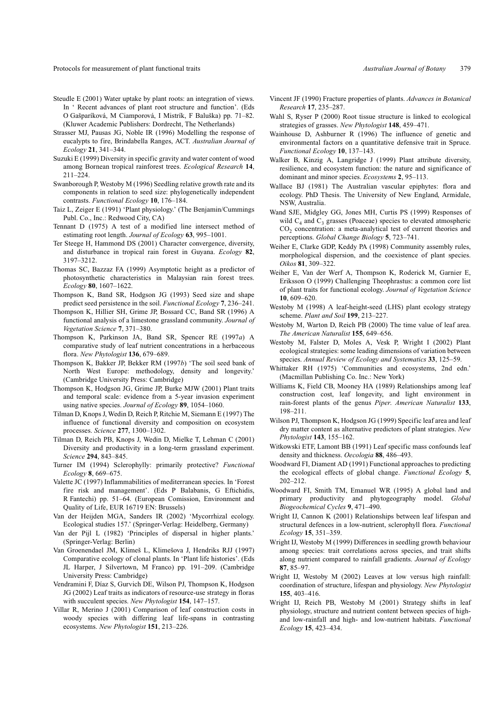Protocols for measurement of plant functional traits *Australian Journal of Botany* 379

- Steudle E (2001) Water uptake by plant roots: an integration of views. In ' Recent advances of plant root structure and function'. (Eds O Gašparíková, M Ciamporová, I Mistrík, F Baluška) pp. 71–82. (Kluwer Academic Publishers: Dordrecht, The Netherlands)
- Strasser MJ, Pausas JG, Noble IR (1996) Modelling the response of eucalypts to fire, Brindabella Ranges, ACT. *Australian Journal of Ecology* **21**, 341–344.
- Suzuki E (1999) Diversity in specific gravity and water content of wood among Bornean tropical rainforest trees. *Ecological Research* **14**, 211–224.
- Swanborough P, Westoby M (1996) Seedling relative growth rate and its components in relation to seed size: phylogenetically independent contrasts. *Functional Ecology* **10**, 176–184.
- Taiz L, Zeiger E (1991) 'Plant physiology.' (The Benjamin/Cummings Publ. Co., Inc.: Redwood City, CA)
- Tennant D (1975) A test of a modified line intersect method of estimating root length. *Journal of Ecology* **63**, 995–1001.
- Ter Steege H, Hammond DS (2001) Character convergence, diversity, and disturbance in tropical rain forest in Guyana. *Ecology* **82**, 3197–3212.
- Thomas SC, Bazzaz FA (1999) Asymptotic height as a predictor of photosynthetic characteristics in Malaysian rain forest trees. *Ecology* **80**, 1607–1622.
- Thompson K, Band SR, Hodgson JG (1993) Seed size and shape predict seed persistence in the soil. *Functional Ecology* **7**, 236–241.
- Thompson K, Hillier SH, Grime JP, Bossard CC, Band SR (1996) A functional analysis of a limestone grassland community. *Journal of Vegetation Science* **7**, 371–380.
- Thompson K, Parkinson JA, Band SR, Spencer RE (1997*a*) A comparative study of leaf nutrient concentrations in a herbaceous flora. *New Phytologist* **136**, 679–689.
- Thompson K, Bakker JP, Bekker RM (1997*b*) 'The soil seed bank of North West Europe: methodology, density and longevity.' (Cambridge University Press: Cambridge)
- Thompson K, Hodgson JG, Grime JP, Burke MJW (2001) Plant traits and temporal scale: evidence from a 5-year invasion experiment using native species. *Journal of Ecology* **89**, 1054–1060.
- Tilman D, Knops J, Wedin D, Reich P, Ritchie M, Siemann E (1997) The influence of functional diversity and composition on ecosystem processes. *Science* **277**, 1300–1302.
- Tilman D, Reich PB, Knops J, Wedin D, Mielke T, Lehman C (2001) Diversity and productivity in a long-term grassland experiment. *Science* **294**, 843–845.
- Turner IM (1994) Sclerophylly: primarily protective? *Functional Ecology* **8**, 669–675.
- Valette JC (1997) Inflammabilities of mediterranean species. In 'Forest fire risk and management'. (Eds P Balabanis, G Eftichidis, R Fantechi) pp. 51–64. (European Comission, Environment and Quality of Life, EUR 16719 EN: Brussels)
- Van der Heijden MGA, Sanders IR (2002) 'Mycorrhizal ecology. Ecological studies 157.' (Springer-Verlag: Heidelberg, Germany)
- Van der Pijl L (1982) 'Principles of dispersal in higher plants.' (Springer-Verlag: Berlin)
- Van Groenendael JM, Klimeš L, Klimešova J, Hendriks RJJ (1997) Comparative ecology of clonal plants. In 'Plant life histories'. (Eds JL Harper, J Silvertown, M Franco) pp. 191–209. (Cambridge University Press: Cambridge)
- Vendramini F, Díaz S, Gurvich DE, Wilson PJ, Thompson K, Hodgson JG (2002) Leaf traits as indicators of resource-use strategy in floras with succulent species. *New Phytologist* **154**, 147–157.
- Villar R, Merino J (2001) Comparison of leaf construction costs in woody species with differing leaf life-spans in contrasting ecosystems. *New Phytologist* **151**, 213–226.
- Vincent JF (1990) Fracture properties of plants. *Advances in Botanical Research* **17**, 235–287.
- Wahl S, Ryser P (2000) Root tissue structure is linked to ecological strategies of grasses. *New Phytologist* **148**, 459–471.
- Wainhouse D, Ashburner R (1996) The influence of genetic and environmental factors on a quantitative defensive trait in Spruce. *Functional Ecology* **10**, 137–143.
- Walker B, Kinzig A, Langridge J (1999) Plant attribute diversity, resilience, and ecosystem function: the nature and significance of dominant and minor species. *Ecosystems* **2**, 95–113.
- Wallace BJ (1981) The Australian vascular epiphytes: flora and ecology. PhD Thesis. The University of New England, Armidale, NSW, Australia.
- Wand SJE, Midgley GG, Jones MH, Curtis PS (1999) Responses of wild  $C_4$  and  $C_3$  grasses (Poaceae) species to elevated atmospheric CO<sub>2</sub> concentration: a meta-analytical test of current theories and perceptions. *Global Change Biology* **5**, 723–741.
- Weiher E, Clarke GDP, Keddy PA (1998) Community assembly rules, morphological dispersion, and the coexistence of plant species. *Oikos* **81**, 309–322.
- Weiher E, Van der Werf A, Thompson K, Roderick M, Garnier E, Eriksson O (1999) Challenging Theophrastus: a common core list of plant traits for functional ecology. *Journal of Vegetation Science* **10**, 609–620.
- Westoby M (1998) A leaf-height-seed (LHS) plant ecology strategy scheme. *Plant and Soil* **199**, 213–227.
- Westoby M, Warton D, Reich PB (2000) The time value of leaf area. *The American Naturalist* **155**, 649–656.
- Westoby M, Falster D, Moles A, Vesk P, Wright I (2002) Plant ecological strategies: some leading dimensions of variation between species. *Annual Review of Ecology and Systematics* **33**, 125–59.
- Whittaker RH (1975) 'Communities and ecosystems, 2nd edn.' (Macmillan Publishing Co. Inc.: New York)
- Williams K, Field CB, Mooney HA (1989) Relationships among leaf construction cost, leaf longevity, and light environment in rain-forest plants of the genus *Piper*. *American Naturalist* **133**, 198–211.
- Wilson PJ, Thompson K, Hodgson JG (1999) Specific leaf area and leaf dry matter content as alternative predictors of plant strategies. *New Phytologist* **143**, 155–162.
- Witkowski ETF, Lamont BB (1991) Leaf specific mass confounds leaf density and thickness. *Oecologia* **88**, 486–493.
- Woodward FI, Diament AD (1991) Functional approaches to predicting the ecological effects of global change. *Functional Ecology* **5**, 202–212.
- Woodward FI, Smith TM, Emanuel WR (1995) A global land and primary productivity and phytogeography model. *Global Biogeochemical Cycles* **9**, 471–490.
- Wright IJ, Cannon K (2001) Relationships between leaf lifespan and structural defences in a low-nutrient, sclerophyll flora. *Functional Ecology* **15**, 351–359.
- Wright IJ, Westoby M (1999) Differences in seedling growth behaviour among species: trait correlations across species, and trait shifts along nutrient compared to rainfall gradients. *Journal of Ecology* **87**, 85–97.
- Wright IJ, Westoby M (2002) Leaves at low versus high rainfall: coordination of structure, lifespan and physiology. *New Phytologist* **155**, 403–416.
- Wright IJ, Reich PB, Westoby M (2001) Strategy shifts in leaf physiology, structure and nutrient content between species of highand low-rainfall and high- and low-nutrient habitats. *Functional Ecology* **15**, 423–434.